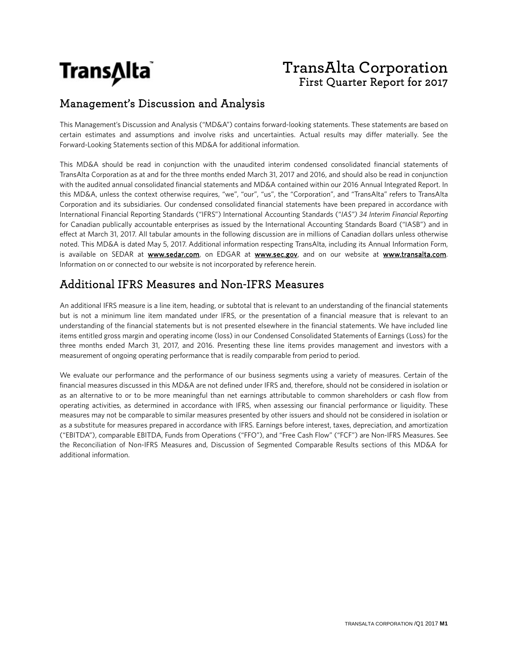

# **TransAlta Corporation** First Quarter Report for 2017

### Management's Discussion and Analysis

This Management's Discussion and Analysis ("MD&A") contains forward-looking statements. These statements are based on certain estimates and assumptions and involve risks and uncertainties. Actual results may differ materially. See the Forward-Looking Statements section of this MD&A for additional information.

This MD&A should be read in conjunction with the unaudited interim condensed consolidated financial statements of TransAlta Corporation as at and for the three months ended March 31, 2017 and 2016, and should also be read in conjunction with the audited annual consolidated financial statements and MD&A contained within our 2016 Annual Integrated Report. In this MD&A, unless the context otherwise requires, "we", "our", "us", the "Corporation", and "TransAlta" refers to TransAlta Corporation and its subsidiaries. Our condensed consolidated financial statements have been prepared in accordance with International Financial Reporting Standards ("IFRS") International Accounting Standards ("*IAS") 34 Interim Financial Reporting* for Canadian publically accountable enterprises as issued by the International Accounting Standards Board ("IASB") and in effect at March 31, 2017. All tabular amounts in the following discussion are in millions of Canadian dollars unless otherwise noted. This MD&A is dated May 5, 2017. Additional information respecting TransAlta, including its Annual Information Form, is available on SEDAR at www.sedar.com, on EDGAR at www.sec.gov, and on our website at www.transalta.com. Information on or connected to our website is not incorporated by reference herein.

### Additional IFRS Measures and Non-IFRS Measures

An additional IFRS measure is a line item, heading, or subtotal that is relevant to an understanding of the financial statements but is not a minimum line item mandated under IFRS, or the presentation of a financial measure that is relevant to an understanding of the financial statements but is not presented elsewhere in the financial statements. We have included line items entitled gross margin and operating income (loss) in our Condensed Consolidated Statements of Earnings (Loss) for the three months ended March 31, 2017, and 2016. Presenting these line items provides management and investors with a measurement of ongoing operating performance that is readily comparable from period to period.

We evaluate our performance and the performance of our business segments using a variety of measures. Certain of the financial measures discussed in this MD&A are not defined under IFRS and, therefore, should not be considered in isolation or as an alternative to or to be more meaningful than net earnings attributable to common shareholders or cash flow from operating activities, as determined in accordance with IFRS, when assessing our financial performance or liquidity. These measures may not be comparable to similar measures presented by other issuers and should not be considered in isolation or as a substitute for measures prepared in accordance with IFRS. Earnings before interest, taxes, depreciation, and amortization ("EBITDA"), comparable EBITDA, Funds from Operations ("FFO"), and "Free Cash Flow" ("FCF") are Non-IFRS Measures. See the Reconciliation of Non-IFRS Measures and, Discussion of Segmented Comparable Results sections of this MD&A for additional information.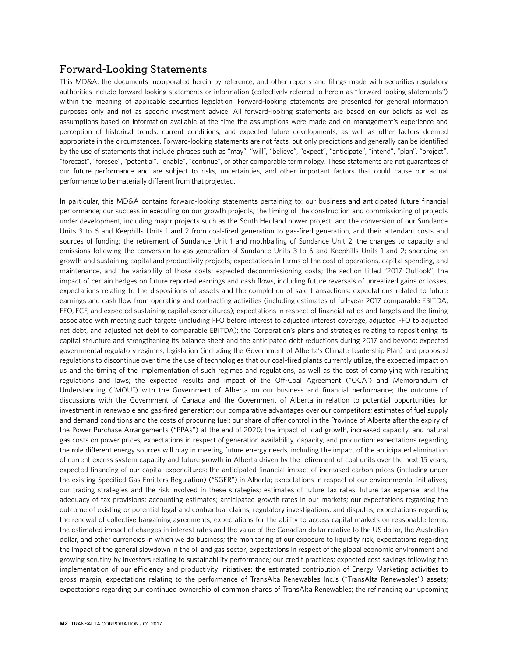### **Forward-Looking Statements**

This MD&A, the documents incorporated herein by reference, and other reports and filings made with securities regulatory authorities include forward-looking statements or information (collectively referred to herein as "forward-looking statements") within the meaning of applicable securities legislation. Forward-looking statements are presented for general information purposes only and not as specific investment advice. All forward-looking statements are based on our beliefs as well as assumptions based on information available at the time the assumptions were made and on management's experience and perception of historical trends, current conditions, and expected future developments, as well as other factors deemed appropriate in the circumstances. Forward-looking statements are not facts, but only predictions and generally can be identified by the use of statements that include phrases such as "may", "will", "believe", "expect", "anticipate", "intend", "plan", "project", "forecast", "foresee", "potential", "enable", "continue", or other comparable terminology. These statements are not guarantees of our future performance and are subject to risks, uncertainties, and other important factors that could cause our actual performance to be materially different from that projected.

In particular, this MD&A contains forward-looking statements pertaining to: our business and anticipated future financial performance; our success in executing on our growth projects; the timing of the construction and commissioning of projects under development, including major projects such as the South Hedland power project, and the conversion of our Sundance Units 3 to 6 and Keephills Units 1 and 2 from coal-fired generation to gas-fired generation, and their attendant costs and sources of funding; the retirement of Sundance Unit 1 and mothballing of Sundance Unit 2; the changes to capacity and emissions following the conversion to gas generation of Sundance Units 3 to 6 and Keephills Units 1 and 2; spending on growth and sustaining capital and productivity projects; expectations in terms of the cost of operations, capital spending, and maintenance, and the variability of those costs; expected decommissioning costs; the section titled "2017 Outlook", the impact of certain hedges on future reported earnings and cash flows, including future reversals of unrealized gains or losses, expectations relating to the dispositions of assets and the completion of sale transactions; expectations related to future earnings and cash flow from operating and contracting activities (including estimates of full-year 2017 comparable EBITDA, FFO, FCF, and expected sustaining capital expenditures); expectations in respect of financial ratios and targets and the timing associated with meeting such targets (including FFO before interest to adjusted interest coverage, adjusted FFO to adjusted net debt, and adjusted net debt to comparable EBITDA); the Corporation's plans and strategies relating to repositioning its capital structure and strengthening its balance sheet and the anticipated debt reductions during 2017 and beyond; expected governmental regulatory regimes, legislation (including the Government of Alberta's Climate Leadership Plan) and proposed regulations to discontinue over time the use of technologies that our coal-fired plants currently utilize, the expected impact on us and the timing of the implementation of such regimes and regulations, as well as the cost of complying with resulting regulations and laws; the expected results and impact of the Off-Coal Agreement ("OCA") and Memorandum of Understanding ("MOU") with the Government of Alberta on our business and financial performance; the outcome of discussions with the Government of Canada and the Government of Alberta in relation to potential opportunities for investment in renewable and gas-fired generation; our comparative advantages over our competitors; estimates of fuel supply and demand conditions and the costs of procuring fuel; our share of offer control in the Province of Alberta after the expiry of the Power Purchase Arrangements ("PPAs") at the end of 2020; the impact of load growth, increased capacity, and natural gas costs on power prices; expectations in respect of generation availability, capacity, and production; expectations regarding the role different energy sources will play in meeting future energy needs, including the impact of the anticipated elimination of current excess system capacity and future growth in Alberta driven by the retirement of coal units over the next 15 years; expected financing of our capital expenditures; the anticipated financial impact of increased carbon prices (including under the existing Specified Gas Emitters Regulation) ("SGER") in Alberta; expectations in respect of our environmental initiatives; our trading strategies and the risk involved in these strategies; estimates of future tax rates, future tax expense, and the adequacy of tax provisions; accounting estimates; anticipated growth rates in our markets; our expectations regarding the outcome of existing or potential legal and contractual claims, regulatory investigations, and disputes; expectations regarding the renewal of collective bargaining agreements; expectations for the ability to access capital markets on reasonable terms; the estimated impact of changes in interest rates and the value of the Canadian dollar relative to the US dollar, the Australian dollar, and other currencies in which we do business; the monitoring of our exposure to liquidity risk; expectations regarding the impact of the general slowdown in the oil and gas sector; expectations in respect of the global economic environment and growing scrutiny by investors relating to sustainability performance; our credit practices; expected cost savings following the implementation of our efficiency and productivity initiatives; the estimated contribution of Energy Marketing activities to gross margin; expectations relating to the performance of TransAlta Renewables Inc.'s ("TransAlta Renewables") assets; expectations regarding our continued ownership of common shares of TransAlta Renewables; the refinancing our upcoming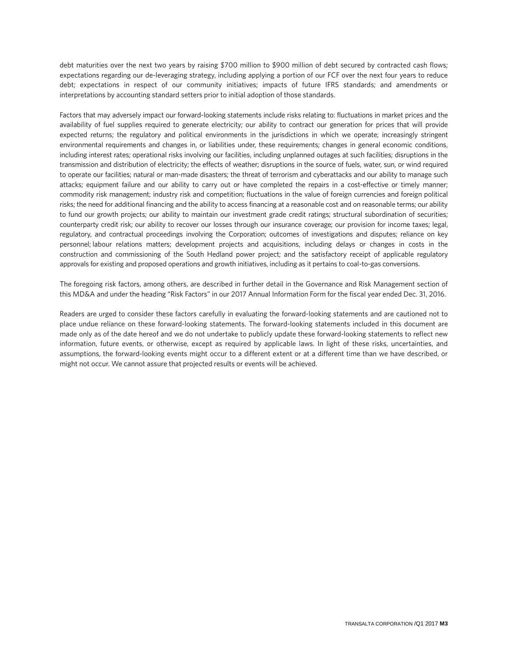debt maturities over the next two years by raising \$700 million to \$900 million of debt secured by contracted cash flows; expectations regarding our de-leveraging strategy, including applying a portion of our FCF over the next four years to reduce debt; expectations in respect of our community initiatives; impacts of future IFRS standards; and amendments or interpretations by accounting standard setters prior to initial adoption of those standards.

Factors that may adversely impact our forward-looking statements include risks relating to: fluctuations in market prices and the availability of fuel supplies required to generate electricity; our ability to contract our generation for prices that will provide expected returns; the regulatory and political environments in the jurisdictions in which we operate; increasingly stringent environmental requirements and changes in, or liabilities under, these requirements; changes in general economic conditions, including interest rates; operational risks involving our facilities, including unplanned outages at such facilities; disruptions in the transmission and distribution of electricity; the effects of weather; disruptions in the source of fuels, water, sun, or wind required to operate our facilities; natural or man-made disasters; the threat of terrorism and cyberattacks and our ability to manage such attacks; equipment failure and our ability to carry out or have completed the repairs in a cost-effective or timely manner; commodity risk management; industry risk and competition; fluctuations in the value of foreign currencies and foreign political risks; the need for additional financing and the ability to access financing at a reasonable cost and on reasonable terms; our ability to fund our growth projects; our ability to maintain our investment grade credit ratings; structural subordination of securities; counterparty credit risk; our ability to recover our losses through our insurance coverage; our provision for income taxes; legal, regulatory, and contractual proceedings involving the Corporation; outcomes of investigations and disputes; reliance on key personnel; labour relations matters; development projects and acquisitions, including delays or changes in costs in the construction and commissioning of the South Hedland power project; and the satisfactory receipt of applicable regulatory approvals for existing and proposed operations and growth initiatives, including as it pertains to coal-to-gas conversions.

The foregoing risk factors, among others, are described in further detail in the Governance and Risk Management section of this MD&A and under the heading "Risk Factors" in our 2017 Annual Information Form for the fiscal year ended Dec. 31, 2016.

Readers are urged to consider these factors carefully in evaluating the forward-looking statements and are cautioned not to place undue reliance on these forward-looking statements. The forward-looking statements included in this document are made only as of the date hereof and we do not undertake to publicly update these forward-looking statements to reflect new information, future events, or otherwise, except as required by applicable laws. In light of these risks, uncertainties, and assumptions, the forward-looking events might occur to a different extent or at a different time than we have described, or might not occur. We cannot assure that projected results or events will be achieved.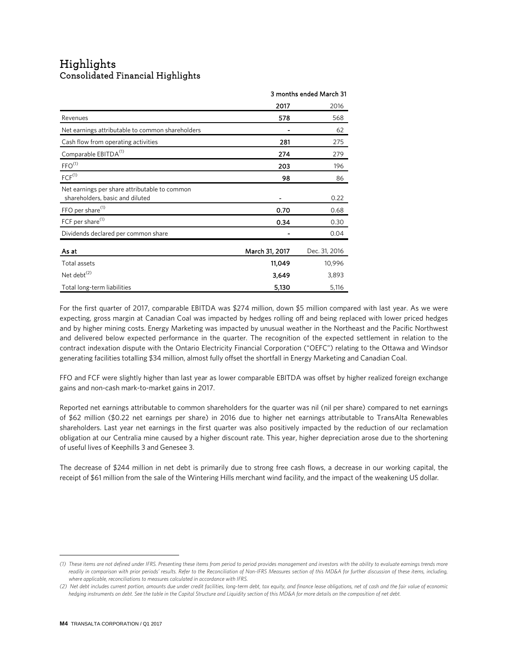# Highlights<br>Consolidated Financial Highlights

|                                                                                  | 3 months ended March 31 |               |
|----------------------------------------------------------------------------------|-------------------------|---------------|
|                                                                                  | 2017                    | 2016          |
| Revenues                                                                         | 578                     | 568           |
| Net earnings attributable to common shareholders                                 |                         | 62            |
| Cash flow from operating activities                                              | 281                     | 275           |
| Comparable EBITDA <sup>(1)</sup>                                                 | 274                     | 279           |
| FFO <sup>(1)</sup>                                                               | 203                     | 196           |
| $FCF^{(1)}$                                                                      | 98                      | 86            |
| Net earnings per share attributable to common<br>shareholders, basic and diluted |                         | 0.22          |
| FFO per share <sup>(1)</sup>                                                     | 0.70                    | 0.68          |
| FCF per share <sup>(1)</sup>                                                     | 0.34                    | 0.30          |
| Dividends declared per common share                                              |                         | 0.04          |
| As at                                                                            | March 31, 2017          | Dec. 31, 2016 |
| Total assets                                                                     | 11,049                  | 10,996        |
| Net debt <sup>(2)</sup>                                                          | 3,649                   | 3,893         |
| Total long-term liabilities                                                      | 5,130                   | 5,116         |

For the first quarter of 2017, comparable EBITDA was \$274 million, down \$5 million compared with last year. As we were expecting, gross margin at Canadian Coal was impacted by hedges rolling off and being replaced with lower priced hedges and by higher mining costs. Energy Marketing was impacted by unusual weather in the Northeast and the Pacific Northwest and delivered below expected performance in the quarter. The recognition of the expected settlement in relation to the contract indexation dispute with the Ontario Electricity Financial Corporation ("OEFC") relating to the Ottawa and Windsor generating facilities totalling \$34 million, almost fully offset the shortfall in Energy Marketing and Canadian Coal.

FFO and FCF were slightly higher than last year as lower comparable EBITDA was offset by higher realized foreign exchange gains and non-cash mark-to-market gains in 2017.

Reported net earnings attributable to common shareholders for the quarter was nil (nil per share) compared to net earnings of \$62 million (\$0.22 net earnings per share) in 2016 due to higher net earnings attributable to TransAlta Renewables shareholders. Last year net earnings in the first quarter was also positively impacted by the reduction of our reclamation obligation at our Centralia mine caused by a higher discount rate. This year, higher depreciation arose due to the shortening of useful lives of Keephills 3 and Genesee 3.

The decrease of \$244 million in net debt is primarily due to strong free cash flows, a decrease in our working capital, the receipt of \$61 million from the sale of the Wintering Hills merchant wind facility, and the impact of the weakening US dollar.

 $\overline{a}$ 

<span id="page-3-0"></span>*<sup>(1)</sup> These items are not defined under IFRS. Presenting these items from period to period provides management and investors with the ability to evaluate earnings trends more*  readily in comparison with prior periods' results. Refer to the Reconciliation of Non-IFRS Measures section of this MD&A for further discussion of these items, including, *where applicable, reconciliations to measures calculated in accordance with IFRS.*

<span id="page-3-1"></span>*<sup>(2)</sup> Net debt includes current portion, amounts due under credit facilities, long-term debt, tax equity, and finance lease obligations, net of cash and the fair value of economic hedging instruments on debt. See the table in the Capital Structure and Liquidity section of this MD&A for more details on the composition of net debt.*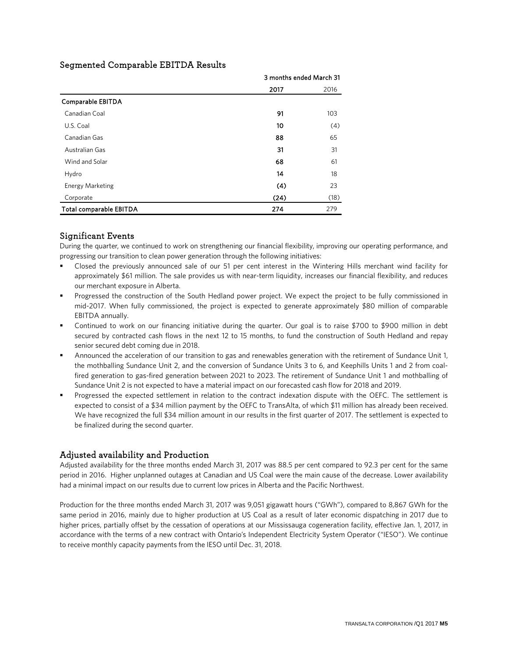|                         | 3 months ended March 31 |      |
|-------------------------|-------------------------|------|
|                         | 2017                    | 2016 |
| Comparable EBITDA       |                         |      |
| Canadian Coal           | 91                      | 103  |
| U.S. Coal               | 10                      | (4)  |
| Canadian Gas            | 88                      | 65   |
| Australian Gas          | 31                      | 31   |
| Wind and Solar          | 68                      | 61   |
| Hydro                   | 14                      | 18   |
| <b>Energy Marketing</b> | (4)                     | 23   |
| Corporate               | (24)                    | (18) |
| Total comparable EBITDA | 274                     | 279  |

### Segmented Comparable EBITDA Results

### Significant Events

During the quarter, we continued to work on strengthening our financial flexibility, improving our operating performance, and progressing our transition to clean power generation through the following initiatives:

- Closed the previously announced sale of our 51 per cent interest in the Wintering Hills merchant wind facility for approximately \$61 million. The sale provides us with near-term liquidity, increases our financial flexibility, and reduces our merchant exposure in Alberta.
- Progressed the construction of the South Hedland power project. We expect the project to be fully commissioned in mid-2017. When fully commissioned, the project is expected to generate approximately \$80 million of comparable EBITDA annually.
- Continued to work on our financing initiative during the quarter. Our goal is to raise \$700 to \$900 million in debt secured by contracted cash flows in the next 12 to 15 months, to fund the construction of South Hedland and repay senior secured debt coming due in 2018.
- Announced the acceleration of our transition to gas and renewables generation with the retirement of Sundance Unit 1, the mothballing Sundance Unit 2, and the conversion of Sundance Units 3 to 6, and Keephills Units 1 and 2 from coalfired generation to gas-fired generation between 2021 to 2023. The retirement of Sundance Unit 1 and mothballing of Sundance Unit 2 is not expected to have a material impact on our forecasted cash flow for 2018 and 2019.
- Progressed the expected settlement in relation to the contract indexation dispute with the OEFC. The settlement is expected to consist of a \$34 million payment by the OEFC to TransAlta, of which \$11 million has already been received. We have recognized the full \$34 million amount in our results in the first quarter of 2017. The settlement is expected to be finalized during the second quarter.

### Adjusted availability and Production

Adjusted availability for the three months ended March 31, 2017 was 88.5 per cent compared to 92.3 per cent for the same period in 2016. Higher unplanned outages at Canadian and US Coal were the main cause of the decrease. Lower availability had a minimal impact on our results due to current low prices in Alberta and the Pacific Northwest.

Production for the three months ended March 31, 2017 was 9,051 gigawatt hours ("GWh"), compared to 8,867 GWh for the same period in 2016, mainly due to higher production at US Coal as a result of later economic dispatching in 2017 due to higher prices, partially offset by the cessation of operations at our Mississauga cogeneration facility, effective Jan. 1, 2017, in accordance with the terms of a new contract with Ontario's Independent Electricity System Operator ("IESO"). We continue to receive monthly capacity payments from the IESO until Dec. 31, 2018.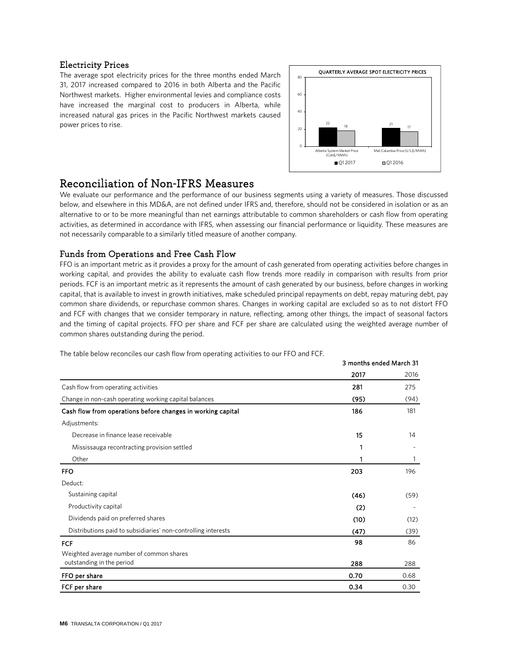### Electricity Prices

The average spot electricity prices for the three months ended March 31, 2017 increased compared to 2016 in both Alberta and the Pacific Northwest markets. Higher environmental levies and compliance costs have increased the marginal cost to producers in Alberta, while increased natural gas prices in the Pacific Northwest markets caused power prices to rise.



3 months ended March 31

### l Reconciliation of Non-IFRS Measures

We evaluate our performance and the performance of our business segments using a variety of measures. Those discussed below, and elsewhere in this MD&A, are not defined under IFRS and, therefore, should not be considered in isolation or as an alternative to or to be more meaningful than net earnings attributable to common shareholders or cash flow from operating activities, as determined in accordance with IFRS, when assessing our financial performance or liquidity. These measures are not necessarily comparable to a similarly titled measure of another company.

### Funds from Operations and Free Cash Flow

FFO is an important metric as it provides a proxy for the amount of cash generated from operating activities before changes in working capital, and provides the ability to evaluate cash flow trends more readily in comparison with results from prior periods. FCF is an important metric as it represents the amount of cash generated by our business, before changes in working capital, that is available to invest in growth initiatives, make scheduled principal repayments on debt, repay maturing debt, pay common share dividends, or repurchase common shares. Changes in working capital are excluded so as to not distort FFO and FCF with changes that we consider temporary in nature, reflecting, among other things, the impact of seasonal factors and the timing of capital projects. FFO per share and FCF per share are calculated using the weighted average number of common shares outstanding during the period.

The table below reconciles our cash flow from operating activities to our FFO and FCF.

|                                                               | <u>JIIVIILIIJ CIIUCU IVIAI CII JI</u> |      |
|---------------------------------------------------------------|---------------------------------------|------|
|                                                               | 2017                                  | 2016 |
| Cash flow from operating activities                           | 281                                   | 275  |
| Change in non-cash operating working capital balances         | (95)                                  | (94) |
| Cash flow from operations before changes in working capital   | 186                                   | 181  |
| Adjustments:                                                  |                                       |      |
| Decrease in finance lease receivable                          | 15                                    | 14   |
| Mississauga recontracting provision settled                   |                                       |      |
| Other                                                         | 1                                     | 1    |
| <b>FFO</b>                                                    | 203                                   | 196  |
| Deduct:                                                       |                                       |      |
| Sustaining capital                                            | (46)                                  | (59) |
| Productivity capital                                          | (2)                                   |      |
| Dividends paid on preferred shares                            | (10)                                  | (12) |
| Distributions paid to subsidiaries' non-controlling interests | (47)                                  | (39) |
| <b>FCF</b>                                                    | 98                                    | 86   |
| Weighted average number of common shares                      |                                       |      |
| outstanding in the period                                     | 288                                   | 288  |
| FFO per share                                                 | 0.70                                  | 0.68 |
| FCF per share                                                 | 0.34                                  | 0.30 |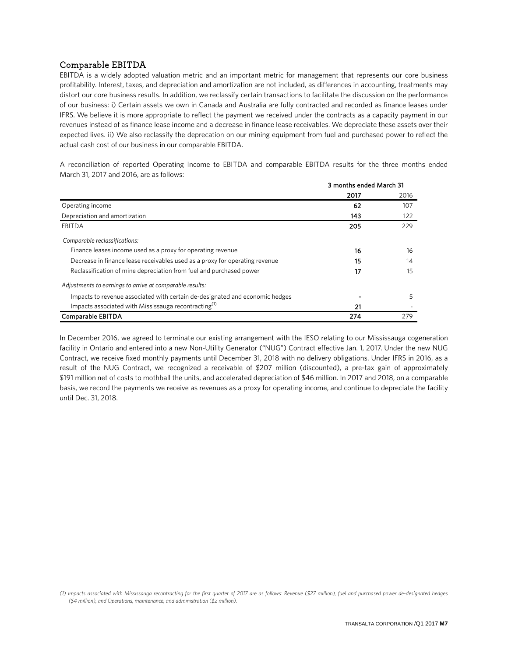### Comparable EBITDA**[1](#page-6-0)**

 $\overline{a}$ 

EBITDA is a widely adopted valuation metric and an important metric for management that represents our core business profitability. Interest, taxes, and depreciation and amortization are not included, as differences in accounting, treatments may distort our core business results. In addition, we reclassify certain transactions to facilitate the discussion on the performance of our business: i) Certain assets we own in Canada and Australia are fully contracted and recorded as finance leases under IFRS. We believe it is more appropriate to reflect the payment we received under the contracts as a capacity payment in our revenues instead of as finance lease income and a decrease in finance lease receivables. We depreciate these assets over their expected lives. ii) We also reclassify the deprecation on our mining equipment from fuel and purchased power to reflect the actual cash cost of our business in our comparable EBITDA.

A reconciliation of reported Operating Income to EBITDA and comparable EBITDA results for the three months ended March 31, 2017 and 2016, are as follows:

|                                                                              |      | 3 months ended March 31 |  |
|------------------------------------------------------------------------------|------|-------------------------|--|
|                                                                              | 2017 | 2016                    |  |
| Operating income                                                             | 62   | 107                     |  |
| Depreciation and amortization                                                | 143  | 122                     |  |
| EBITDA                                                                       | 205  | 229                     |  |
| Comparable reclassifications:                                                |      |                         |  |
| Finance leases income used as a proxy for operating revenue                  | 16   | 16                      |  |
| Decrease in finance lease receivables used as a proxy for operating revenue  | 15   | 14                      |  |
| Reclassification of mine depreciation from fuel and purchased power          | 17   | 15                      |  |
| Adjustments to earnings to arrive at comparable results:                     |      |                         |  |
| Impacts to revenue associated with certain de-designated and economic hedges |      | 5                       |  |
| Impacts associated with Mississauga recontracting <sup>(1)</sup>             | 21   |                         |  |
| Comparable EBITDA                                                            | 274  | 279                     |  |

In December 2016, we agreed to terminate our existing arrangement with the IESO relating to our Mississauga cogeneration facility in Ontario and entered into a new Non-Utility Generator ("NUG") Contract effective Jan. 1, 2017. Under the new NUG Contract, we receive fixed monthly payments until December 31, 2018 with no delivery obligations. Under IFRS in 2016, as a result of the NUG Contract, we recognized a receivable of \$207 million (discounted), a pre-tax gain of approximately \$191 million net of costs to mothball the units, and accelerated depreciation of \$46 million. In 2017 and 2018, on a comparable basis, we record the payments we receive as revenues as a proxy for operating income, and continue to depreciate the facility until Dec. 31, 2018.

<span id="page-6-0"></span>*<sup>(1)</sup> Impacts associated with Mississauga recontracting for the first quarter of 2017 are as follows: Revenue (\$27 million), fuel and purchased power de-designated hedges (\$4 million), and Operations, maintenance, and administration (\$2 million).*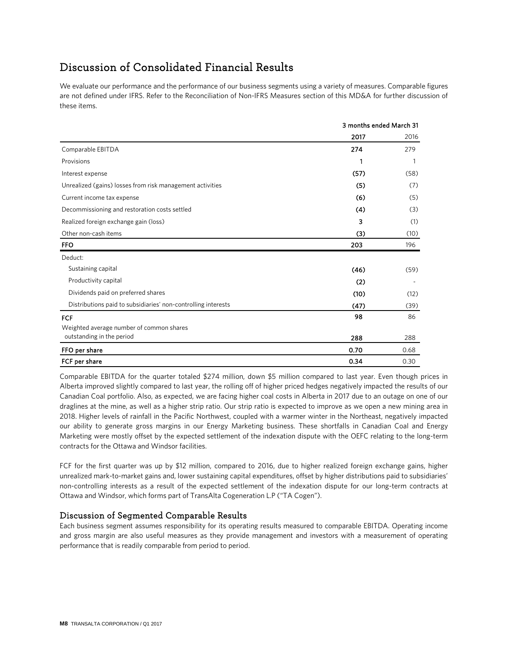### Discussion of Consolidated Financial Results

We evaluate our performance and the performance of our business segments using a variety of measures. Comparable figures are not defined under IFRS. Refer to the Reconciliation of Non-IFRS Measures section of this MD&A for further discussion of these items.

|                                                               | 3 months ended March 31 |      |
|---------------------------------------------------------------|-------------------------|------|
|                                                               | 2017                    | 2016 |
| Comparable EBITDA                                             | 274                     | 279  |
| Provisions                                                    | 1                       | 1    |
| Interest expense                                              | (57)                    | (58) |
| Unrealized (gains) losses from risk management activities     | (5)                     | (7)  |
| Current income tax expense                                    | (6)                     | (5)  |
| Decommissioning and restoration costs settled                 | (4)                     | (3)  |
| Realized foreign exchange gain (loss)                         | 3                       | (1)  |
| Other non-cash items                                          | (3)                     | (10) |
| <b>FFO</b>                                                    | 203                     | 196  |
| Deduct:                                                       |                         |      |
| Sustaining capital                                            | (46)                    | (59) |
| Productivity capital                                          | (2)                     |      |
| Dividends paid on preferred shares                            | (10)                    | (12) |
| Distributions paid to subsidiaries' non-controlling interests | (47)                    | (39) |
| <b>FCF</b>                                                    | 98                      | 86   |
| Weighted average number of common shares                      |                         |      |
| outstanding in the period                                     | 288                     | 288  |
| FFO per share                                                 | 0.70                    | 0.68 |
| FCF per share                                                 | 0.34                    | 0.30 |

Comparable EBITDA for the quarter totaled \$274 million, down \$5 million compared to last year. Even though prices in Alberta improved slightly compared to last year, the rolling off of higher priced hedges negatively impacted the results of our Canadian Coal portfolio. Also, as expected, we are facing higher coal costs in Alberta in 2017 due to an outage on one of our draglines at the mine, as well as a higher strip ratio. Our strip ratio is expected to improve as we open a new mining area in 2018. Higher levels of rainfall in the Pacific Northwest, coupled with a warmer winter in the Northeast, negatively impacted our ability to generate gross margins in our Energy Marketing business. These shortfalls in Canadian Coal and Energy Marketing were mostly offset by the expected settlement of the indexation dispute with the OEFC relating to the long-term contracts for the Ottawa and Windsor facilities.

FCF for the first quarter was up by \$12 million, compared to 2016, due to higher realized foreign exchange gains, higher unrealized mark-to-market gains and, lower sustaining capital expenditures, offset by higher distributions paid to subsidiaries' non-controlling interests as a result of the expected settlement of the indexation dispute for our long-term contracts at Ottawa and Windsor, which forms part of TransAlta Cogeneration L.P ("TA Cogen").

### Discussion of Segmented Comparable Results

Each business segment assumes responsibility for its operating results measured to comparable EBITDA. Operating income and gross margin are also useful measures as they provide management and investors with a measurement of operating performance that is readily comparable from period to period.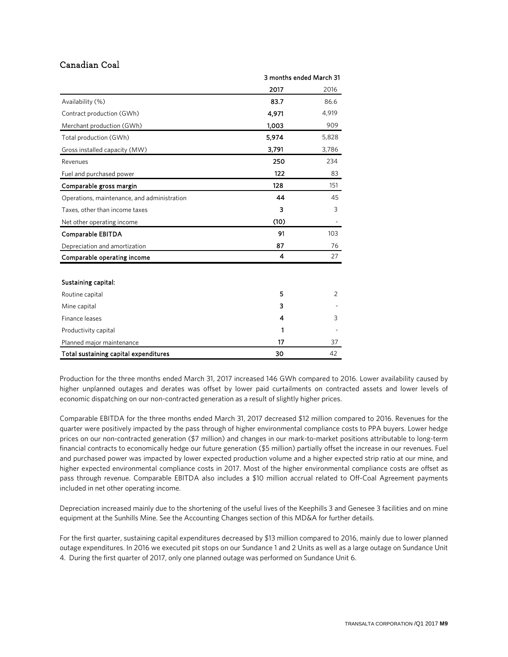### Canadian Coal

|                                             | 3 months ended March 31 |                |
|---------------------------------------------|-------------------------|----------------|
|                                             | 2017                    | 2016           |
| Availability (%)                            | 83.7                    | 86.6           |
| Contract production (GWh)                   | 4,971                   | 4,919          |
| Merchant production (GWh)                   | 1,003                   | 909            |
| Total production (GWh)                      | 5,974                   | 5,828          |
| Gross installed capacity (MW)               | 3,791                   | 3,786          |
| Revenues                                    | 250                     | 234            |
| Fuel and purchased power                    | 122                     | 83             |
| Comparable gross margin                     | 128                     | 151            |
| Operations, maintenance, and administration | 44                      | 45             |
| Taxes, other than income taxes              | 3                       | 3              |
| Net other operating income                  | (10)                    |                |
| Comparable EBITDA                           | 91                      | 103            |
| Depreciation and amortization               | 87                      | 76             |
| Comparable operating income                 | 4                       | 27             |
|                                             |                         |                |
| Sustaining capital:                         |                         |                |
| Routine capital                             | 5                       | $\overline{2}$ |
| Mine capital                                | 3                       |                |
| Finance leases                              | 4                       | 3              |
| Productivity capital                        | 1                       |                |
| Planned major maintenance                   | 17                      | 37             |
| Total sustaining capital expenditures       | 30                      | 42             |

Production for the three months ended March 31, 2017 increased 146 GWh compared to 2016. Lower availability caused by higher unplanned outages and derates was offset by lower paid curtailments on contracted assets and lower levels of economic dispatching on our non-contracted generation as a result of slightly higher prices.

Comparable EBITDA for the three months ended March 31, 2017 decreased \$12 million compared to 2016. Revenues for the quarter were positively impacted by the pass through of higher environmental compliance costs to PPA buyers. Lower hedge prices on our non-contracted generation (\$7 million) and changes in our mark-to-market positions attributable to long-term financial contracts to economically hedge our future generation (\$5 million) partially offset the increase in our revenues. Fuel and purchased power was impacted by lower expected production volume and a higher expected strip ratio at our mine, and higher expected environmental compliance costs in 2017. Most of the higher environmental compliance costs are offset as pass through revenue. Comparable EBITDA also includes a \$10 million accrual related to Off-Coal Agreement payments included in net other operating income.

Depreciation increased mainly due to the shortening of the useful lives of the Keephills 3 and Genesee 3 facilities and on mine equipment at the Sunhills Mine. See the Accounting Changes section of this MD&A for further details.

For the first quarter, sustaining capital expenditures decreased by \$13 million compared to 2016, mainly due to lower planned outage expenditures. In 2016 we executed pit stops on our Sundance 1 and 2 Units as well as a large outage on Sundance Unit 4. During the first quarter of 2017, only one planned outage was performed on Sundance Unit 6.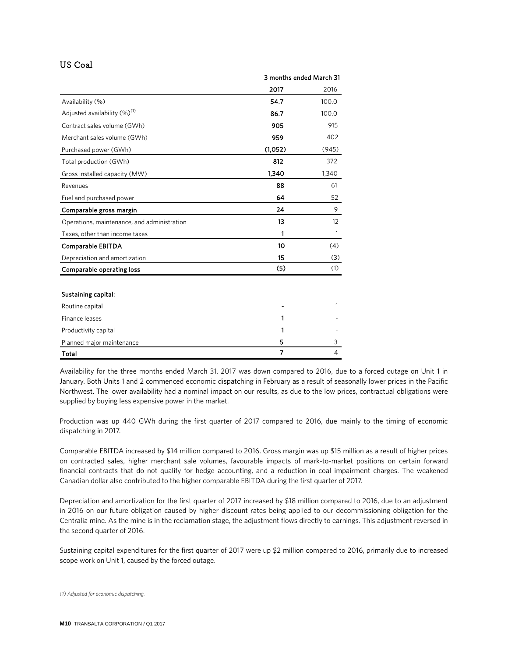### US Coal

|                                             | 3 months ended March 31 |       |
|---------------------------------------------|-------------------------|-------|
|                                             | 2017                    | 2016  |
| Availability (%)                            | 54.7                    | 100.0 |
| Adjusted availability (%) <sup>(1)</sup>    | 86.7                    | 100.0 |
| Contract sales volume (GWh)                 | 905                     | 915   |
| Merchant sales volume (GWh)                 | 959                     | 402   |
| Purchased power (GWh)                       | (1,052)                 | (945) |
| Total production (GWh)                      | 812                     | 372   |
| Gross installed capacity (MW)               | 1,340                   | 1,340 |
| Revenues                                    | 88                      | 61    |
| Fuel and purchased power                    | 64                      | 52    |
| Comparable gross margin                     | 24                      | 9     |
| Operations, maintenance, and administration | 13                      | 12    |
| Taxes, other than income taxes              | 1                       | 1     |
| Comparable EBITDA                           | 10                      | (4)   |
| Depreciation and amortization               | 15                      | (3)   |
| Comparable operating loss                   | (5)                     | (1)   |
|                                             |                         |       |
| Sustaining capital:                         |                         |       |
| Routine capital                             |                         | 1     |
| Finance leases                              | 1                       |       |
| Productivity capital                        | 1                       |       |
| Planned major maintenance                   | 5                       | 3     |
| Total                                       | $\overline{7}$          | 4     |

Availability for the three months ended March 31, 2017 was down compared to 2016, due to a forced outage on Unit 1 in January. Both Units 1 and 2 commenced economic dispatching in February as a result of seasonally lower prices in the Pacific Northwest. The lower availability had a nominal impact on our results, as due to the low prices, contractual obligations were supplied by buying less expensive power in the market.

Production was up 440 GWh during the first quarter of 2017 compared to 2016, due mainly to the timing of economic dispatching in 2017.

Comparable EBITDA increased by \$14 million compared to 2016. Gross margin was up \$15 million as a result of higher prices on contracted sales, higher merchant sale volumes, favourable impacts of mark-to-market positions on certain forward financial contracts that do not qualify for hedge accounting, and a reduction in coal impairment charges. The weakened Canadian dollar also contributed to the higher comparable EBITDA during the first quarter of 2017.

Depreciation and amortization for the first quarter of 2017 increased by \$18 million compared to 2016, due to an adjustment in 2016 on our future obligation caused by higher discount rates being applied to our decommissioning obligation for the Centralia mine. As the mine is in the reclamation stage, the adjustment flows directly to earnings. This adjustment reversed in the second quarter of 2016.

Sustaining capital expenditures for the first quarter of 2017 were up \$2 million compared to 2016, primarily due to increased scope work on Unit 1, caused by the forced outage.

 $\overline{a}$ 

<span id="page-9-0"></span>*<sup>(1)</sup> Adjusted for economic dispatching.*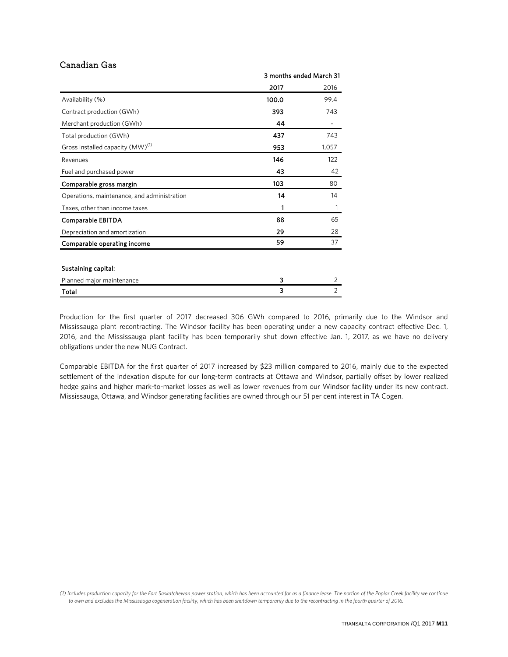### Canadian Gas

 $\overline{a}$ 

|                                              | 3 months ended March 31 |                |
|----------------------------------------------|-------------------------|----------------|
|                                              | 2017                    | 2016           |
| Availability (%)                             | 100.0                   | 99.4           |
| Contract production (GWh)                    | 393                     | 743            |
| Merchant production (GWh)                    | 44                      |                |
| Total production (GWh)                       | 437                     | 743            |
| Gross installed capacity (MW) <sup>(1)</sup> | 953                     | 1,057          |
| Revenues                                     | 146                     | 122            |
| Fuel and purchased power                     | 43                      | 42             |
| Comparable gross margin                      | 103                     | 80             |
| Operations, maintenance, and administration  | 14                      | 14             |
| Taxes, other than income taxes               | 1                       | 1              |
| Comparable EBITDA                            | 88                      | 65             |
| Depreciation and amortization                | 29                      | 28             |
| Comparable operating income                  | 59                      | 37             |
|                                              |                         |                |
| Sustaining capital:                          |                         |                |
| Planned major maintenance                    | 3                       | 2              |
| Total                                        | 3                       | $\overline{2}$ |

Production for the first quarter of 2017 decreased 306 GWh compared to 2016, primarily due to the Windsor and Mississauga plant recontracting. The Windsor facility has been operating under a new capacity contract effective Dec. 1, 2016, and the Mississauga plant facility has been temporarily shut down effective Jan. 1, 2017, as we have no delivery obligations under the new NUG Contract.

Comparable EBITDA for the first quarter of 2017 increased by \$23 million compared to 2016, mainly due to the expected settlement of the indexation dispute for our long-term contracts at Ottawa and Windsor, partially offset by lower realized hedge gains and higher mark-to-market losses as well as lower revenues from our Windsor facility under its new contract. Mississauga, Ottawa, and Windsor generating facilities are owned through our 51 per cent interest in TA Cogen.

<span id="page-10-0"></span>*<sup>(1)</sup> Includes production capacity for the Fort Saskatchewan power station, which has been accounted for as a finance lease. The portion of the Poplar Creek facility we continue to own and excludes the Mississauga cogeneration facility, which has been shutdown temporarily due to the recontracting in the fourth quarter of 2016.*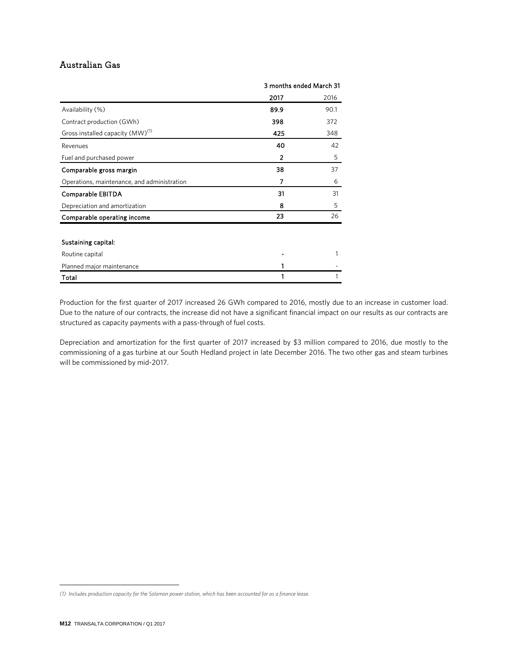### Australian Gas

|                                              | 3 months ended March 31 |      |
|----------------------------------------------|-------------------------|------|
|                                              | 2017                    | 2016 |
| Availability (%)                             | 89.9                    | 90.1 |
| Contract production (GWh)                    | 398                     | 372  |
| Gross installed capacity (MW) <sup>(1)</sup> | 425                     | 348  |
| Revenues                                     | 40                      | 42   |
| Fuel and purchased power                     | $\overline{2}$          | 5    |
| Comparable gross margin                      | 38                      | 37   |
| Operations, maintenance, and administration  | 7                       | 6    |
| Comparable EBITDA                            | 31                      | 31   |
| Depreciation and amortization                | 8                       | 5    |
| Comparable operating income                  | 23                      | 26   |
|                                              |                         |      |
| Sustaining capital:                          |                         |      |
| Routine capital                              |                         | 1    |
| Planned major maintenance                    |                         |      |
| Total                                        |                         |      |

Production for the first quarter of 2017 increased 26 GWh compared to 2016, mostly due to an increase in customer load. Due to the nature of our contracts, the increase did not have a significant financial impact on our results as our contracts are structured as capacity payments with a pass-through of fuel costs.

Depreciation and amortization for the first quarter of 2017 increased by \$3 million compared to 2016, due mostly to the commissioning of a gas turbine at our South Hedland project in late December 2016. The two other gas and steam turbines will be commissioned by mid-2017.

 $\overline{a}$ 

<span id="page-11-0"></span>*<sup>(1)</sup> Includes production capacity for the Solomon power station, which has been accounted for as a finance lease.*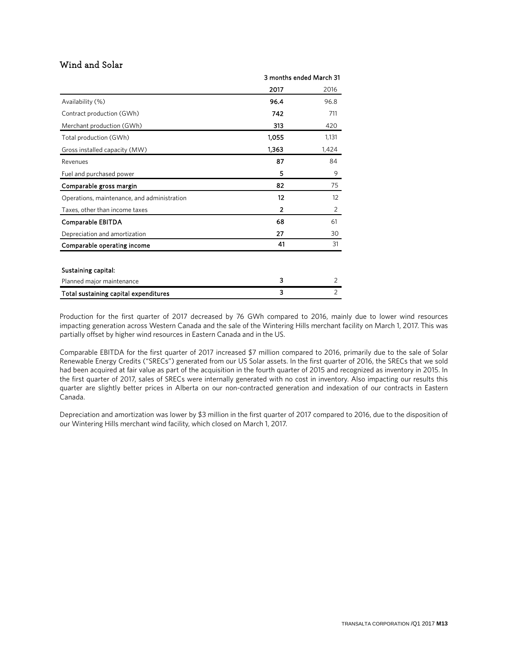### Wind and Solar

|                                             | 3 months ended March 31 |                |
|---------------------------------------------|-------------------------|----------------|
|                                             | 2017                    | 2016           |
| Availability (%)                            | 96.4                    | 96.8           |
| Contract production (GWh)                   | 742                     | 711            |
| Merchant production (GWh)                   | 313                     | 420            |
| Total production (GWh)                      | 1,055                   | 1,131          |
| Gross installed capacity (MW)               | 1,363                   | 1,424          |
| Revenues                                    | 87                      | 84             |
| Fuel and purchased power                    | 5                       | 9              |
| Comparable gross margin                     | 82                      | 75             |
| Operations, maintenance, and administration | 12                      | 12             |
| Taxes, other than income taxes              | 2                       | 2              |
| Comparable EBITDA                           | 68                      | 61             |
| Depreciation and amortization               | 27                      | 30             |
| Comparable operating income                 | 41                      | 31             |
|                                             |                         |                |
| Sustaining capital:                         |                         |                |
| Planned major maintenance                   | 3                       | $\overline{2}$ |
| Total sustaining capital expenditures       | 3                       | 2              |

Production for the first quarter of 2017 decreased by 76 GWh compared to 2016, mainly due to lower wind resources impacting generation across Western Canada and the sale of the Wintering Hills merchant facility on March 1, 2017. This was partially offset by higher wind resources in Eastern Canada and in the US.

Comparable EBITDA for the first quarter of 2017 increased \$7 million compared to 2016, primarily due to the sale of Solar Renewable Energy Credits ("SRECs") generated from our US Solar assets. In the first quarter of 2016, the SRECs that we sold had been acquired at fair value as part of the acquisition in the fourth quarter of 2015 and recognized as inventory in 2015. In the first quarter of 2017, sales of SRECs were internally generated with no cost in inventory. Also impacting our results this quarter are slightly better prices in Alberta on our non-contracted generation and indexation of our contracts in Eastern Canada.

Depreciation and amortization was lower by \$3 million in the first quarter of 2017 compared to 2016, due to the disposition of our Wintering Hills merchant wind facility, which closed on March 1, 2017.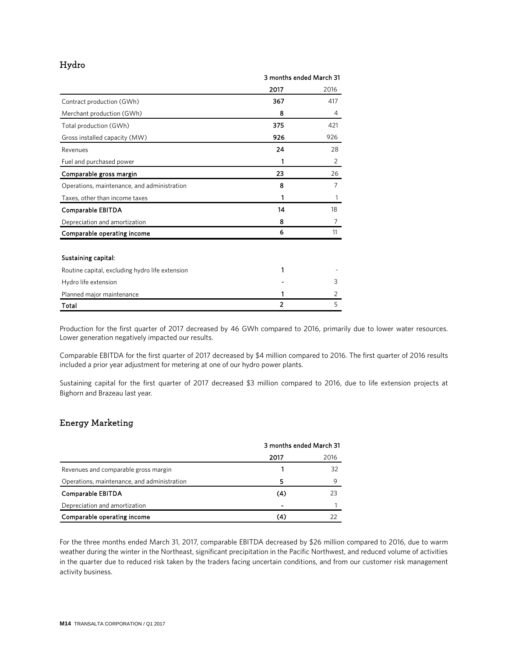### Hydro

|                                                 | 3 months ended March 31 |      |
|-------------------------------------------------|-------------------------|------|
|                                                 | 2017                    | 2016 |
| Contract production (GWh)                       | 367                     | 417  |
| Merchant production (GWh)                       | 8                       | 4    |
| Total production (GWh)                          | 375                     | 421  |
| Gross installed capacity (MW)                   | 926                     | 926  |
| Revenues                                        | 24                      | 28   |
| Fuel and purchased power                        | 1                       | 2    |
| Comparable gross margin                         | 23                      | 26   |
| Operations, maintenance, and administration     | 8                       | 7    |
| Taxes, other than income taxes                  | 1                       |      |
| Comparable EBITDA                               | 14                      | 18   |
| Depreciation and amortization                   | 8                       | 7    |
| Comparable operating income                     | 6                       | 11   |
|                                                 |                         |      |
| Sustaining capital:                             |                         |      |
| Routine capital, excluding hydro life extension | 1                       |      |
| Hydro life extension                            |                         | 3    |
| Planned major maintenance                       | 1                       | 2    |
| Total                                           | $\overline{2}$          | 5    |

Production for the first quarter of 2017 decreased by 46 GWh compared to 2016, primarily due to lower water resources. Lower generation negatively impacted our results.

Comparable EBITDA for the first quarter of 2017 decreased by \$4 million compared to 2016. The first quarter of 2016 results included a prior year adjustment for metering at one of our hydro power plants.

Sustaining capital for the first quarter of 2017 decreased \$3 million compared to 2016, due to life extension projects at Bighorn and Brazeau last year.

### Energy Marketing

|                                             | 3 months ended March 31 |      |
|---------------------------------------------|-------------------------|------|
|                                             | 2017                    | 2016 |
| Revenues and comparable gross margin        |                         | 32   |
| Operations, maintenance, and administration | 5                       | Q    |
| Comparable EBITDA                           | (4)                     | 23   |
| Depreciation and amortization               |                         |      |
| Comparable operating income                 | (4)                     |      |

For the three months ended March 31, 2017, comparable EBITDA decreased by \$26 million compared to 2016, due to warm weather during the winter in the Northeast, significant precipitation in the Pacific Northwest, and reduced volume of activities in the quarter due to reduced risk taken by the traders facing uncertain conditions, and from our customer risk management activity business.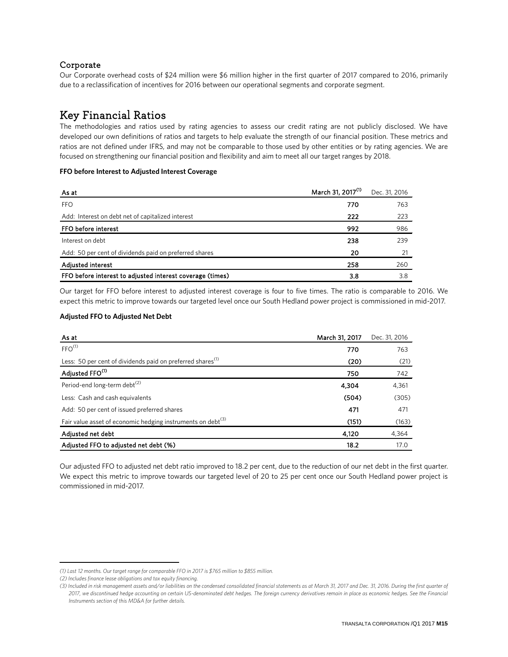### Corporate

Our Corporate overhead costs of \$24 million were \$6 million higher in the first quarter of 2017 compared to 2016, primarily due to a reclassification of incentives for 2016 between our operational segments and corporate segment.

### Key Financial Ratios

The methodologies and ratios used by rating agencies to assess our credit rating are not publicly disclosed. We have developed our own definitions of ratios and targets to help evaluate the strength of our financial position. These metrics and ratios are not defined under IFRS, and may not be comparable to those used by other entities or by rating agencies. We are focused on strengthening our financial position and flexibility and aim to meet all our target ranges by 2018.

### **FFO** before Interest to Adjusted Interest Coverage

| As at                                                     | March 31, 2017 <sup>(1)</sup> | Dec. 31, 2016 |
|-----------------------------------------------------------|-------------------------------|---------------|
| <b>FFO</b>                                                | 770                           | 763           |
| Add: Interest on debt net of capitalized interest         | 222                           | 223           |
| FFO before interest                                       | 992                           | 986           |
| Interest on debt                                          | 238                           | 239           |
| Add: 50 per cent of dividends paid on preferred shares    | 20                            | 21            |
| <b>Adjusted interest</b>                                  | 258                           | 260           |
| FFO before interest to adjusted interest coverage (times) | 3.8                           | 3.8           |

Our target for FFO before interest to adjusted interest coverage is four to five times. The ratio is comparable to 2016. We expect this metric to improve towards our targeted level once our South Hedland power project is commissioned in mid-2017.

### **Adjusted FFO to Adjusted Net Debt**

| As at                                                                   | March 31, 2017 | Dec. 31, 2016 |
|-------------------------------------------------------------------------|----------------|---------------|
| FFO <sup>(1)</sup>                                                      | 770            | 763           |
| Less: 50 per cent of dividends paid on preferred shares <sup>(1)</sup>  | (20)           | (21)          |
| Adjusted FFO <sup>(1)</sup>                                             | 750            | 742           |
| Period-end long-term debt <sup>(2)</sup>                                | 4,304          | 4,361         |
| Less: Cash and cash equivalents                                         | (504)          | (305)         |
| Add: 50 per cent of issued preferred shares                             | 471            | 471           |
| Fair value asset of economic hedging instruments on debt <sup>(3)</sup> | (151)          | (163)         |
| Adjusted net debt                                                       | 4,120          | 4,364         |
| Adjusted FFO to adjusted net debt (%)                                   | 18.2           | 17.0          |

Our adjusted FFO to adjusted net debt ratio improved to 18.2 per cent, due to the reduction of our net debt in the first quarter. We expect this metric to improve towards our targeted level of 20 to 25 per cent once our South Hedland power project is commissioned in mid-2017.

 $\overline{a}$ 

<span id="page-14-0"></span>*<sup>(1)</sup> Last 12 months. Our target range for comparable FFO in 2017 is \$765 million to \$855 million.*

<span id="page-14-1"></span>*<sup>(2)</sup> Includes finance lease obligations and tax equity financing.*

*<sup>(3)</sup> Included in risk management assets and/or liabilities on the condensed consolidated financial statements as at March 31, 2017 and Dec. 31, 2016. During the first quarter of 2017, we discontinued hedge accounting on certain US-denominated debt hedges. The foreign currency derivatives remain in place as economic hedges. See the Financial Instruments section of this MD&A for further details.*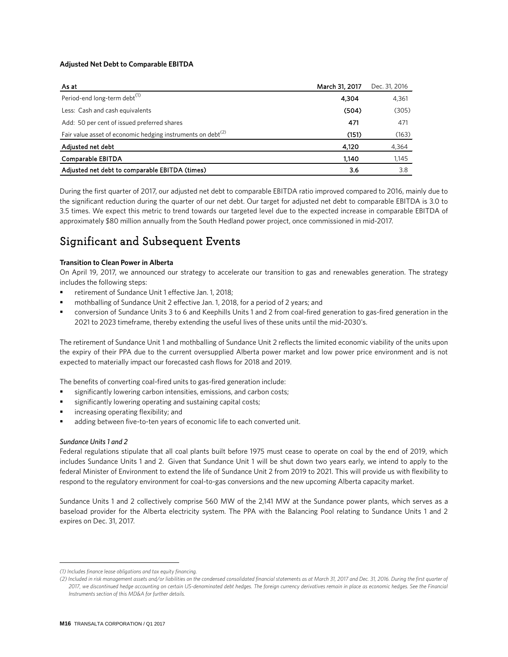### **Adjusted Net Debt to Comparable EBITDA** [1](#page-15-0)

| As at                                                                   | March 31, 2017 | Dec. 31, 2016 |
|-------------------------------------------------------------------------|----------------|---------------|
| Period-end long-term debt <sup>(1)</sup>                                | 4,304          | 4,361         |
| Less: Cash and cash equivalents                                         | (504)          | (305)         |
| Add: 50 per cent of issued preferred shares                             | 471            | 471           |
| Fair value asset of economic hedging instruments on debt <sup>(2)</sup> | (151)          | (163)         |
| Adjusted net debt                                                       | 4,120          | 4,364         |
| Comparable EBITDA                                                       | 1.140          | 1,145         |
| Adjusted net debt to comparable EBITDA (times)                          | 3.6            | 3.8           |

During the first quarter of 2017, our adjusted net debt to comparable EBITDA ratio improved compared to 2016, mainly due to the significant reduction during the quarter of our net debt. Our target for adjusted net debt to comparable EBITDA is 3.0 to 3.5 times. We expect this metric to trend towards our targeted level due to the expected increase in comparable EBITDA of approximately \$80 million annually from the South Hedland power project, once commissioned in mid-2017.

### Significant and Subsequent Events

### **Transition to Clean Power in Alberta**

On April 19, 2017, we announced our strategy to accelerate our transition to gas and renewables generation. The strategy includes the following steps:

- retirement of Sundance Unit 1 effective Jan. 1, 2018;
- mothballing of Sundance Unit 2 effective Jan. 1, 2018, for a period of 2 years; and
- conversion of Sundance Units 3 to 6 and Keephills Units 1 and 2 from coal-fired generation to gas-fired generation in the 2021 to 2023 timeframe, thereby extending the useful lives of these units until the mid-2030's.

The retirement of Sundance Unit 1 and mothballing of Sundance Unit 2 reflects the limited economic viability of the units upon the expiry of their PPA due to the current oversupplied Alberta power market and low power price environment and is not expected to materially impact our forecasted cash flows for 2018 and 2019.

The benefits of converting coal-fired units to gas-fired generation include:

- significantly lowering carbon intensities, emissions, and carbon costs;
- significantly lowering operating and sustaining capital costs;
- increasing operating flexibility; and
- adding between five-to-ten years of economic life to each converted unit.

#### *Sundance Units 1 and 2*

 $\overline{a}$ 

Federal regulations stipulate that all coal plants built before 1975 must cease to operate on coal by the end of 2019, which includes Sundance Units 1 and 2. Given that Sundance Unit 1 will be shut down two years early, we intend to apply to the federal Minister of Environment to extend the life of Sundance Unit 2 from 2019 to 2021. This will provide us with flexibility to respond to the regulatory environment for coal-to-gas conversions and the new upcoming Alberta capacity market.

Sundance Units 1 and 2 collectively comprise 560 MW of the 2,141 MW at the Sundance power plants, which serves as a baseload provider for the Alberta electricity system. The PPA with the Balancing Pool relating to Sundance Units 1 and 2 expires on Dec. 31, 2017.

<span id="page-15-0"></span>*<sup>(1)</sup> Includes finance lease obligations and tax equity financing.*

*<sup>(2)</sup> Included in risk management assets and/or liabilities on the condensed consolidated financial statements as at March 31, 2017 and Dec. 31, 2016. During the first quarter of 2017, we discontinued hedge accounting on certain US-denominated debt hedges. The foreign currency derivatives remain in place as economic hedges. See the Financial Instruments section of this MD&A for further details.*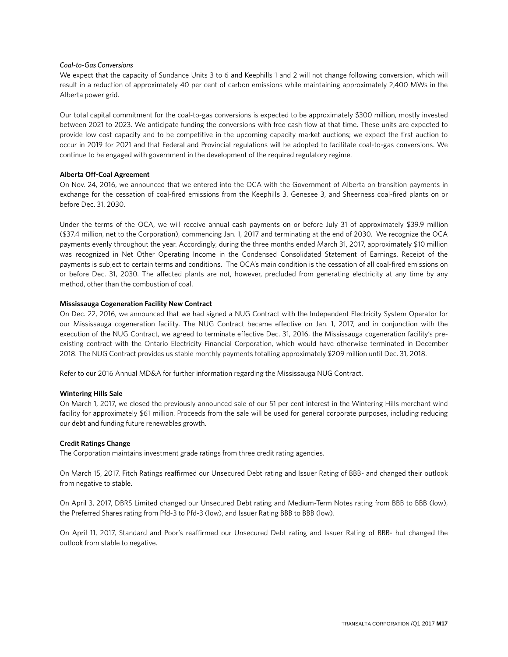#### *Coal-to-Gas Conversions*

We expect that the capacity of Sundance Units 3 to 6 and Keephills 1 and 2 will not change following conversion, which will result in a reduction of approximately 40 per cent of carbon emissions while maintaining approximately 2,400 MWs in the Alberta power grid.

Our total capital commitment for the coal-to-gas conversions is expected to be approximately \$300 million, mostly invested between 2021 to 2023. We anticipate funding the conversions with free cash flow at that time. These units are expected to provide low cost capacity and to be competitive in the upcoming capacity market auctions; we expect the first auction to occur in 2019 for 2021 and that Federal and Provincial regulations will be adopted to facilitate coal-to-gas conversions. We continue to be engaged with government in the development of the required regulatory regime.

#### **Alberta Off-Coal Agreement**

On Nov. 24, 2016, we announced that we entered into the OCA with the Government of Alberta on transition payments in exchange for the cessation of coal-fired emissions from the Keephills 3, Genesee 3, and Sheerness coal-fired plants on or before Dec. 31, 2030.

Under the terms of the OCA, we will receive annual cash payments on or before July 31 of approximately \$39.9 million (\$37.4 million, net to the Corporation), commencing Jan. 1, 2017 and terminating at the end of 2030. We recognize the OCA payments evenly throughout the year. Accordingly, during the three months ended March 31, 2017, approximately \$10 million was recognized in Net Other Operating Income in the Condensed Consolidated Statement of Earnings. Receipt of the payments is subject to certain terms and conditions. The OCA's main condition is the cessation of all coal-fired emissions on or before Dec. 31, 2030. The affected plants are not, however, precluded from generating electricity at any time by any method, other than the combustion of coal.

#### **Mississauga Cogeneration Facility New Contract**

On Dec. 22, 2016, we announced that we had signed a NUG Contract with the Independent Electricity System Operator for our Mississauga cogeneration facility. The NUG Contract became effective on Jan. 1, 2017, and in conjunction with the execution of the NUG Contract, we agreed to terminate effective Dec. 31, 2016, the Mississauga cogeneration facility's preexisting contract with the Ontario Electricity Financial Corporation, which would have otherwise terminated in December 2018. The NUG Contract provides us stable monthly payments totalling approximately \$209 million until Dec. 31, 2018.

Refer to our 2016 Annual MD&A for further information regarding the Mississauga NUG Contract.

#### **Wintering Hills Sale**

On March 1, 2017, we closed the previously announced sale of our 51 per cent interest in the Wintering Hills merchant wind facility for approximately \$61 million. Proceeds from the sale will be used for general corporate purposes, including reducing our debt and funding future renewables growth.

### **Credit Ratings Change**

The Corporation maintains investment grade ratings from three credit rating agencies.

On March 15, 2017, Fitch Ratings reaffirmed our Unsecured Debt rating and Issuer Rating of BBB- and changed their outlook from negative to stable.

On April 3, 2017, DBRS Limited changed our Unsecured Debt rating and Medium-Term Notes rating from BBB to BBB (low), the Preferred Shares rating from Pfd-3 to Pfd-3 (low), and Issuer Rating BBB to BBB (low).

On April 11, 2017, Standard and Poor's reaffirmed our Unsecured Debt rating and Issuer Rating of BBB- but changed the outlook from stable to negative.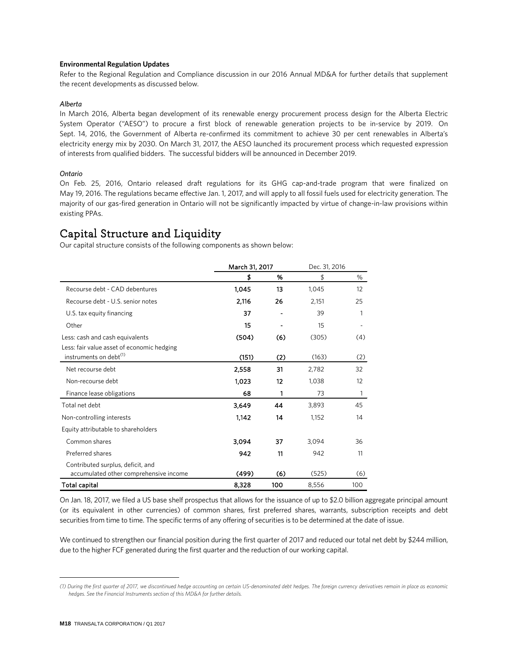#### **Environmental Regulation Updates**

Refer to the Regional Regulation and Compliance discussion in our 2016 Annual MD&A for further details that supplement the recent developments as discussed below.

#### *Alberta*

In March 2016, Alberta began development of its renewable energy procurement process design for the Alberta Electric System Operator ("AESO") to procure a first block of renewable generation projects to be in-service by 2019. On Sept. 14, 2016, the Government of Alberta re-confirmed its commitment to achieve 30 per cent renewables in Alberta's electricity energy mix by 2030. On March 31, 2017, the AESO launched its procurement process which requested expression of interests from qualified bidders. The successful bidders will be announced in December 2019.

#### *Ontario*

On Feb. 25, 2016, Ontario released draft regulations for its GHG cap-and-trade program that were finalized on May 19, 2016. The regulations became effective Jan. 1, 2017, and will apply to all fossil fuels used for electricity generation. The majority of our gas-fired generation in Ontario will not be significantly impacted by virtue of change-in-law provisions within existing PPAs.

### Capital Structure and Liquidity **[1](#page-17-0)**

Our capital structure consists of the following components as shown below:

|                                                                             | March 31, 2017 |     | Dec. 31, 2016 |     |
|-----------------------------------------------------------------------------|----------------|-----|---------------|-----|
|                                                                             | \$             | %   | \$            | %   |
| Recourse debt - CAD debentures                                              | 1,045          | 13  | 1,045         | 12  |
| Recourse debt - U.S. senior notes                                           | 2,116          | 26  | 2,151         | 25  |
| U.S. tax equity financing                                                   | 37             | ٠   | 39            | 1   |
| Other                                                                       | 15             |     | 15            |     |
| Less: cash and cash equivalents                                             | (504)          | (6) | (305)         | (4) |
| Less: fair value asset of economic hedging                                  |                |     |               |     |
| instruments on debt <sup>(1)</sup>                                          | (151)          | (2) | (163)         | (2) |
| Net recourse debt                                                           | 2,558          | 31  | 2,782         | 32  |
| Non-recourse debt                                                           | 1,023          | 12  | 1,038         | 12  |
| Finance lease obligations                                                   | 68             | 1   | 73            | 1   |
| Total net debt                                                              | 3,649          | 44  | 3,893         | 45  |
| Non-controlling interests                                                   | 1.142          | 14  | 1,152         | 14  |
| Equity attributable to shareholders                                         |                |     |               |     |
| Common shares                                                               | 3,094          | 37  | 3,094         | 36  |
| Preferred shares                                                            | 942            | 11  | 942           | 11  |
| Contributed surplus, deficit, and<br>accumulated other comprehensive income | (499)          | (6) | (525)         | (6) |
| Total capital                                                               | 8,328          | 100 | 8,556         | 100 |

On Jan. 18, 2017, we filed a US base shelf prospectus that allows for the issuance of up to \$2.0 billion aggregate principal amount (or its equivalent in other currencies) of common shares, first preferred shares, warrants, subscription receipts and debt securities from time to time. The specific terms of any offering of securities is to be determined at the date of issue.

We continued to strengthen our financial position during the first quarter of 2017 and reduced our total net debt by \$244 million, due to the higher FCF generated during the first quarter and the reduction of our working capital.

 $\overline{a}$ 

<span id="page-17-0"></span>*<sup>(1)</sup> During the first quarter of 2017, we discontinued hedge accounting on certain US-denominated debt hedges. The foreign currency derivatives remain in place as economic hedges. See the Financial Instruments section of this MD&A for further details.*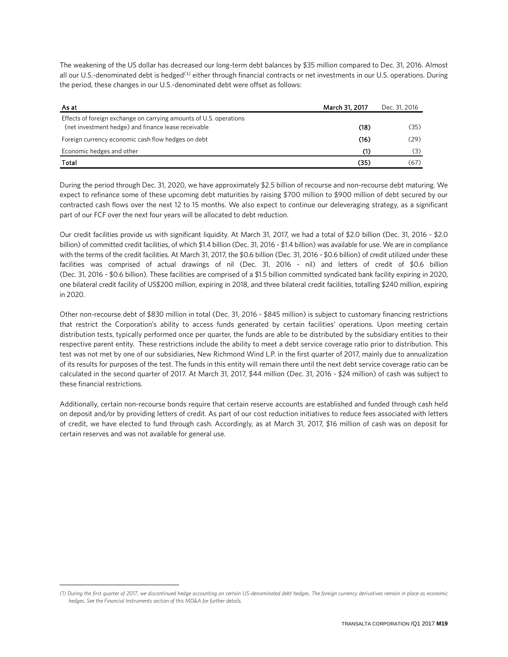The weakening of the US dollar has decreased our long-term debt balances by \$35 million compared to Dec. 31, 2016. Almost all our U.S.-denominated debt is hedged<sup>([1](#page-18-0))</sup> either through financial contracts or net investments in our U.S. operations. During the period, these changes in our U.S.-denominated debt were offset as follows:

| As at                                                                                                                     | March 31, 2017 | Dec. 31, 2016 |
|---------------------------------------------------------------------------------------------------------------------------|----------------|---------------|
| Effects of foreign exchange on carrying amounts of U.S. operations<br>(net investment hedge) and finance lease receivable | (18)           | (35)          |
| Foreign currency economic cash flow hedges on debt                                                                        | (16)           | (29)          |
| Economic hedges and other                                                                                                 | (1)            | (3)           |
| Total                                                                                                                     | (35)           | (67)          |

During the period through Dec. 31, 2020, we have approximately \$2.5 billion of recourse and non-recourse debt maturing. We expect to refinance some of these upcoming debt maturities by raising \$700 million to \$900 million of debt secured by our contracted cash flows over the next 12 to 15 months. We also expect to continue our deleveraging strategy, as a significant part of our FCF over the next four years will be allocated to debt reduction.

Our credit facilities provide us with significant liquidity. At March 31, 2017, we had a total of \$2.0 billion (Dec. 31, 2016 - \$2.0 billion) of committed credit facilities, of which \$1.4 billion (Dec. 31, 2016 - \$1.4 billion) was available for use. We are in compliance with the terms of the credit facilities. At March 31, 2017, the \$0.6 billion (Dec. 31, 2016 - \$0.6 billion) of credit utilized under these facilities was comprised of actual drawings of nil (Dec. 31, 2016 - nil) and letters of credit of \$0.6 billion (Dec. 31, 2016 - \$0.6 billion). These facilities are comprised of a \$1.5 billion committed syndicated bank facility expiring in 2020, one bilateral credit facility of US\$200 million, expiring in 2018, and three bilateral credit facilities, totalling \$240 million, expiring in 2020.

Other non-recourse debt of \$830 million in total (Dec. 31, 2016 - \$845 million) is subject to customary financing restrictions that restrict the Corporation's ability to access funds generated by certain facilities' operations. Upon meeting certain distribution tests, typically performed once per quarter, the funds are able to be distributed by the subsidiary entities to their respective parent entity. These restrictions include the ability to meet a debt service coverage ratio prior to distribution. This test was not met by one of our subsidiaries, New Richmond Wind L.P. in the first quarter of 2017, mainly due to annualization of its results for purposes of the test. The funds in this entity will remain there until the next debt service coverage ratio can be calculated in the second quarter of 2017. At March 31, 2017, \$44 million (Dec. 31, 2016 - \$24 million) of cash was subject to these financial restrictions.

Additionally, certain non-recourse bonds require that certain reserve accounts are established and funded through cash held on deposit and/or by providing letters of credit. As part of our cost reduction initiatives to reduce fees associated with letters of credit, we have elected to fund through cash. Accordingly, as at March 31, 2017, \$16 million of cash was on deposit for certain reserves and was not available for general use.

 $\overline{a}$ 

<span id="page-18-0"></span>*<sup>(1)</sup> During the first quarter of 2017, we discontinued hedge accounting on certain US-denominated debt hedges. The foreign currency derivatives remain in place as economic hedges. See the Financial Instruments section of this MD&A for further details.*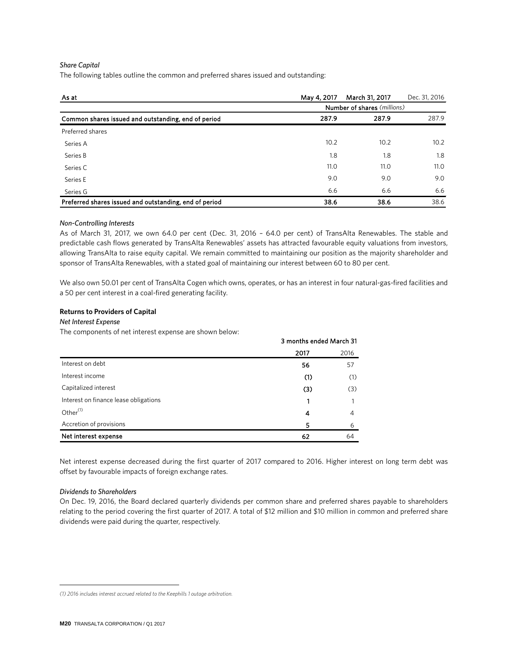#### *Share Capital*

The following tables outline the common and preferred shares issued and outstanding:

| As at                                                  | May 4, 2017 | March 31, 2017              | Dec. 31, 2016 |
|--------------------------------------------------------|-------------|-----------------------------|---------------|
|                                                        |             | Number of shares (millions) |               |
| Common shares issued and outstanding, end of period    | 287.9       | 287.9                       | 287.9         |
| Preferred shares                                       |             |                             |               |
| Series A                                               | 10.2        | 10.2                        | 10.2          |
| Series B                                               | 1.8         | 1.8                         | 1.8           |
| Series C                                               | 11.0        | 11.0                        | 11.0          |
| Series E                                               | 9.0         | 9.0                         | 9.0           |
| Series G                                               | 6.6         | 6.6                         | 6.6           |
| Preferred shares issued and outstanding, end of period | 38.6        | 38.6                        | 38.6          |

#### *Non-Controlling Interests*

As of March 31, 2017, we own 64.0 per cent (Dec. 31, 2016 – 64.0 per cent) of TransAlta Renewables. The stable and predictable cash flows generated by TransAlta Renewables' assets has attracted favourable equity valuations from investors, allowing TransAlta to raise equity capital. We remain committed to maintaining our position as the majority shareholder and sponsor of TransAlta Renewables, with a stated goal of maintaining our interest between 60 to 80 per cent.

We also own 50.01 per cent of TransAlta Cogen which owns, operates, or has an interest in four natural-gas-fired facilities and a 50 per cent interest in a coal-fired generating facility.

#### **Returns to Providers of Capital**

#### **Net Interest Expense**

The components of net interest expense are shown below:

|                                       | 3 months ended March 31 |      |
|---------------------------------------|-------------------------|------|
|                                       | 2017                    | 2016 |
| Interest on debt                      | 56                      | 57   |
| Interest income                       | (1)                     | (1)  |
| Capitalized interest                  | (3)                     | (3)  |
| Interest on finance lease obligations |                         |      |
| Other <sup>(1)</sup>                  | 4                       | 4    |
| Accretion of provisions               | 5                       | 6    |
| Net interest expense                  | 62                      | 64   |

Net interest expense decreased during the first quarter of 2017 compared to 2016. Higher interest on long term debt was offset by favourable impacts of foreign exchange rates.

#### *Dividends to Shareholders*

 $\overline{a}$ 

On Dec. 19, 2016, the Board declared quarterly dividends per common share and preferred shares payable to shareholders relating to the period covering the first quarter of 2017. A total of \$12 million and \$10 million in common and preferred share dividends were paid during the quarter, respectively.

<span id="page-19-0"></span>*<sup>(1) 2016</sup> includes interest accrued related to the Keephills 1 outage arbitration.*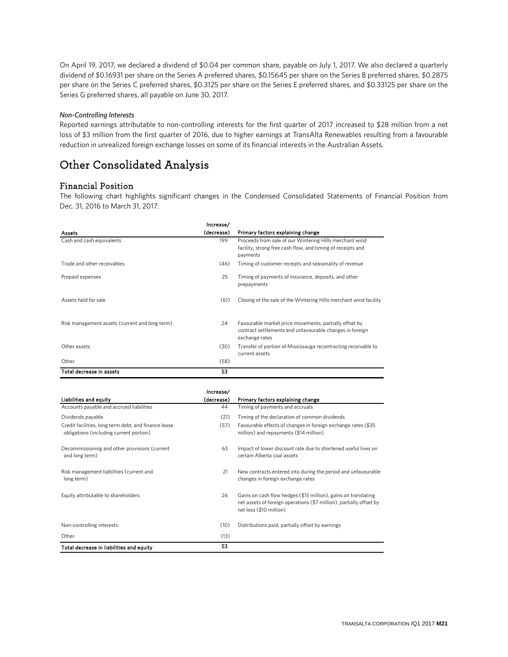On April 19, 2017, we declared a dividend of \$0.04 per common share, payable on July 1, 2017. We also declared a quarterly dividend of \$0.16931 per share on the Series A preferred shares, \$0.15645 per share on the Series B preferred shares, \$0.2875 per share on the Series C preferred shares, \$0.3125 per share on the Series E preferred shares, and \$0.33125 per share on the Series G preferred shares, all payable on June 30, 2017.

#### *Non-Controlling Interests*

Reported earnings attributable to non-controlling interests for the first quarter of 2017 increased to \$28 million from a net loss of \$3 million from the first quarter of 2016, due to higher earnings at TransAlta Renewables resulting from a favourable reduction in unrealized foreign exchange losses on some of its financial interests in the Australian Assets.

### Other Consolidated Analysis

### Financial Position

The following chart highlights significant changes in the Condensed Consolidated Statements of Financial Position from Dec. 31, 2016 to March 31, 2017:

|                                                | Increase/  |                                                                                                                                      |
|------------------------------------------------|------------|--------------------------------------------------------------------------------------------------------------------------------------|
| Assets                                         | (decrease) | Primary factors explaining change                                                                                                    |
| Cash and cash equivalents                      | 199        | Proceeds from sale of our Wintering Hills merchant wind<br>facility, strong free cash flow, and timing of receipts and<br>payments   |
| Trade and other receivables                    | (46)       | Timing of customer receipts and seasonality of revenue                                                                               |
| Prepaid expenses                               | 25         | Timing of payments of insurance, deposits, and other<br>prepayments                                                                  |
| Assets held for sale                           | (61)       | Closing of the sale of the Wintering Hills merchant wind facility                                                                    |
| Risk management assets (current and long term) | 24         | Favourable market price movements, partially offset by<br>contract settlements and unfavourable changes in foreign<br>exchange rates |
| Other assets                                   | (30)       | Transfer of portion of Mississauga recontracting receivable to<br>current assets                                                     |
| Other                                          | (58)       |                                                                                                                                      |
| Total decrease in assets                       | 53         |                                                                                                                                      |

|                                                                                                 | Increase/  |                                                                                                                                                                  |
|-------------------------------------------------------------------------------------------------|------------|------------------------------------------------------------------------------------------------------------------------------------------------------------------|
| Liabilities and equity                                                                          | (decrease) | Primary factors explaining change                                                                                                                                |
| Accounts payable and accrued liabilities                                                        | 44         | Timing of payments and accruals                                                                                                                                  |
| Dividends payable                                                                               | (21)       | Timing of the declaration of common dividends                                                                                                                    |
| Credit facilities, long term debt, and finance lease<br>obligations (including current portion) | (57)       | Favourable effects of changes in foreign exchange rates (\$35<br>million) and repayments (\$14 million)                                                          |
| Decommissioning and other provisions (current<br>and long term)                                 | 63         | Impact of lower discount rate due to shortened useful lives on<br>certain Alberta coal assets                                                                    |
| Risk management liabilities (current and<br>long term)                                          | 21         | New contracts entered into during the period and unfavourable<br>changes in foreign exchange rates                                                               |
| Equity attributable to shareholders                                                             | 26         | Gains on cash flow hedges (\$15 million), gains on translating<br>net assets of foreign operations (\$7 million), partially offset by<br>net loss (\$10 million) |
| Non-controlling interests                                                                       | (10)       | Distributions paid, partially offset by earnings                                                                                                                 |
| Other                                                                                           | (13)       |                                                                                                                                                                  |
| Total decrease in liabilities and equity                                                        | 53         |                                                                                                                                                                  |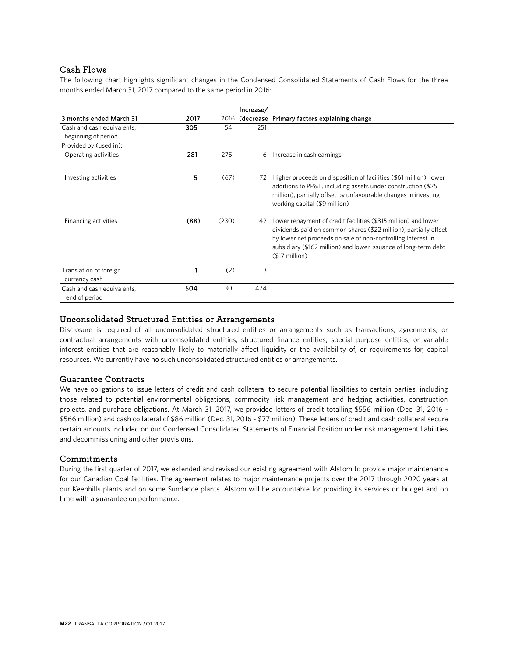### Cash Flows

The following chart highlights significant changes in the Condensed Consolidated Statements of Cash Flows for the three months ended March 31, 2017 compared to the same period in 2016:

|                                                   |      |       | Increase/ |                                                                                                                                                                                                                                                                                         |
|---------------------------------------------------|------|-------|-----------|-----------------------------------------------------------------------------------------------------------------------------------------------------------------------------------------------------------------------------------------------------------------------------------------|
| 3 months ended March 31                           | 2017 |       |           | 2016 (decrease Primary factors explaining change                                                                                                                                                                                                                                        |
| Cash and cash equivalents,<br>beginning of period | 305  | 54    | 251       |                                                                                                                                                                                                                                                                                         |
| Provided by (used in):                            |      |       |           |                                                                                                                                                                                                                                                                                         |
| Operating activities                              | 281  | 275   | 6         | Increase in cash earnings                                                                                                                                                                                                                                                               |
| Investing activities                              | 5    | (67)  | 72        | Higher proceeds on disposition of facilities (\$61 million), lower<br>additions to PP&E, including assets under construction (\$25<br>million), partially offset by unfavourable changes in investing<br>working capital (\$9 million)                                                  |
| Financing activities                              | (88) | (230) | 142       | Lower repayment of credit facilities (\$315 million) and lower<br>dividends paid on common shares (\$22 million), partially offset<br>by lower net proceeds on sale of non-controlling interest in<br>subsidiary (\$162 million) and lower issuance of long-term debt<br>$$17$ million) |
| Translation of foreign<br>currency cash           |      | (2)   | 3         |                                                                                                                                                                                                                                                                                         |
| Cash and cash equivalents,<br>end of period       | 504  | 30    | 474       |                                                                                                                                                                                                                                                                                         |

### Unconsolidated Structured Entities or Arrangements

Disclosure is required of all unconsolidated structured entities or arrangements such as transactions, agreements, or contractual arrangements with unconsolidated entities, structured finance entities, special purpose entities, or variable interest entities that are reasonably likely to materially affect liquidity or the availability of, or requirements for, capital resources. We currently have no such unconsolidated structured entities or arrangements.

### Guarantee Contracts

We have obligations to issue letters of credit and cash collateral to secure potential liabilities to certain parties, including those related to potential environmental obligations, commodity risk management and hedging activities, construction projects, and purchase obligations. At March 31, 2017, we provided letters of credit totalling \$556 million (Dec. 31, 2016 - \$566 million) and cash collateral of \$86 million (Dec. 31, 2016 - \$77 million). These letters of credit and cash collateral secure certain amounts included on our Condensed Consolidated Statements of Financial Position under risk management liabilities and decommissioning and other provisions.

### **Commitments**

During the first quarter of 2017, we extended and revised our existing agreement with Alstom to provide major maintenance for our Canadian Coal facilities. The agreement relates to major maintenance projects over the 2017 through 2020 years at our Keephills plants and on some Sundance plants. Alstom will be accountable for providing its services on budget and on time with a guarantee on performance.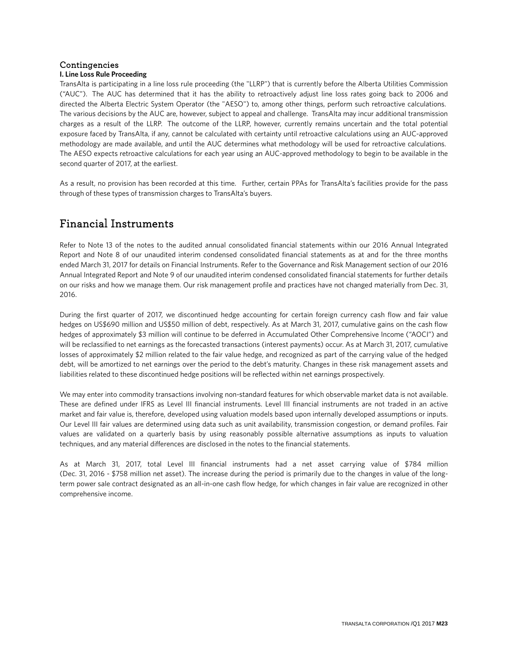### Contingencies

### **I. Line Loss Rule Proceeding**

TransAlta is participating in a line loss rule proceeding (the "LLRP") that is currently before the Alberta Utilities Commission ("AUC"). The AUC has determined that it has the ability to retroactively adjust line loss rates going back to 2006 and directed the Alberta Electric System Operator (the "AESO") to, among other things, perform such retroactive calculations. The various decisions by the AUC are, however, subject to appeal and challenge. TransAlta may incur additional transmission charges as a result of the LLRP. The outcome of the LLRP, however, currently remains uncertain and the total potential exposure faced by TransAlta, if any, cannot be calculated with certainty until retroactive calculations using an AUC-approved methodology are made available, and until the AUC determines what methodology will be used for retroactive calculations. The AESO expects retroactive calculations for each year using an AUC-approved methodology to begin to be available in the second quarter of 2017, at the earliest.

As a result, no provision has been recorded at this time. Further, certain PPAs for TransAlta's facilities provide for the pass through of these types of transmission charges to TransAlta's buyers.

### Financial Instruments

Refer to Note 13 of the notes to the audited annual consolidated financial statements within our 2016 Annual Integrated Report and Note 8 of our unaudited interim condensed consolidated financial statements as at and for the three months ended March 31, 2017 for details on Financial Instruments. Refer to the Governance and Risk Management section of our 2016 Annual Integrated Report and Note 9 of our unaudited interim condensed consolidated financial statements for further details on our risks and how we manage them. Our risk management profile and practices have not changed materially from Dec. 31, 2016.

During the first quarter of 2017, we discontinued hedge accounting for certain foreign currency cash flow and fair value hedges on US\$690 million and US\$50 million of debt, respectively. As at March 31, 2017, cumulative gains on the cash flow hedges of approximately \$3 million will continue to be deferred in Accumulated Other Comprehensive Income ("AOCI") and will be reclassified to net earnings as the forecasted transactions (interest payments) occur. As at March 31, 2017, cumulative losses of approximately \$2 million related to the fair value hedge, and recognized as part of the carrying value of the hedged debt, will be amortized to net earnings over the period to the debt's maturity. Changes in these risk management assets and liabilities related to these discontinued hedge positions will be reflected within net earnings prospectively.

We may enter into commodity transactions involving non-standard features for which observable market data is not available. These are defined under IFRS as Level III financial instruments. Level III financial instruments are not traded in an active market and fair value is, therefore, developed using valuation models based upon internally developed assumptions or inputs. Our Level III fair values are determined using data such as unit availability, transmission congestion, or demand profiles. Fair values are validated on a quarterly basis by using reasonably possible alternative assumptions as inputs to valuation techniques, and any material differences are disclosed in the notes to the financial statements.

As at March 31, 2017, total Level III financial instruments had a net asset carrying value of \$784 million (Dec. 31, 2016 - \$758 million net asset). The increase during the period is primarily due to the changes in value of the longterm power sale contract designated as an all-in-one cash flow hedge, for which changes in fair value are recognized in other comprehensive income.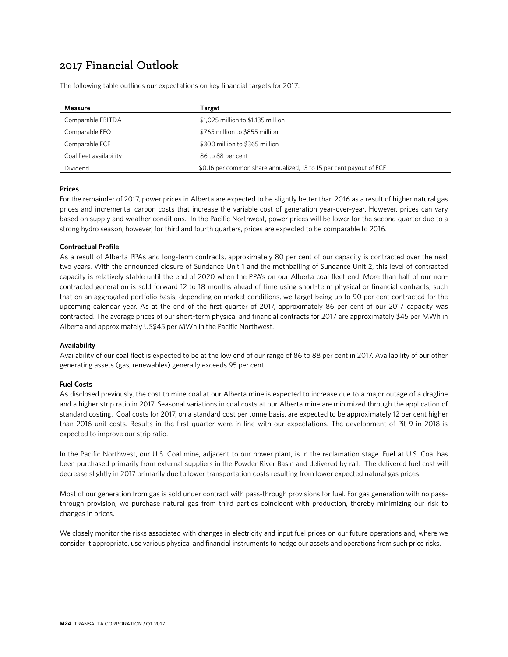### 2017 Financial Outlook

The following table outlines our expectations on key financial targets for 2017:

| Measure                 | Target                                                              |
|-------------------------|---------------------------------------------------------------------|
| Comparable EBITDA       | \$1,025 million to \$1,135 million                                  |
| Comparable FFO          | \$765 million to \$855 million                                      |
| Comparable FCF          | \$300 million to \$365 million                                      |
| Coal fleet availability | 86 to 88 per cent                                                   |
| Dividend                | \$0.16 per common share annualized, 13 to 15 per cent payout of FCF |

#### **Prices**

For the remainder of 2017, power prices in Alberta are expected to be slightly better than 2016 as a result of higher natural gas prices and incremental carbon costs that increase the variable cost of generation year-over-year. However, prices can vary based on supply and weather conditions. In the Pacific Northwest, power prices will be lower for the second quarter due to a strong hydro season, however, for third and fourth quarters, prices are expected to be comparable to 2016.

#### **Contractual Profile**

As a result of Alberta PPAs and long-term contracts, approximately 80 per cent of our capacity is contracted over the next two years. With the announced closure of Sundance Unit 1 and the mothballing of Sundance Unit 2, this level of contracted capacity is relatively stable until the end of 2020 when the PPA's on our Alberta coal fleet end. More than half of our noncontracted generation is sold forward 12 to 18 months ahead of time using short-term physical or financial contracts, such that on an aggregated portfolio basis, depending on market conditions, we target being up to 90 per cent contracted for the upcoming calendar year. As at the end of the first quarter of 2017, approximately 86 per cent of our 2017 capacity was contracted. The average prices of our short-term physical and financial contracts for 2017 are approximately \$45 per MWh in Alberta and approximately US\$45 per MWh in the Pacific Northwest.

#### **Availability**

Availability of our coal fleet is expected to be at the low end of our range of 86 to 88 per cent in 2017. Availability of our other generating assets (gas, renewables) generally exceeds 95 per cent.

### **Fuel Costs**

As disclosed previously, the cost to mine coal at our Alberta mine is expected to increase due to a major outage of a dragline and a higher strip ratio in 2017. Seasonal variations in coal costs at our Alberta mine are minimized through the application of standard costing. Coal costs for 2017, on a standard cost per tonne basis, are expected to be approximately 12 per cent higher than 2016 unit costs. Results in the first quarter were in line with our expectations. The development of Pit 9 in 2018 is expected to improve our strip ratio.

In the Pacific Northwest, our U.S. Coal mine, adjacent to our power plant, is in the reclamation stage. Fuel at U.S. Coal has been purchased primarily from external suppliers in the Powder River Basin and delivered by rail. The delivered fuel cost will decrease slightly in 2017 primarily due to lower transportation costs resulting from lower expected natural gas prices.

Most of our generation from gas is sold under contract with pass-through provisions for fuel. For gas generation with no passthrough provision, we purchase natural gas from third parties coincident with production, thereby minimizing our risk to changes in prices.

We closely monitor the risks associated with changes in electricity and input fuel prices on our future operations and, where we consider it appropriate, use various physical and financial instruments to hedge our assets and operations from such price risks.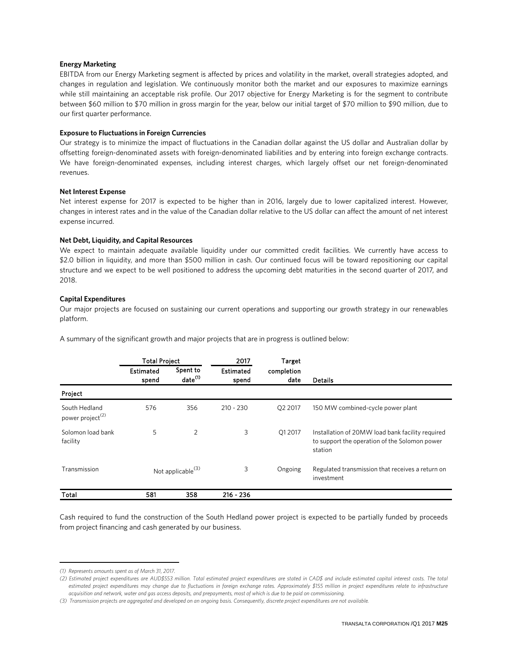#### **Energy Marketing**

EBITDA from our Energy Marketing segment is affected by prices and volatility in the market, overall strategies adopted, and changes in regulation and legislation. We continuously monitor both the market and our exposures to maximize earnings while still maintaining an acceptable risk profile. Our 2017 objective for Energy Marketing is for the segment to contribute between \$60 million to \$70 million in gross margin for the year, below our initial target of \$70 million to \$90 million, due to our first quarter performance.

#### **Exposure to Fluctuations in Foreign Currencies**

Our strategy is to minimize the impact of fluctuations in the Canadian dollar against the US dollar and Australian dollar by offsetting foreign-denominated assets with foreign-denominated liabilities and by entering into foreign exchange contracts. We have foreign-denominated expenses, including interest charges, which largely offset our net foreign-denominated revenues.

#### **Net Interest Expense**

Net interest expense for 2017 is expected to be higher than in 2016, largely due to lower capitalized interest. However, changes in interest rates and in the value of the Canadian dollar relative to the US dollar can affect the amount of net interest expense incurred.

#### **Net Debt, Liquidity, and Capital Resources**

We expect to maintain adequate available liquidity under our committed credit facilities. We currently have access to \$2.0 billion in liquidity, and more than \$500 million in cash. Our continued focus will be toward repositioning our capital structure and we expect to be well positioned to address the upcoming debt maturities in the second quarter of 2017, and 2018.

#### **Capital Expenditures**

Our major projects are focused on sustaining our current operations and supporting our growth strategy in our renewables platform.

A summary of the significant growth and major projects that are in progress is outlined below:

|                                               | <b>Total Project</b> |                                 | 2017               | Target             |                                                                                                              |
|-----------------------------------------------|----------------------|---------------------------------|--------------------|--------------------|--------------------------------------------------------------------------------------------------------------|
|                                               | Estimated<br>spend   | Spent to<br>date <sup>(1)</sup> | Estimated<br>spend | completion<br>date | <b>Details</b>                                                                                               |
| Project                                       |                      |                                 |                    |                    |                                                                                                              |
| South Hedland<br>power project <sup>(2)</sup> | 576                  | 356                             | $210 - 230$        | Q2 2017            | 150 MW combined-cycle power plant                                                                            |
| Solomon load bank<br>facility                 | 5                    | 2                               | 3                  | Q1 2017            | Installation of 20MW load bank facility required<br>to support the operation of the Solomon power<br>station |
| Transmission                                  |                      | Not applicable <sup>(3)</sup>   | 3                  | Ongoing            | Regulated transmission that receives a return on<br>investment                                               |
| Total                                         | 581                  | 358                             | $216 - 236$        |                    |                                                                                                              |

Cash required to fund the construction of the South Hedland power project is expected to be partially funded by proceeds from project financing and cash generated by our business.

 $\overline{a}$ 

<span id="page-24-0"></span>*<sup>(1)</sup> Represents amounts spent as of March 31, 2017.*

<span id="page-24-1"></span>*<sup>(2)</sup> Estimated project expenditures are AUD\$553 million. Total estimated project expenditures are stated in CAD\$ and include estimated capital interest costs. The total estimated project expenditures may change due to fluctuations in foreign exchange rates. Approximately \$155 million in project expenditures relate to infrastructure acquisition and network, water and gas access deposits, and prepayments, most of which is due to be paid on commissioning.*

<span id="page-24-2"></span>*<sup>(3)</sup> Transmission projects are aggregated and developed on an ongoing basis. Consequently, discrete project expenditures are not available.*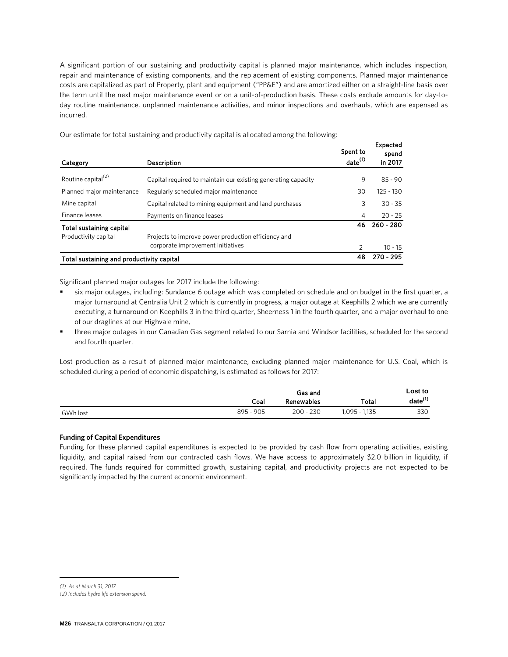A significant portion of our sustaining and productivity capital is planned major maintenance, which includes inspection, repair and maintenance of existing components, and the replacement of existing components. Planned major maintenance costs are capitalized as part of Property, plant and equipment ("PP&E") and are amortized either on a straight-line basis over the term until the next major maintenance event or on a unit-of-production basis. These costs exclude amounts for day-today routine maintenance, unplanned maintenance activities, and minor inspections and overhauls, which are expensed as incurred.

Category Description Spent to date(1) Expected spend in 2017 Routine capital<sup>(2)</sup>  $\qquad \qquad$  Capital required to maintain our existing generating capacity  $\qquad \qquad \qquad 9 \qquad 85$  - 90 Planned major maintenance Regularly scheduled major maintenance and the state of the state of 125 - 130 Mine capital **3** 30 - 35 Capital related to mining equipment and land purchases 3 330 - 35 Finance leases 4 20 - 25 Payments on finance leases Total sustaining capital and the control of the control of the control of the control of the control of the control of the control of the control of the control of the control of the control of the control of the control o Productivity capital 2 10 - 15 Total sustaining and productivity capital 48 270 - 295 Projects to improve power production efficiency and corporate improvement initiatives

Our estimate for total sustaining and productivity capital is allocated among the following:

Significant planned major outages for 2017 include the following:

- six major outages, including: Sundance 6 outage which was completed on schedule and on budget in the first quarter, a major turnaround at Centralia Unit 2 which is currently in progress, a major outage at Keephills 2 which we are currently executing, a turnaround on Keephills 3 in the third quarter, Sheerness 1 in the fourth quarter, and a major overhaul to one of our draglines at our Highvale mine,
- three major outages in our Canadian Gas segment related to our Sarnia and Windsor facilities, scheduled for the second and fourth quarter.

Lost production as a result of planned major maintenance, excluding planned major maintenance for U.S. Coal, which is scheduled during a period of economic dispatching, is estimated as follows for 2017:

|          |           | Gas and           |              | Lost to      |
|----------|-----------|-------------------|--------------|--------------|
|          | Coal      | <b>Renewables</b> | Total        | $date^{(1)}$ |
| GWh lost | 895 - 905 | $200 - 230$       | .095 - 1.135 | 330          |

#### **Funding of Capital Expenditures**

Funding for these planned capital expenditures is expected to be provided by cash flow from operating activities, existing liquidity, and capital raised from our contracted cash flows. We have access to approximately \$2.0 billion in liquidity, if required. The funds required for committed growth, sustaining capital, and productivity projects are not expected to be significantly impacted by the current economic environment.

 $\overline{a}$ 

<span id="page-25-0"></span>*<sup>(1)</sup> As at March 31, 2017.*

*<sup>(2)</sup> Includes hydro life extension spend.*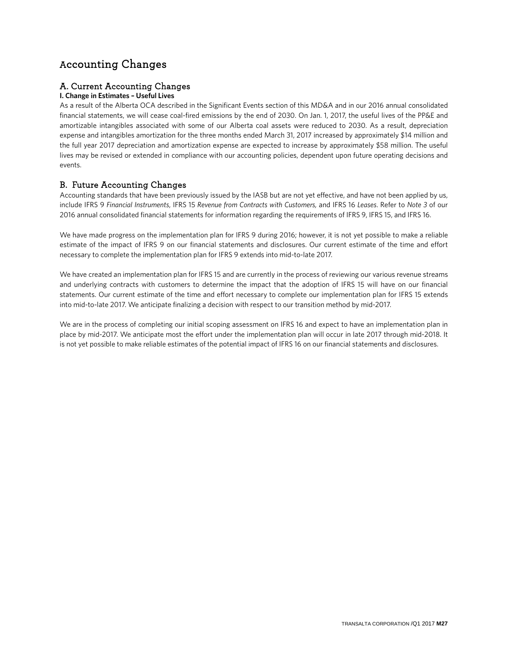### Accounting Changes

### A. Current Accounting Changes

### **I. Change in Estimates – Useful Lives**

As a result of the Alberta OCA described in the Significant Events section of this MD&A and in our 2016 annual consolidated financial statements, we will cease coal-fired emissions by the end of 2030. On Jan. 1, 2017, the useful lives of the PP&E and amortizable intangibles associated with some of our Alberta coal assets were reduced to 2030. As a result, depreciation expense and intangibles amortization for the three months ended March 31, 2017 increased by approximately \$14 million and the full year 2017 depreciation and amortization expense are expected to increase by approximately \$58 million. The useful lives may be revised or extended in compliance with our accounting policies, dependent upon future operating decisions and events.

### B. Future Accounting Changes

Accounting standards that have been previously issued by the IASB but are not yet effective, and have not been applied by us, include IFRS 9 *Financial Instruments*, IFRS 15 *Revenue from Contracts with Customers,* and IFRS 16 *Leases*. Refer to *Note 3* of our 2016 annual consolidated financial statements for information regarding the requirements of IFRS 9, IFRS 15, and IFRS 16.

We have made progress on the implementation plan for IFRS 9 during 2016; however, it is not yet possible to make a reliable estimate of the impact of IFRS 9 on our financial statements and disclosures. Our current estimate of the time and effort necessary to complete the implementation plan for IFRS 9 extends into mid-to-late 2017.

We have created an implementation plan for IFRS 15 and are currently in the process of reviewing our various revenue streams and underlying contracts with customers to determine the impact that the adoption of IFRS 15 will have on our financial statements. Our current estimate of the time and effort necessary to complete our implementation plan for IFRS 15 extends into mid-to-late 2017. We anticipate finalizing a decision with respect to our transition method by mid-2017.

We are in the process of completing our initial scoping assessment on IFRS 16 and expect to have an implementation plan in place by mid-2017. We anticipate most the effort under the implementation plan will occur in late 2017 through mid-2018. It is not yet possible to make reliable estimates of the potential impact of IFRS 16 on our financial statements and disclosures.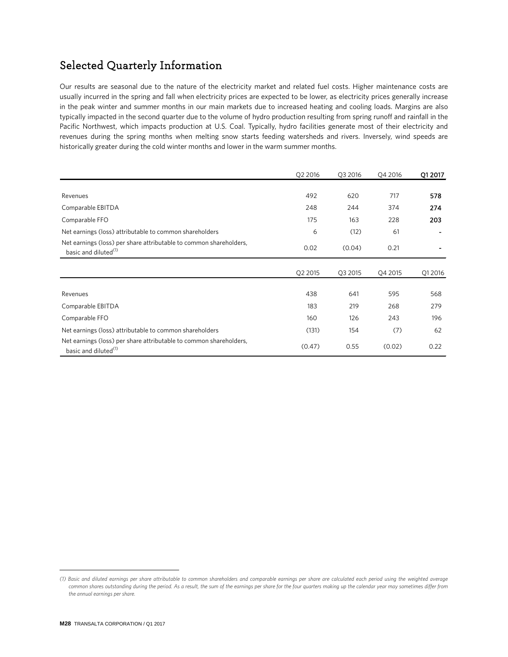## Selected Quarterly Information

Our results are seasonal due to the nature of the electricity market and related fuel costs. Higher maintenance costs are usually incurred in the spring and fall when electricity prices are expected to be lower, as electricity prices generally increase in the peak winter and summer months in our main markets due to increased heating and cooling loads. Margins are also typically impacted in the second quarter due to the volume of hydro production resulting from spring runoff and rainfall in the Pacific Northwest, which impacts production at U.S. Coal. Typically, hydro facilities generate most of their electricity and revenues during the spring months when melting snow starts feeding watersheds and rivers. Inversely, wind speeds are historically greater during the cold winter months and lower in the warm summer months.

|                                                                                                        | Q2 2016 | Q3 2016 | Q4 2016 | Q1 2017 |
|--------------------------------------------------------------------------------------------------------|---------|---------|---------|---------|
|                                                                                                        |         |         |         |         |
| Revenues                                                                                               | 492     | 620     | 717     | 578     |
| Comparable EBITDA                                                                                      | 248     | 244     | 374     | 274     |
| Comparable FFO                                                                                         | 175     | 163     | 228     | 203     |
| Net earnings (loss) attributable to common shareholders                                                | 6       | (12)    | 61      |         |
| Net earnings (loss) per share attributable to common shareholders,<br>basic and diluted <sup>(1)</sup> | 0.02    | (0.04)  | 0.21    |         |
|                                                                                                        |         |         |         |         |
|                                                                                                        | Q2 2015 | Q3 2015 | Q4 2015 | Q1 2016 |
| Revenues                                                                                               | 438     | 641     | 595     | 568     |
| Comparable EBITDA                                                                                      | 183     | 219     | 268     | 279     |
| Comparable FFO                                                                                         | 160     | 126     | 243     | 196     |
| Net earnings (loss) attributable to common shareholders                                                | (131)   | 154     | (7)     | 62      |
| Net earnings (loss) per share attributable to common shareholders,<br>basic and diluted <sup>(1)</sup> | (0.47)  | 0.55    | (0.02)  | 0.22    |

 $\overline{a}$ 

<span id="page-27-0"></span>*<sup>(1)</sup> Basic and diluted earnings per share attributable to common shareholders and comparable earnings per share are calculated each period using the weighted average common shares outstanding during the period. As a result, the sum of the earnings per share for the four quarters making up the calendar year may sometimes differ from the annual earnings per share.*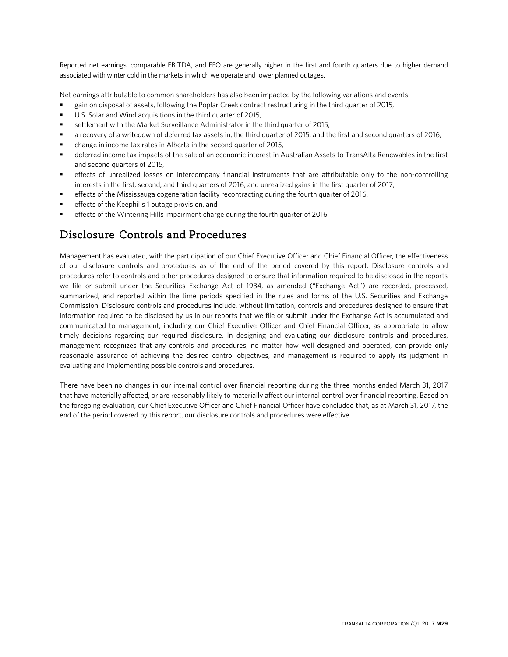Reported net earnings, comparable EBITDA, and FFO are generally higher in the first and fourth quarters due to higher demand associated with winter cold in the markets in which we operate and lower planned outages.

Net earnings attributable to common shareholders has also been impacted by the following variations and events:

- gain on disposal of assets, following the Poplar Creek contract restructuring in the third quarter of 2015,
- U.S. Solar and Wind acquisitions in the third quarter of 2015,
- settlement with the Market Surveillance Administrator in the third quarter of 2015,
- a recovery of a writedown of deferred tax assets in, the third quarter of 2015, and the first and second quarters of 2016,
- change in income tax rates in Alberta in the second quarter of 2015,
- deferred income tax impacts of the sale of an economic interest in Australian Assets to TransAlta Renewables in the first and second quarters of 2015,
- effects of unrealized losses on intercompany financial instruments that are attributable only to the non-controlling interests in the first, second, and third quarters of 2016, and unrealized gains in the first quarter of 2017,
- effects of the Mississauga cogeneration facility recontracting during the fourth quarter of 2016,
- effects of the Keephills 1 outage provision, and
- effects of the Wintering Hills impairment charge during the fourth quarter of 2016.

### Disclosure Controls and Procedures

Management has evaluated, with the participation of our Chief Executive Officer and Chief Financial Officer, the effectiveness of our disclosure controls and procedures as of the end of the period covered by this report. Disclosure controls and procedures refer to controls and other procedures designed to ensure that information required to be disclosed in the reports we file or submit under the Securities Exchange Act of 1934, as amended ("Exchange Act") are recorded, processed, summarized, and reported within the time periods specified in the rules and forms of the U.S. Securities and Exchange Commission. Disclosure controls and procedures include, without limitation, controls and procedures designed to ensure that information required to be disclosed by us in our reports that we file or submit under the Exchange Act is accumulated and communicated to management, including our Chief Executive Officer and Chief Financial Officer, as appropriate to allow timely decisions regarding our required disclosure. In designing and evaluating our disclosure controls and procedures, management recognizes that any controls and procedures, no matter how well designed and operated, can provide only reasonable assurance of achieving the desired control objectives, and management is required to apply its judgment in evaluating and implementing possible controls and procedures.

There have been no changes in our internal control over financial reporting during the three months ended March 31, 2017 that have materially affected, or are reasonably likely to materially affect our internal control over financial reporting. Based on the foregoing evaluation, our Chief Executive Officer and Chief Financial Officer have concluded that, as at March 31, 2017, the end of the period covered by this report, our disclosure controls and procedures were effective.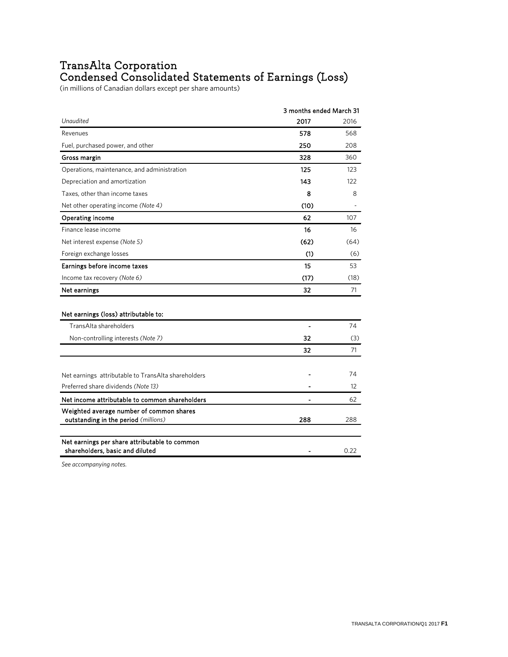### TransAlta Corporation Condensed Consolidated Statements of Earnings (Loss)

(in millions of Canadian dollars except per share amounts)

|                                                                                            | 3 months ended March 31 |      |
|--------------------------------------------------------------------------------------------|-------------------------|------|
| Unaudited                                                                                  | 2017                    | 2016 |
| Revenues                                                                                   | 578                     | 568  |
| Fuel, purchased power, and other                                                           | 250                     | 208  |
| Gross margin                                                                               | 328                     | 360  |
| Operations, maintenance, and administration                                                | 125                     | 123  |
| Depreciation and amortization                                                              | 143                     | 122  |
| Taxes, other than income taxes                                                             | 8                       | 8    |
| Net other operating income (Note 4)                                                        | (10)                    |      |
| Operating income                                                                           | 62                      | 107  |
| Finance lease income                                                                       | 16                      | 16   |
| Net interest expense (Note 5)                                                              | (62)                    | (64) |
| Foreign exchange losses                                                                    | (1)                     | (6)  |
| Earnings before income taxes                                                               | 15                      | 53   |
| Income tax recovery (Note 6)                                                               | (17)                    | (18) |
| Net earnings                                                                               | 32                      | 71   |
| Net earnings (loss) attributable to:                                                       |                         |      |
| TransAlta shareholders                                                                     | $\overline{a}$          | 74   |
| Non-controlling interests (Note 7)                                                         | 32                      | (3)  |
|                                                                                            | 32                      | 71   |
|                                                                                            |                         | 74   |
| Net earnings attributable to TransAlta shareholders<br>Preferred share dividends (Note 13) |                         | 12   |
|                                                                                            |                         |      |
| Net income attributable to common shareholders                                             |                         | 62   |
| Weighted average number of common shares<br>outstanding in the period (millions)           | 288                     | 288  |
|                                                                                            |                         |      |
| Net earnings per share attributable to common<br>shareholders, basic and diluted           |                         | 0.22 |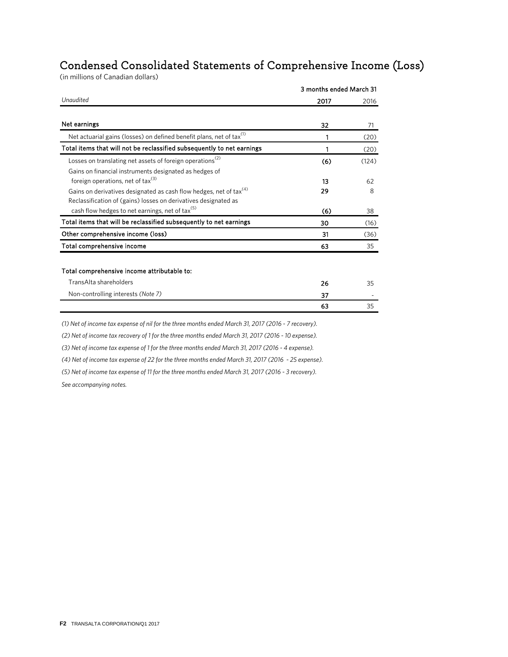### Condensed Consolidated Statements of Comprehensive Income (Loss)

(in millions of Canadian dollars)

|                                                                                  | 3 months ended March 31 |       |  |
|----------------------------------------------------------------------------------|-------------------------|-------|--|
| Unaudited                                                                        | 2017                    | 2016  |  |
| Net earnings                                                                     | 32                      | 71    |  |
| Net actuarial gains (losses) on defined benefit plans, net of tax <sup>(1)</sup> | 1                       | (20)  |  |
| Total items that will not be reclassified subsequently to net earnings           | 1                       | (20)  |  |
| Losses on translating net assets of foreign operations <sup>(2)</sup>            | (6)                     | (124) |  |
| Gains on financial instruments designated as hedges of                           |                         |       |  |
| foreign operations, net of tax $^{(3)}$                                          | 13                      | 62    |  |
| Gains on derivatives designated as cash flow hedges, net of tax <sup>(4)</sup>   | 29                      | 8     |  |
| Reclassification of (gains) losses on derivatives designated as                  |                         |       |  |
| cash flow hedges to net earnings, net of tax <sup>(5)</sup>                      | (6)                     | 38    |  |
| Total items that will be reclassified subsequently to net earnings               | 30                      | (16)  |  |
| Other comprehensive income (loss)                                                | 31                      | (36)  |  |
| Total comprehensive income                                                       | 63                      | 35    |  |
| Total comprehensive income attributable to:                                      |                         |       |  |
| Trans Alta shareholders                                                          | 26                      | 35    |  |
| Non-controlling interests (Note 7)                                               | 37                      |       |  |
|                                                                                  | 63                      | 35    |  |

*(1) Net of income tax expense of nil for the three months ended March 31, 2017 (2016 - 7 recovery).*

*(2) Net of income tax recovery of 1 for the three months ended March 31, 2017 (2016 - 10 expense).*

*(3) Net of income tax expense of 1 for the three months ended March 31, 2017 (2016 - 4 expense).*

*(4) Net of income tax expense of 22 for the three months ended March 31, 2017 (2016 - 25 expense).*

*(5) Net of income tax expense of 11 for the three months ended March 31, 2017 (2016 - 3 recovery).*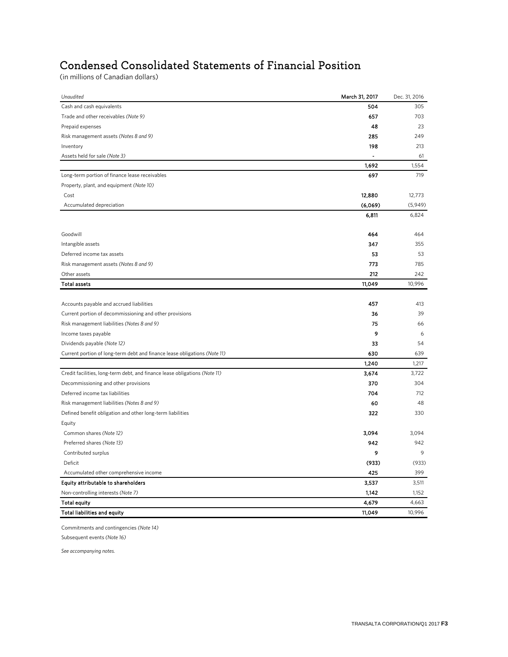# Condensed Consolidated Statements of Financial Position

(in millions of Canadian dollars)

| Cash and cash equivalents<br>504<br>305<br>Trade and other receivables (Note 9)<br>657<br>703<br>48<br>23<br>Prepaid expenses<br>285<br>249<br>Risk management assets (Notes 8 and 9)<br>198<br>Inventory<br>213<br>Assets held for sale (Note 3)<br>61<br>$\blacksquare$<br>1,692<br>1,554<br>719<br>Long-term portion of finance lease receivables<br>697<br>Property, plant, and equipment (Note 10)<br>12,880<br>Cost<br>12,773<br>(6,069)<br>Accumulated depreciation<br>6,811<br>6,824<br>Goodwill<br>464<br>464<br>Intangible assets<br>347<br>355<br>Deferred income tax assets<br>53<br>53<br>773<br>Risk management assets (Notes 8 and 9)<br>785<br>Other assets<br>212<br>242<br><b>Total assets</b><br>11,049<br>10,996<br>Accounts payable and accrued liabilities<br>457<br>413<br>Current portion of decommissioning and other provisions<br>36<br>39<br>Risk management liabilities (Notes 8 and 9)<br>75<br>66<br>9<br>Income taxes payable<br>6<br>33<br>Dividends payable (Note 12)<br>54<br>630<br>Current portion of long-term debt and finance lease obligations (Note 11)<br>639<br>1,240<br>1,217<br>Credit facilities, long-term debt, and finance lease obligations (Note 11)<br>3,674<br>3,722<br>Decommissioning and other provisions<br>370<br>304<br>Deferred income tax liabilities<br>704<br>712<br>Risk management liabilities (Notes 8 and 9)<br>60<br>48<br>Defined benefit obligation and other long-term liabilities<br>322<br>330<br>Equity<br>Common shares (Note 12)<br>3,094<br>3,094<br>Preferred shares (Note 13)<br>942<br>942<br>Contributed surplus<br>9<br>9<br>(933)<br>Deficit<br>(933)<br>Accumulated other comprehensive income<br>425<br>399<br>Equity attributable to shareholders<br>3,537<br>3,511<br>Non-controlling interests (Note 7)<br>1,142<br>1,152<br>4,679<br><b>Total equity</b><br>4,663<br>11,049<br>10,996<br>Total liabilities and equity | Unaudited | March 31, 2017 | Dec. 31, 2016 |
|-----------------------------------------------------------------------------------------------------------------------------------------------------------------------------------------------------------------------------------------------------------------------------------------------------------------------------------------------------------------------------------------------------------------------------------------------------------------------------------------------------------------------------------------------------------------------------------------------------------------------------------------------------------------------------------------------------------------------------------------------------------------------------------------------------------------------------------------------------------------------------------------------------------------------------------------------------------------------------------------------------------------------------------------------------------------------------------------------------------------------------------------------------------------------------------------------------------------------------------------------------------------------------------------------------------------------------------------------------------------------------------------------------------------------------------------------------------------------------------------------------------------------------------------------------------------------------------------------------------------------------------------------------------------------------------------------------------------------------------------------------------------------------------------------------------------------------------------------------------------------------------------------------------------|-----------|----------------|---------------|
|                                                                                                                                                                                                                                                                                                                                                                                                                                                                                                                                                                                                                                                                                                                                                                                                                                                                                                                                                                                                                                                                                                                                                                                                                                                                                                                                                                                                                                                                                                                                                                                                                                                                                                                                                                                                                                                                                                                 |           |                |               |
|                                                                                                                                                                                                                                                                                                                                                                                                                                                                                                                                                                                                                                                                                                                                                                                                                                                                                                                                                                                                                                                                                                                                                                                                                                                                                                                                                                                                                                                                                                                                                                                                                                                                                                                                                                                                                                                                                                                 |           |                |               |
|                                                                                                                                                                                                                                                                                                                                                                                                                                                                                                                                                                                                                                                                                                                                                                                                                                                                                                                                                                                                                                                                                                                                                                                                                                                                                                                                                                                                                                                                                                                                                                                                                                                                                                                                                                                                                                                                                                                 |           |                |               |
|                                                                                                                                                                                                                                                                                                                                                                                                                                                                                                                                                                                                                                                                                                                                                                                                                                                                                                                                                                                                                                                                                                                                                                                                                                                                                                                                                                                                                                                                                                                                                                                                                                                                                                                                                                                                                                                                                                                 |           |                |               |
|                                                                                                                                                                                                                                                                                                                                                                                                                                                                                                                                                                                                                                                                                                                                                                                                                                                                                                                                                                                                                                                                                                                                                                                                                                                                                                                                                                                                                                                                                                                                                                                                                                                                                                                                                                                                                                                                                                                 |           |                |               |
|                                                                                                                                                                                                                                                                                                                                                                                                                                                                                                                                                                                                                                                                                                                                                                                                                                                                                                                                                                                                                                                                                                                                                                                                                                                                                                                                                                                                                                                                                                                                                                                                                                                                                                                                                                                                                                                                                                                 |           |                |               |
|                                                                                                                                                                                                                                                                                                                                                                                                                                                                                                                                                                                                                                                                                                                                                                                                                                                                                                                                                                                                                                                                                                                                                                                                                                                                                                                                                                                                                                                                                                                                                                                                                                                                                                                                                                                                                                                                                                                 |           |                |               |
|                                                                                                                                                                                                                                                                                                                                                                                                                                                                                                                                                                                                                                                                                                                                                                                                                                                                                                                                                                                                                                                                                                                                                                                                                                                                                                                                                                                                                                                                                                                                                                                                                                                                                                                                                                                                                                                                                                                 |           |                |               |
|                                                                                                                                                                                                                                                                                                                                                                                                                                                                                                                                                                                                                                                                                                                                                                                                                                                                                                                                                                                                                                                                                                                                                                                                                                                                                                                                                                                                                                                                                                                                                                                                                                                                                                                                                                                                                                                                                                                 |           |                |               |
|                                                                                                                                                                                                                                                                                                                                                                                                                                                                                                                                                                                                                                                                                                                                                                                                                                                                                                                                                                                                                                                                                                                                                                                                                                                                                                                                                                                                                                                                                                                                                                                                                                                                                                                                                                                                                                                                                                                 |           |                |               |
|                                                                                                                                                                                                                                                                                                                                                                                                                                                                                                                                                                                                                                                                                                                                                                                                                                                                                                                                                                                                                                                                                                                                                                                                                                                                                                                                                                                                                                                                                                                                                                                                                                                                                                                                                                                                                                                                                                                 |           |                | (5,949)       |
|                                                                                                                                                                                                                                                                                                                                                                                                                                                                                                                                                                                                                                                                                                                                                                                                                                                                                                                                                                                                                                                                                                                                                                                                                                                                                                                                                                                                                                                                                                                                                                                                                                                                                                                                                                                                                                                                                                                 |           |                |               |
|                                                                                                                                                                                                                                                                                                                                                                                                                                                                                                                                                                                                                                                                                                                                                                                                                                                                                                                                                                                                                                                                                                                                                                                                                                                                                                                                                                                                                                                                                                                                                                                                                                                                                                                                                                                                                                                                                                                 |           |                |               |
|                                                                                                                                                                                                                                                                                                                                                                                                                                                                                                                                                                                                                                                                                                                                                                                                                                                                                                                                                                                                                                                                                                                                                                                                                                                                                                                                                                                                                                                                                                                                                                                                                                                                                                                                                                                                                                                                                                                 |           |                |               |
|                                                                                                                                                                                                                                                                                                                                                                                                                                                                                                                                                                                                                                                                                                                                                                                                                                                                                                                                                                                                                                                                                                                                                                                                                                                                                                                                                                                                                                                                                                                                                                                                                                                                                                                                                                                                                                                                                                                 |           |                |               |
|                                                                                                                                                                                                                                                                                                                                                                                                                                                                                                                                                                                                                                                                                                                                                                                                                                                                                                                                                                                                                                                                                                                                                                                                                                                                                                                                                                                                                                                                                                                                                                                                                                                                                                                                                                                                                                                                                                                 |           |                |               |
|                                                                                                                                                                                                                                                                                                                                                                                                                                                                                                                                                                                                                                                                                                                                                                                                                                                                                                                                                                                                                                                                                                                                                                                                                                                                                                                                                                                                                                                                                                                                                                                                                                                                                                                                                                                                                                                                                                                 |           |                |               |
|                                                                                                                                                                                                                                                                                                                                                                                                                                                                                                                                                                                                                                                                                                                                                                                                                                                                                                                                                                                                                                                                                                                                                                                                                                                                                                                                                                                                                                                                                                                                                                                                                                                                                                                                                                                                                                                                                                                 |           |                |               |
|                                                                                                                                                                                                                                                                                                                                                                                                                                                                                                                                                                                                                                                                                                                                                                                                                                                                                                                                                                                                                                                                                                                                                                                                                                                                                                                                                                                                                                                                                                                                                                                                                                                                                                                                                                                                                                                                                                                 |           |                |               |
|                                                                                                                                                                                                                                                                                                                                                                                                                                                                                                                                                                                                                                                                                                                                                                                                                                                                                                                                                                                                                                                                                                                                                                                                                                                                                                                                                                                                                                                                                                                                                                                                                                                                                                                                                                                                                                                                                                                 |           |                |               |
|                                                                                                                                                                                                                                                                                                                                                                                                                                                                                                                                                                                                                                                                                                                                                                                                                                                                                                                                                                                                                                                                                                                                                                                                                                                                                                                                                                                                                                                                                                                                                                                                                                                                                                                                                                                                                                                                                                                 |           |                |               |
|                                                                                                                                                                                                                                                                                                                                                                                                                                                                                                                                                                                                                                                                                                                                                                                                                                                                                                                                                                                                                                                                                                                                                                                                                                                                                                                                                                                                                                                                                                                                                                                                                                                                                                                                                                                                                                                                                                                 |           |                |               |
|                                                                                                                                                                                                                                                                                                                                                                                                                                                                                                                                                                                                                                                                                                                                                                                                                                                                                                                                                                                                                                                                                                                                                                                                                                                                                                                                                                                                                                                                                                                                                                                                                                                                                                                                                                                                                                                                                                                 |           |                |               |
|                                                                                                                                                                                                                                                                                                                                                                                                                                                                                                                                                                                                                                                                                                                                                                                                                                                                                                                                                                                                                                                                                                                                                                                                                                                                                                                                                                                                                                                                                                                                                                                                                                                                                                                                                                                                                                                                                                                 |           |                |               |
|                                                                                                                                                                                                                                                                                                                                                                                                                                                                                                                                                                                                                                                                                                                                                                                                                                                                                                                                                                                                                                                                                                                                                                                                                                                                                                                                                                                                                                                                                                                                                                                                                                                                                                                                                                                                                                                                                                                 |           |                |               |
|                                                                                                                                                                                                                                                                                                                                                                                                                                                                                                                                                                                                                                                                                                                                                                                                                                                                                                                                                                                                                                                                                                                                                                                                                                                                                                                                                                                                                                                                                                                                                                                                                                                                                                                                                                                                                                                                                                                 |           |                |               |
|                                                                                                                                                                                                                                                                                                                                                                                                                                                                                                                                                                                                                                                                                                                                                                                                                                                                                                                                                                                                                                                                                                                                                                                                                                                                                                                                                                                                                                                                                                                                                                                                                                                                                                                                                                                                                                                                                                                 |           |                |               |
|                                                                                                                                                                                                                                                                                                                                                                                                                                                                                                                                                                                                                                                                                                                                                                                                                                                                                                                                                                                                                                                                                                                                                                                                                                                                                                                                                                                                                                                                                                                                                                                                                                                                                                                                                                                                                                                                                                                 |           |                |               |
|                                                                                                                                                                                                                                                                                                                                                                                                                                                                                                                                                                                                                                                                                                                                                                                                                                                                                                                                                                                                                                                                                                                                                                                                                                                                                                                                                                                                                                                                                                                                                                                                                                                                                                                                                                                                                                                                                                                 |           |                |               |
|                                                                                                                                                                                                                                                                                                                                                                                                                                                                                                                                                                                                                                                                                                                                                                                                                                                                                                                                                                                                                                                                                                                                                                                                                                                                                                                                                                                                                                                                                                                                                                                                                                                                                                                                                                                                                                                                                                                 |           |                |               |
|                                                                                                                                                                                                                                                                                                                                                                                                                                                                                                                                                                                                                                                                                                                                                                                                                                                                                                                                                                                                                                                                                                                                                                                                                                                                                                                                                                                                                                                                                                                                                                                                                                                                                                                                                                                                                                                                                                                 |           |                |               |
|                                                                                                                                                                                                                                                                                                                                                                                                                                                                                                                                                                                                                                                                                                                                                                                                                                                                                                                                                                                                                                                                                                                                                                                                                                                                                                                                                                                                                                                                                                                                                                                                                                                                                                                                                                                                                                                                                                                 |           |                |               |
|                                                                                                                                                                                                                                                                                                                                                                                                                                                                                                                                                                                                                                                                                                                                                                                                                                                                                                                                                                                                                                                                                                                                                                                                                                                                                                                                                                                                                                                                                                                                                                                                                                                                                                                                                                                                                                                                                                                 |           |                |               |
|                                                                                                                                                                                                                                                                                                                                                                                                                                                                                                                                                                                                                                                                                                                                                                                                                                                                                                                                                                                                                                                                                                                                                                                                                                                                                                                                                                                                                                                                                                                                                                                                                                                                                                                                                                                                                                                                                                                 |           |                |               |
|                                                                                                                                                                                                                                                                                                                                                                                                                                                                                                                                                                                                                                                                                                                                                                                                                                                                                                                                                                                                                                                                                                                                                                                                                                                                                                                                                                                                                                                                                                                                                                                                                                                                                                                                                                                                                                                                                                                 |           |                |               |
|                                                                                                                                                                                                                                                                                                                                                                                                                                                                                                                                                                                                                                                                                                                                                                                                                                                                                                                                                                                                                                                                                                                                                                                                                                                                                                                                                                                                                                                                                                                                                                                                                                                                                                                                                                                                                                                                                                                 |           |                |               |
|                                                                                                                                                                                                                                                                                                                                                                                                                                                                                                                                                                                                                                                                                                                                                                                                                                                                                                                                                                                                                                                                                                                                                                                                                                                                                                                                                                                                                                                                                                                                                                                                                                                                                                                                                                                                                                                                                                                 |           |                |               |
|                                                                                                                                                                                                                                                                                                                                                                                                                                                                                                                                                                                                                                                                                                                                                                                                                                                                                                                                                                                                                                                                                                                                                                                                                                                                                                                                                                                                                                                                                                                                                                                                                                                                                                                                                                                                                                                                                                                 |           |                |               |
|                                                                                                                                                                                                                                                                                                                                                                                                                                                                                                                                                                                                                                                                                                                                                                                                                                                                                                                                                                                                                                                                                                                                                                                                                                                                                                                                                                                                                                                                                                                                                                                                                                                                                                                                                                                                                                                                                                                 |           |                |               |
|                                                                                                                                                                                                                                                                                                                                                                                                                                                                                                                                                                                                                                                                                                                                                                                                                                                                                                                                                                                                                                                                                                                                                                                                                                                                                                                                                                                                                                                                                                                                                                                                                                                                                                                                                                                                                                                                                                                 |           |                |               |
|                                                                                                                                                                                                                                                                                                                                                                                                                                                                                                                                                                                                                                                                                                                                                                                                                                                                                                                                                                                                                                                                                                                                                                                                                                                                                                                                                                                                                                                                                                                                                                                                                                                                                                                                                                                                                                                                                                                 |           |                |               |

Commitments and contingencies *(Note 14)*

Subsequent events *(Note 16)*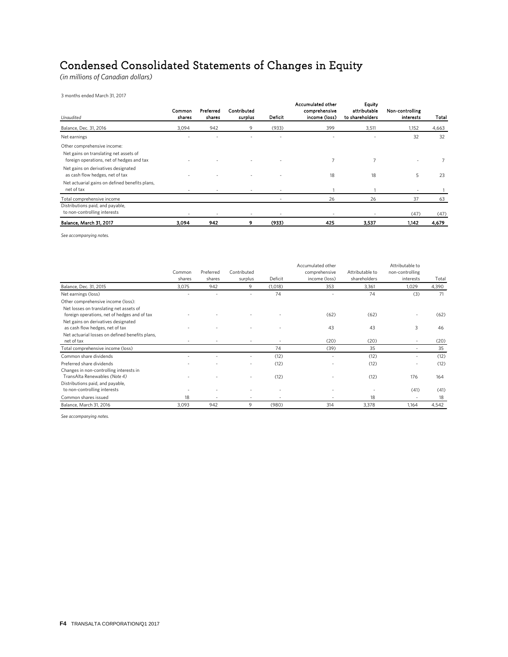# Condensed Consolidated Statements of Changes in Equity

*(in millions of Canadian dollars)*

3 months ended March 31, 2017

| Unaudited                                                                                                          | Common<br>shares | Preferred<br>shares | Contributed<br>surplus | Deficit | <b>Accumulated other</b><br>comprehensive<br>income (loss) | <b>Equity</b><br>attributable<br>to shareholders | Non-controlling<br><b>interests</b> | Total |
|--------------------------------------------------------------------------------------------------------------------|------------------|---------------------|------------------------|---------|------------------------------------------------------------|--------------------------------------------------|-------------------------------------|-------|
| Balance, Dec. 31, 2016                                                                                             | 3,094            | 942                 | 9                      | (933)   | 399                                                        | 3,511                                            | 1,152                               | 4,663 |
| Net earnings                                                                                                       |                  |                     |                        |         |                                                            |                                                  | 32                                  | 32    |
| Other comprehensive income:<br>Net gains on translating net assets of<br>foreign operations, net of hedges and tax |                  |                     |                        |         | 7                                                          | 7                                                |                                     |       |
| Net gains on derivatives designated<br>as cash flow hedges, net of tax                                             |                  |                     |                        |         | 18                                                         | 18                                               | 5                                   | 23    |
| Net actuarial gains on defined benefits plans,<br>net of tax                                                       |                  |                     |                        |         |                                                            |                                                  |                                     |       |
| Total comprehensive income                                                                                         |                  |                     |                        |         | 26                                                         | 26                                               | 37                                  | 63    |
| Distributions paid, and payable,<br>to non-controlling interests                                                   |                  |                     |                        |         |                                                            |                                                  | (47)                                | (47)  |
| Balance, March 31, 2017                                                                                            | 3.094            | 942                 | 9                      | (933)   | 425                                                        | 3,537                                            | 1,142                               | 4,679 |

*See accompanying notes.*

|                                                 |        |           |             |         | Accumulated other |                 | Attributable to |       |
|-------------------------------------------------|--------|-----------|-------------|---------|-------------------|-----------------|-----------------|-------|
|                                                 | Common | Preferred | Contributed |         | comprehensive     | Attributable to | non-controlling |       |
|                                                 | shares | shares    | surplus     | Deficit | income (loss)     | shareholders    | interests       | Total |
| Balance, Dec. 31, 2015                          | 3,075  | 942       | 9           | (1,018) | 353               | 3,361           | 1,029           | 4,390 |
| Net earnings (loss)                             |        |           |             | 74      |                   | 74              | (3)             | 71    |
| Other comprehensive income (loss):              |        |           |             |         |                   |                 |                 |       |
| Net losses on translating net assets of         |        |           |             |         |                   |                 |                 |       |
| foreign operations, net of hedges and of tax    |        |           |             |         | (62)              | (62)            |                 | (62)  |
| Net gains on derivatives designated             |        |           |             |         |                   |                 |                 |       |
| as cash flow hedges, net of tax                 |        |           |             |         | 43                | 43              | 3               | 46    |
| Net actuarial losses on defined benefits plans, |        |           |             |         |                   |                 |                 |       |
| net of tax                                      |        |           |             |         | (20)              | (20)            |                 | (20)  |
| Total comprehensive income (loss)               |        |           |             | 74      | (39)              | 35              |                 | 35    |
| Common share dividends                          |        |           |             | (12)    |                   | (12)            |                 | (12)  |
| Preferred share dividends                       |        |           |             | (12)    |                   | (12)            |                 | (12)  |
| Changes in non-controlling interests in         |        |           |             |         |                   |                 |                 |       |
| TransAlta Renewables (Note 4)                   |        |           |             | (12)    |                   | (12)            | 176             | 164   |
| Distributions paid, and payable,                |        |           |             |         |                   |                 |                 |       |
| to non-controlling interests                    |        |           |             | ٠       |                   |                 | (41)            | (41)  |
| Common shares issued                            | 18     | ٠         |             | ٠       |                   | 18              |                 | 18    |
| Balance, March 31, 2016                         | 3,093  | 942       | 9           | (980)   | 314               | 3,378           | 1,164           | 4,542 |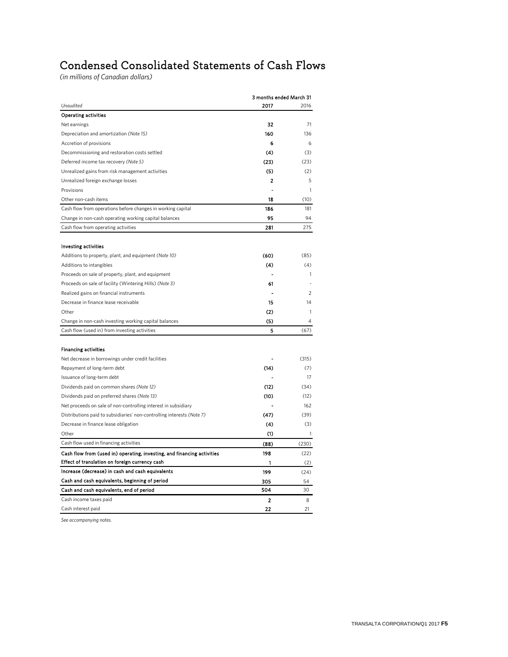# Condensed Consolidated Statements of Cash Flows

*(in millions of Canadian dollars)*

|                                                                         |                         | 3 months ended March 31 |  |  |
|-------------------------------------------------------------------------|-------------------------|-------------------------|--|--|
| Unaudited                                                               | 2017                    | 2016                    |  |  |
| <b>Operating activities</b>                                             |                         |                         |  |  |
| Net earnings                                                            | 32                      | 71                      |  |  |
| Depreciation and amortization (Note 15)                                 | 160                     | 136                     |  |  |
| Accretion of provisions                                                 | 6                       | 6                       |  |  |
| Decommissioning and restoration costs settled                           | (4)                     | (3)                     |  |  |
| Deferred income tax recovery (Note 5)                                   | (23)                    | (23)                    |  |  |
| Unrealized gains from risk management activities                        | (5)                     | (2)                     |  |  |
| Unrealized foreign exchange losses                                      | 2                       | 5                       |  |  |
| Provisions                                                              |                         | 1                       |  |  |
| Other non-cash items                                                    | 18                      | (10)                    |  |  |
| Cash flow from operations before changes in working capital             | 186                     | 181                     |  |  |
| Change in non-cash operating working capital balances                   | 95                      | $Q_{\Delta}$            |  |  |
| Cash flow from operating activities                                     | 281                     | 275                     |  |  |
|                                                                         |                         |                         |  |  |
| Investing activities                                                    |                         |                         |  |  |
| Additions to property, plant, and equipment (Note 10)                   | (60)                    | (85)                    |  |  |
| Additions to intangibles                                                | (4)                     | (4)                     |  |  |
| Proceeds on sale of property, plant, and equipment                      |                         | 1                       |  |  |
| Proceeds on sale of facility (Wintering Hills) (Note 3)                 | 61                      |                         |  |  |
| Realized gains on financial instruments                                 |                         | 2                       |  |  |
| Decrease in finance lease receivable                                    | 15                      | 14                      |  |  |
| Other                                                                   | (2)                     | 1                       |  |  |
| Change in non-cash investing working capital balances                   | (5)                     | $\overline{4}$          |  |  |
| Cash flow (used in) from investing activities                           | 5                       | (67)                    |  |  |
|                                                                         |                         |                         |  |  |
| <b>Financing activities</b>                                             |                         |                         |  |  |
| Net decrease in borrowings under credit facilities                      |                         | (315)                   |  |  |
| Repayment of long-term debt                                             | (14)                    | (7)                     |  |  |
| Issuance of long-term debt                                              |                         | 17                      |  |  |
| Dividends paid on common shares (Note 12)                               | (12)                    | (34)                    |  |  |
| Dividends paid on preferred shares (Note 13)                            | (10)                    | (12)                    |  |  |
| Net proceeds on sale of non-controlling interest in subsidiary          |                         | 162                     |  |  |
| Distributions paid to subsidiaries' non-controlling interests (Note 7)  | (47)                    | (39)                    |  |  |
| Decrease in finance lease obligation                                    | (4)                     | (3)                     |  |  |
| Other                                                                   | (1)                     | $\mathbf{1}$            |  |  |
| Cash flow used in financing activities                                  | (88)                    | (230)                   |  |  |
| Cash flow from (used in) operating, investing, and financing activities | 198                     | (22)                    |  |  |
| Effect of translation on foreign currency cash                          | 1                       | (2)                     |  |  |
| Increase (decrease) in cash and cash equivalents                        | 199                     | (24)                    |  |  |
| Cash and cash equivalents, beginning of period                          | 305                     | 54                      |  |  |
| Cash and cash equivalents, end of period                                | 504                     | 30                      |  |  |
| Cash income taxes paid                                                  | $\overline{\mathbf{2}}$ | 8                       |  |  |
| Cash interest paid                                                      | 22                      | 21                      |  |  |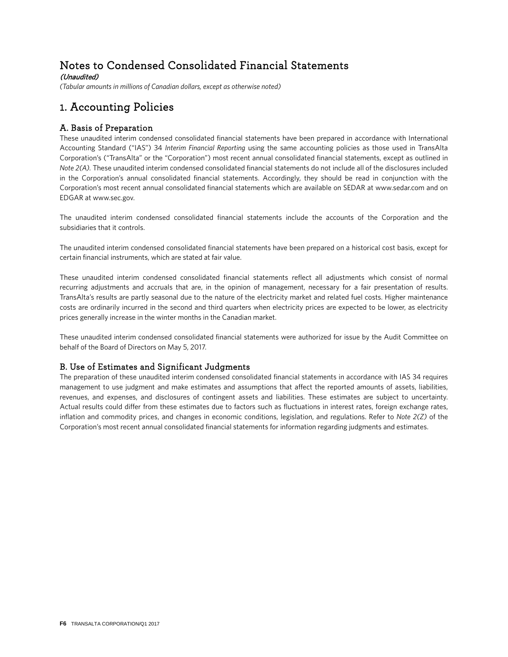# Notes to Condensed Consolidated Financial Statements

(Unaudited)

*(Tabular amounts in millions of Canadian dollars, except as otherwise noted)*

### 1. Accounting Policies

### A. Basis of Preparation

These unaudited interim condensed consolidated financial statements have been prepared in accordance with International Accounting Standard ("IAS") 34 *Interim Financial Reporting* using the same accounting policies as those used in TransAlta Corporation's ("TransAlta" or the "Corporation") most recent annual consolidated financial statements, except as outlined in *Note 2(A).* These unaudited interim condensed consolidated financial statements do not include all of the disclosures included in the Corporation's annual consolidated financial statements. Accordingly, they should be read in conjunction with the Corporation's most recent annual consolidated financial statements which are available on SEDAR at www.sedar.com and on EDGAR at www.sec.gov.

The unaudited interim condensed consolidated financial statements include the accounts of the Corporation and the subsidiaries that it controls.

The unaudited interim condensed consolidated financial statements have been prepared on a historical cost basis, except for certain financial instruments, which are stated at fair value.

These unaudited interim condensed consolidated financial statements reflect all adjustments which consist of normal recurring adjustments and accruals that are, in the opinion of management, necessary for a fair presentation of results. TransAlta's results are partly seasonal due to the nature of the electricity market and related fuel costs. Higher maintenance costs are ordinarily incurred in the second and third quarters when electricity prices are expected to be lower, as electricity prices generally increase in the winter months in the Canadian market.

These unaudited interim condensed consolidated financial statements were authorized for issue by the Audit Committee on behalf of the Board of Directors on May 5, 2017.

### B. Use of Estimates and Significant Judgments

The preparation of these unaudited interim condensed consolidated financial statements in accordance with IAS 34 requires management to use judgment and make estimates and assumptions that affect the reported amounts of assets, liabilities, revenues, and expenses, and disclosures of contingent assets and liabilities. These estimates are subject to uncertainty. Actual results could differ from these estimates due to factors such as fluctuations in interest rates, foreign exchange rates, inflation and commodity prices, and changes in economic conditions, legislation, and regulations. Refer to *Note 2(Z)* of the Corporation's most recent annual consolidated financial statements for information regarding judgments and estimates.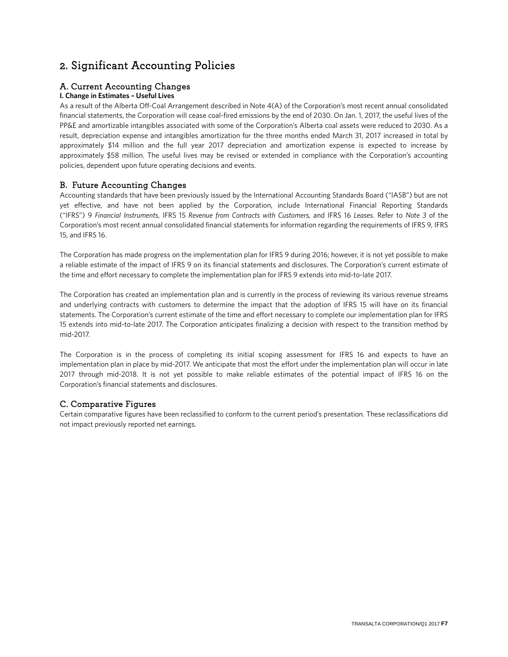### 2. Significant Accounting Policies

### A. Current Accounting Changes

### **I. Change in Estimates – Useful Lives**

As a result of the Alberta Off-Coal Arrangement described in Note 4(A) of the Corporation's most recent annual consolidated financial statements, the Corporation will cease coal-fired emissions by the end of 2030. On Jan. 1, 2017, the useful lives of the PP&E and amortizable intangibles associated with some of the Corporation's Alberta coal assets were reduced to 2030. As a result, depreciation expense and intangibles amortization for the three months ended March 31, 2017 increased in total by approximately \$14 million and the full year 2017 depreciation and amortization expense is expected to increase by approximately \$58 million. The useful lives may be revised or extended in compliance with the Corporation's accounting policies, dependent upon future operating decisions and events.

### B. Future Accounting Changes

Accounting standards that have been previously issued by the International Accounting Standards Board ("IASB") but are not yet effective, and have not been applied by the Corporation, include International Financial Reporting Standards ("IFRS") 9 *Financial Instruments*, IFRS 15 *Revenue from Contracts with Customers,* and IFRS 16 *Leases*. Refer to *Note 3* of the Corporation's most recent annual consolidated financial statements for information regarding the requirements of IFRS 9, IFRS 15, and IFRS 16.

The Corporation has made progress on the implementation plan for IFRS 9 during 2016; however, it is not yet possible to make a reliable estimate of the impact of IFRS 9 on its financial statements and disclosures. The Corporation's current estimate of the time and effort necessary to complete the implementation plan for IFRS 9 extends into mid-to-late 2017.

The Corporation has created an implementation plan and is currently in the process of reviewing its various revenue streams and underlying contracts with customers to determine the impact that the adoption of IFRS 15 will have on its financial statements. The Corporation's current estimate of the time and effort necessary to complete our implementation plan for IFRS 15 extends into mid-to-late 2017. The Corporation anticipates finalizing a decision with respect to the transition method by mid-2017.

The Corporation is in the process of completing its initial scoping assessment for IFRS 16 and expects to have an implementation plan in place by mid-2017. We anticipate that most the effort under the implementation plan will occur in late 2017 through mid-2018. It is not yet possible to make reliable estimates of the potential impact of IFRS 16 on the Corporation's financial statements and disclosures.

### C. Comparative Figures

Certain comparative figures have been reclassified to conform to the current period's presentation. These reclassifications did not impact previously reported net earnings.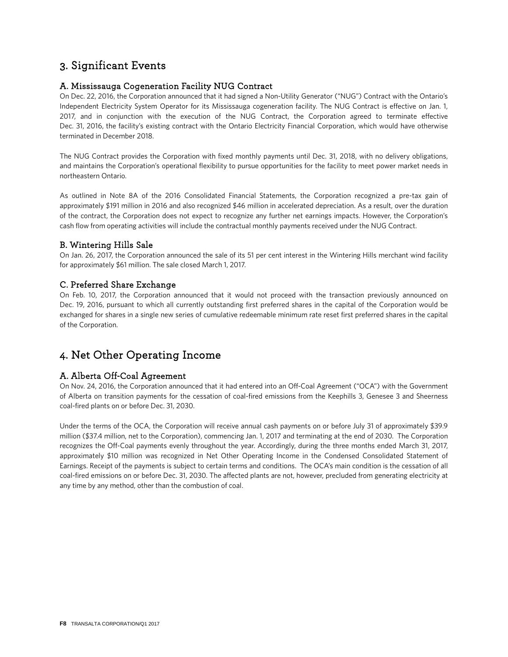### 3. Significant Events

### A. Mississauga Cogeneration Facility NUG Contract

On Dec. 22, 2016, the Corporation announced that it had signed a Non-Utility Generator ("NUG") Contract with the Ontario's Independent Electricity System Operator for its Mississauga cogeneration facility. The NUG Contract is effective on Jan. 1, 2017, and in conjunction with the execution of the NUG Contract, the Corporation agreed to terminate effective Dec. 31, 2016, the facility's existing contract with the Ontario Electricity Financial Corporation, which would have otherwise terminated in December 2018.

The NUG Contract provides the Corporation with fixed monthly payments until Dec. 31, 2018, with no delivery obligations, and maintains the Corporation's operational flexibility to pursue opportunities for the facility to meet power market needs in northeastern Ontario.

As outlined in Note 8A of the 2016 Consolidated Financial Statements, the Corporation recognized a pre-tax gain of approximately \$191 million in 2016 and also recognized \$46 million in accelerated depreciation. As a result, over the duration of the contract, the Corporation does not expect to recognize any further net earnings impacts. However, the Corporation's cash flow from operating activities will include the contractual monthly payments received under the NUG Contract.

### B. Wintering Hills Sale

On Jan. 26, 2017, the Corporation announced the sale of its 51 per cent interest in the Wintering Hills merchant wind facility for approximately \$61 million. The sale closed March 1, 2017.

### C. Preferred Share Exchange

On Feb. 10, 2017, the Corporation announced that it would not proceed with the transaction previously announced on Dec. 19, 2016, pursuant to which all currently outstanding first preferred shares in the capital of the Corporation would be exchanged for shares in a single new series of cumulative redeemable minimum rate reset first preferred shares in the capital of the Corporation.

### 4. Net Other Operating Income

### A. Alberta Off-Coal Agreement

On Nov. 24, 2016, the Corporation announced that it had entered into an Off-Coal Agreement ("OCA") with the Government of Alberta on transition payments for the cessation of coal-fired emissions from the Keephills 3, Genesee 3 and Sheerness coal-fired plants on or before Dec. 31, 2030.

Under the terms of the OCA, the Corporation will receive annual cash payments on or before July 31 of approximately \$39.9 million (\$37.4 million, net to the Corporation), commencing Jan. 1, 2017 and terminating at the end of 2030. The Corporation recognizes the Off-Coal payments evenly throughout the year. Accordingly, during the three months ended March 31, 2017, approximately \$10 million was recognized in Net Other Operating Income in the Condensed Consolidated Statement of Earnings. Receipt of the payments is subject to certain terms and conditions. The OCA's main condition is the cessation of all coal-fired emissions on or before Dec. 31, 2030. The affected plants are not, however, precluded from generating electricity at any time by any method, other than the combustion of coal.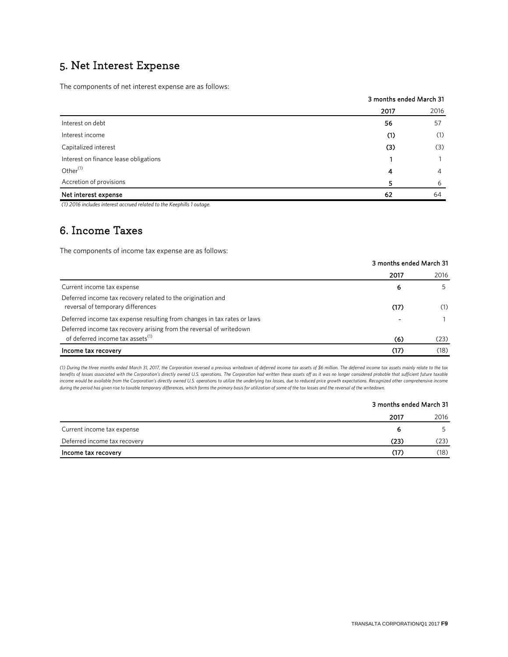### 5. Net Interest Expense

The components of net interest expense are as follows:

|                                       |      | 3 months ended March 31 |  |  |
|---------------------------------------|------|-------------------------|--|--|
|                                       | 2017 | 2016                    |  |  |
| Interest on debt                      | 56   | 57                      |  |  |
| Interest income                       | (1)  | (1)                     |  |  |
| Capitalized interest                  | (3)  | (3)                     |  |  |
| Interest on finance lease obligations |      |                         |  |  |
| Other <sup>(1)</sup>                  | 4    | 4                       |  |  |
| Accretion of provisions               | 5    | 6                       |  |  |
| Net interest expense                  | 62   | 64                      |  |  |

*(1) 2016 includes interest accrued related to the Keephills 1 outage.*

### 6. Income Taxes

The components of income tax expense are as follows:

|                                                                                                  | 2017 | 2016 |
|--------------------------------------------------------------------------------------------------|------|------|
| Current income tax expense                                                                       | 6    | 5.   |
| Deferred income tax recovery related to the origination and<br>reversal of temporary differences | (17) | (1)  |
| Deferred income tax expense resulting from changes in tax rates or laws                          |      |      |
| Deferred income tax recovery arising from the reversal of writedown                              |      |      |
| of deferred income tax assets <sup>(1)</sup>                                                     | (6)  | (23) |
| Income tax recovery                                                                              | (17) | (18) |

*(1) During the three months ended March 31, 2017, the Corporation reversed a previous writedown of deferred income tax assets of \$6 million. The deferred income tax assets mainly relate to the tax benefits of losses associated with the Corporation's directly owned U.S. operations. The Corporation had written these assets off as it was no longer considered probable that sufficient future taxable income would be available from the Corporation's directly owned U.S. operations to utilize the underlying tax losses, due to reduced price growth expectations. Recognized other comprehensive income during the period has given rise to taxable temporary differences, which forms the primary basis for utilization of some of the tax losses and the reversal of the writedown.*

### 3 months ended March 31

3 months ended March 31

|                              | 2017 | 2016 |
|------------------------------|------|------|
| Current income tax expense   |      |      |
| Deferred income tax recovery | (23) | (23) |
| Income tax recovery          | (17) | (18) |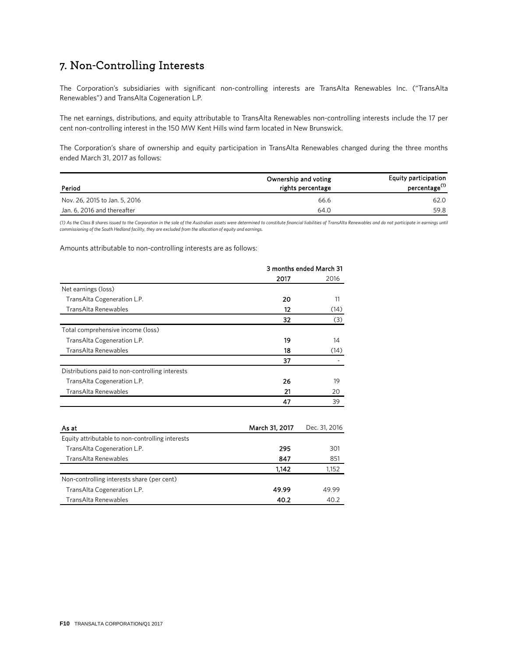### 7. Non-Controlling Interests

The Corporation's subsidiaries with significant non-controlling interests are TransAlta Renewables Inc. ("TransAlta Renewables") and TransAlta Cogeneration L.P.

The net earnings, distributions, and equity attributable to TransAlta Renewables non-controlling interests include the 17 per cent non-controlling interest in the 150 MW Kent Hills wind farm located in New Brunswick.

The Corporation's share of ownership and equity participation in TransAlta Renewables changed during the three months ended March 31, 2017 as follows:

| Period                        | Ownership and voting<br>rights percentage | <b>Equity participation</b><br>percentage <sup>(1)</sup> |
|-------------------------------|-------------------------------------------|----------------------------------------------------------|
| Nov. 26, 2015 to Jan. 5, 2016 | 66.6                                      | 62.0                                                     |
| Jan. 6, 2016 and thereafter   | 64.0                                      | 59.8                                                     |

*(1) As the Class B shares issued to the Corporation in the sale of the Australian assets were determined to constitute financial liabilities of TransAlta Renewables and do not participate in earnings until commissioning of the South Hedland facility, they are excluded from the allocation of equity and earnings.*

Amounts attributable to non-controlling interests are as follows:

|                                                  | 3 months ended March 31 |               |  |
|--------------------------------------------------|-------------------------|---------------|--|
|                                                  | 2017                    | 2016          |  |
| Net earnings (loss)                              |                         |               |  |
| TransAlta Cogeneration L.P.                      | 20                      | 11            |  |
| TransAlta Renewables                             | 12                      | (14)          |  |
|                                                  | 32                      | (3)           |  |
| Total comprehensive income (loss)                |                         |               |  |
| TransAlta Cogeneration L.P.                      | 19                      | 14            |  |
| TransAlta Renewables                             | 18                      | (14)          |  |
|                                                  | 37                      |               |  |
| Distributions paid to non-controlling interests  |                         |               |  |
| TransAlta Cogeneration L.P.                      | 26                      | 19            |  |
| TransAlta Renewables                             | 21                      | 20            |  |
|                                                  | 47                      | 39            |  |
| As at                                            | March 31, 2017          | Dec. 31, 2016 |  |
| Equity attributable to non-controlling interests |                         |               |  |
| TransAlta Cogeneration L.P.                      | 295                     | 301           |  |
| TransAlta Renewables                             | 847                     | 851           |  |
|                                                  | 1,142                   | 1,152         |  |
| Non-controlling interests share (per cent)       |                         |               |  |
| TransAlta Cogeneration L.P.                      | 49.99                   | 49.99         |  |
| TransAlta Renewables                             | 40.2                    | 40.2          |  |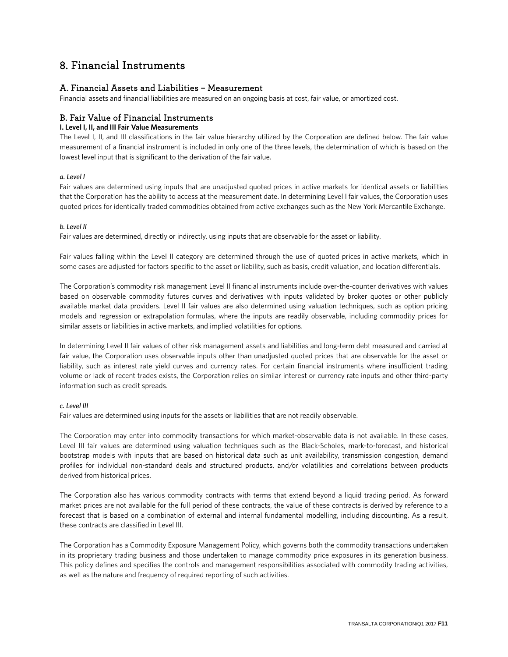### 8. Financial Instruments

### A. Financial Assets and Liabilities – Measurement

Financial assets and financial liabilities are measured on an ongoing basis at cost, fair value, or amortized cost.

### B. Fair Value of Financial Instruments

### **I. Level I, II, and III Fair Value Measurements**

The Level I, II, and III classifications in the fair value hierarchy utilized by the Corporation are defined below. The fair value measurement of a financial instrument is included in only one of the three levels, the determination of which is based on the lowest level input that is significant to the derivation of the fair value.

### *a. Level I*

Fair values are determined using inputs that are unadjusted quoted prices in active markets for identical assets or liabilities that the Corporation has the ability to access at the measurement date. In determining Level I fair values, the Corporation uses quoted prices for identically traded commodities obtained from active exchanges such as the New York Mercantile Exchange.

### *b. Level II*

Fair values are determined, directly or indirectly, using inputs that are observable for the asset or liability.

Fair values falling within the Level II category are determined through the use of quoted prices in active markets, which in some cases are adjusted for factors specific to the asset or liability, such as basis, credit valuation, and location differentials.

The Corporation's commodity risk management Level II financial instruments include over-the-counter derivatives with values based on observable commodity futures curves and derivatives with inputs validated by broker quotes or other publicly available market data providers. Level II fair values are also determined using valuation techniques, such as option pricing models and regression or extrapolation formulas, where the inputs are readily observable, including commodity prices for similar assets or liabilities in active markets, and implied volatilities for options.

In determining Level II fair values of other risk management assets and liabilities and long-term debt measured and carried at fair value, the Corporation uses observable inputs other than unadjusted quoted prices that are observable for the asset or liability, such as interest rate yield curves and currency rates. For certain financial instruments where insufficient trading volume or lack of recent trades exists, the Corporation relies on similar interest or currency rate inputs and other third-party information such as credit spreads.

### *c. Level III*

Fair values are determined using inputs for the assets or liabilities that are not readily observable.

The Corporation may enter into commodity transactions for which market-observable data is not available. In these cases, Level III fair values are determined using valuation techniques such as the Black-Scholes, mark-to-forecast, and historical bootstrap models with inputs that are based on historical data such as unit availability, transmission congestion, demand profiles for individual non-standard deals and structured products, and/or volatilities and correlations between products derived from historical prices.

The Corporation also has various commodity contracts with terms that extend beyond a liquid trading period. As forward market prices are not available for the full period of these contracts, the value of these contracts is derived by reference to a forecast that is based on a combination of external and internal fundamental modelling, including discounting. As a result, these contracts are classified in Level III.

The Corporation has a Commodity Exposure Management Policy, which governs both the commodity transactions undertaken in its proprietary trading business and those undertaken to manage commodity price exposures in its generation business. This policy defines and specifies the controls and management responsibilities associated with commodity trading activities, as well as the nature and frequency of required reporting of such activities.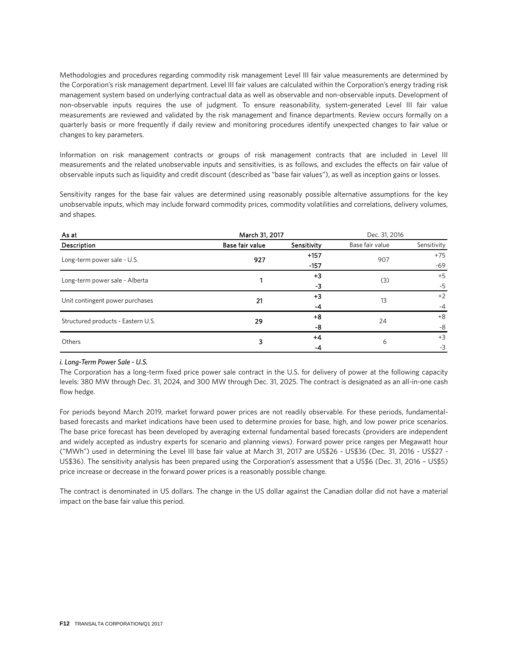Methodologies and procedures regarding commodity risk management Level III fair value measurements are determined by the Corporation's risk management department. Level III fair values are calculated within the Corporation's energy trading risk management system based on underlying contractual data as well as observable and non-observable inputs. Development of non-observable inputs requires the use of judgment. To ensure reasonability, system-generated Level III fair value measurements are reviewed and validated by the risk management and finance departments. Review occurs formally on a quarterly basis or more frequently if daily review and monitoring procedures identify unexpected changes to fair value or changes to key parameters.

Information on risk management contracts or groups of risk management contracts that are included in Level III measurements and the related unobservable inputs and sensitivities, is as follows, and excludes the effects on fair value of observable inputs such as liquidity and credit discount (described as "base fair values"), as well as inception gains or losses.

Sensitivity ranges for the base fair values are determined using reasonably possible alternative assumptions for the key unobservable inputs, which may include forward commodity prices, commodity volatilities and correlations, delivery volumes, and shapes.

| As at                              | March 31, 2017  |             | Dec. 31, 2016   |             |
|------------------------------------|-----------------|-------------|-----------------|-------------|
| Description                        | Base fair value | Sensitivity | Base fair value | Sensitivity |
| Long-term power sale - U.S.        | 927             | $+157$      | 907             | $+75$       |
|                                    |                 | $-157$      |                 | $-69$       |
| Long-term power sale - Alberta     |                 | $+3$        | (3)             | $+5$        |
|                                    |                 | -3          |                 | $-5$        |
| Unit contingent power purchases    | 21              | $+3$        | 13              | $+2$        |
|                                    |                 | $-4$        |                 | $-4$        |
| Structured products - Eastern U.S. | 29              | $+8$        | 24              | $+8$        |
|                                    |                 | -8          |                 | -8          |
| Others                             | 3               | $+4$        | 6               | $+3$        |
|                                    |                 | -4          |                 | $-3$        |

### *i. Long-Term Power Sale - U.S.*

The Corporation has a long-term fixed price power sale contract in the U.S. for delivery of power at the following capacity levels: 380 MW through Dec. 31, 2024, and 300 MW through Dec. 31, 2025. The contract is designated as an all-in-one cash flow hedge.

For periods beyond March 2019, market forward power prices are not readily observable. For these periods, fundamentalbased forecasts and market indications have been used to determine proxies for base, high, and low power price scenarios. The base price forecast has been developed by averaging external fundamental based forecasts (providers are independent and widely accepted as industry experts for scenario and planning views). Forward power price ranges per Megawatt hour ("MWh") used in determining the Level III base fair value at March 31, 2017 are US\$26 - US\$36 (Dec. 31, 2016 - US\$27 - US\$36). The sensitivity analysis has been prepared using the Corporation's assessment that a US\$6 (Dec. 31, 2016 – US\$5) price increase or decrease in the forward power prices is a reasonably possible change.

The contract is denominated in US dollars. The change in the US dollar against the Canadian dollar did not have a material impact on the base fair value this period.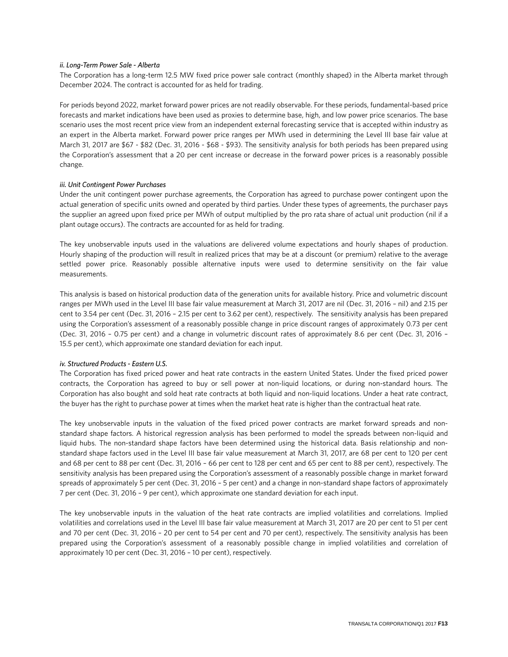#### *ii. Long-Term Power Sale - Alberta*

The Corporation has a long-term 12.5 MW fixed price power sale contract (monthly shaped) in the Alberta market through December 2024. The contract is accounted for as held for trading.

For periods beyond 2022, market forward power prices are not readily observable. For these periods, fundamental-based price forecasts and market indications have been used as proxies to determine base, high, and low power price scenarios. The base scenario uses the most recent price view from an independent external forecasting service that is accepted within industry as an expert in the Alberta market. Forward power price ranges per MWh used in determining the Level III base fair value at March 31, 2017 are \$67 - \$82 (Dec. 31, 2016 - \$68 - \$93). The sensitivity analysis for both periods has been prepared using the Corporation's assessment that a 20 per cent increase or decrease in the forward power prices is a reasonably possible change.

#### *iii. Unit Contingent Power Purchases*

Under the unit contingent power purchase agreements, the Corporation has agreed to purchase power contingent upon the actual generation of specific units owned and operated by third parties. Under these types of agreements, the purchaser pays the supplier an agreed upon fixed price per MWh of output multiplied by the pro rata share of actual unit production (nil if a plant outage occurs). The contracts are accounted for as held for trading.

The key unobservable inputs used in the valuations are delivered volume expectations and hourly shapes of production. Hourly shaping of the production will result in realized prices that may be at a discount (or premium) relative to the average settled power price. Reasonably possible alternative inputs were used to determine sensitivity on the fair value measurements.

This analysis is based on historical production data of the generation units for available history. Price and volumetric discount ranges per MWh used in the Level III base fair value measurement at March 31, 2017 are nil (Dec. 31, 2016 – nil) and 2.15 per cent to 3.54 per cent (Dec. 31, 2016 – 2.15 per cent to 3.62 per cent), respectively. The sensitivity analysis has been prepared using the Corporation's assessment of a reasonably possible change in price discount ranges of approximately 0.73 per cent (Dec. 31, 2016 – 0.75 per cent) and a change in volumetric discount rates of approximately 8.6 per cent (Dec. 31, 2016 – 15.5 per cent), which approximate one standard deviation for each input.

#### *iv. Structured Products - Eastern U.S.*

The Corporation has fixed priced power and heat rate contracts in the eastern United States. Under the fixed priced power contracts, the Corporation has agreed to buy or sell power at non-liquid locations, or during non-standard hours. The Corporation has also bought and sold heat rate contracts at both liquid and non-liquid locations. Under a heat rate contract, the buyer has the right to purchase power at times when the market heat rate is higher than the contractual heat rate.

The key unobservable inputs in the valuation of the fixed priced power contracts are market forward spreads and nonstandard shape factors. A historical regression analysis has been performed to model the spreads between non-liquid and liquid hubs. The non-standard shape factors have been determined using the historical data. Basis relationship and nonstandard shape factors used in the Level III base fair value measurement at March 31, 2017, are 68 per cent to 120 per cent and 68 per cent to 88 per cent (Dec. 31, 2016 – 66 per cent to 128 per cent and 65 per cent to 88 per cent), respectively. The sensitivity analysis has been prepared using the Corporation's assessment of a reasonably possible change in market forward spreads of approximately 5 per cent (Dec. 31, 2016 – 5 per cent) and a change in non-standard shape factors of approximately 7 per cent (Dec. 31, 2016 – 9 per cent), which approximate one standard deviation for each input.

The key unobservable inputs in the valuation of the heat rate contracts are implied volatilities and correlations. Implied volatilities and correlations used in the Level III base fair value measurement at March 31, 2017 are 20 per cent to 51 per cent and 70 per cent (Dec. 31, 2016 – 20 per cent to 54 per cent and 70 per cent), respectively. The sensitivity analysis has been prepared using the Corporation's assessment of a reasonably possible change in implied volatilities and correlation of approximately 10 per cent (Dec. 31, 2016 – 10 per cent), respectively.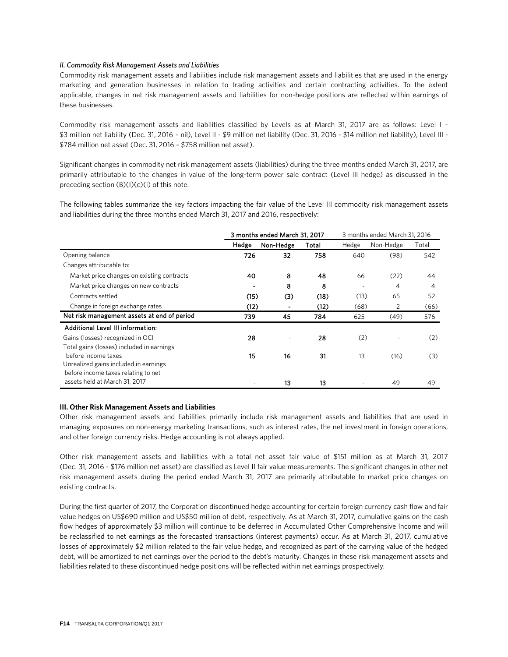#### *II. Commodity Risk Management Assets and Liabilities*

Commodity risk management assets and liabilities include risk management assets and liabilities that are used in the energy marketing and generation businesses in relation to trading activities and certain contracting activities. To the extent applicable, changes in net risk management assets and liabilities for non-hedge positions are reflected within earnings of these businesses.

Commodity risk management assets and liabilities classified by Levels as at March 31, 2017 are as follows: Level I - \$3 million net liability (Dec. 31, 2016 – nil), Level II - \$9 million net liability (Dec. 31, 2016 - \$14 million net liability), Level III - \$784 million net asset (Dec. 31, 2016 – \$758 million net asset).

Significant changes in commodity net risk management assets (liabilities) during the three months ended March 31, 2017, are primarily attributable to the changes in value of the long-term power sale contract (Level III hedge) as discussed in the preceding section  $(B)(I)(c)(i)$  of this note.

The following tables summarize the key factors impacting the fair value of the Level III commodity risk management assets and liabilities during the three months ended March 31, 2017 and 2016, respectively:

|                                             | 3 months ended March 31, 2017 |           |       |       | 3 months ended March 31, 2016 |       |
|---------------------------------------------|-------------------------------|-----------|-------|-------|-------------------------------|-------|
|                                             | Hedge                         | Non-Hedge | Total | Hedge | Non-Hedge                     | Total |
| Opening balance                             | 726                           | 32        | 758   | 640   | (98)                          | 542   |
| Changes attributable to:                    |                               |           |       |       |                               |       |
| Market price changes on existing contracts  | 40                            | 8         | 48    | 66    | (22)                          | 44    |
| Market price changes on new contracts       |                               | 8         | 8     |       | $\overline{4}$                | 4     |
| Contracts settled                           | (15)                          | (3)       | (18)  | (13)  | 65                            | 52    |
| Change in foreign exchange rates            | (12)                          |           | (12)  | (68)  | 2                             | (66)  |
| Net risk management assets at end of period | 739                           | 45        | 784   | 625   | (49)                          | 576   |
| Additional Level III information:           |                               |           |       |       |                               |       |
| Gains (losses) recognized in OCI            | 28                            |           | 28    | (2)   |                               | (2)   |
| Total gains (losses) included in earnings   |                               |           |       |       |                               |       |
| before income taxes                         | 15                            | 16        | 31    | 13    | (16)                          | (3)   |
| Unrealized gains included in earnings       |                               |           |       |       |                               |       |
| before income taxes relating to net         |                               |           |       |       |                               |       |
| assets held at March 31, 2017               |                               | 13        | 13    |       | 49                            | 49    |

#### **III. Other Risk Management Assets and Liabilities**

Other risk management assets and liabilities primarily include risk management assets and liabilities that are used in managing exposures on non-energy marketing transactions, such as interest rates, the net investment in foreign operations, and other foreign currency risks. Hedge accounting is not always applied.

Other risk management assets and liabilities with a total net asset fair value of \$151 million as at March 31, 2017 (Dec. 31, 2016 - \$176 million net asset) are classified as Level II fair value measurements. The significant changes in other net risk management assets during the period ended March 31, 2017 are primarily attributable to market price changes on existing contracts.

During the first quarter of 2017, the Corporation discontinued hedge accounting for certain foreign currency cash flow and fair value hedges on US\$690 million and US\$50 million of debt, respectively. As at March 31, 2017, cumulative gains on the cash flow hedges of approximately \$3 million will continue to be deferred in Accumulated Other Comprehensive Income and will be reclassified to net earnings as the forecasted transactions (interest payments) occur. As at March 31, 2017, cumulative losses of approximately \$2 million related to the fair value hedge, and recognized as part of the carrying value of the hedged debt, will be amortized to net earnings over the period to the debt's maturity. Changes in these risk management assets and liabilities related to these discontinued hedge positions will be reflected within net earnings prospectively.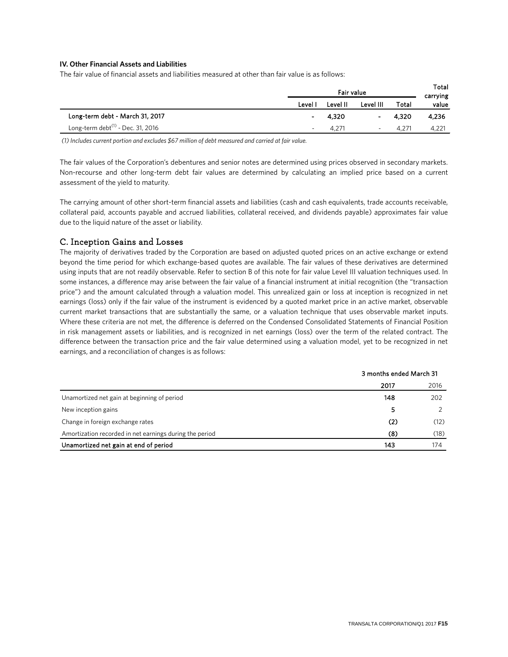### **IV. Other Financial Assets and Liabilities**

The fair value of financial assets and liabilities measured at other than fair value is as follows:

|                                               |         | Total<br>carrying |           |            |       |
|-----------------------------------------------|---------|-------------------|-----------|------------|-------|
|                                               | Level I | Level II          | Level III | Total      | value |
| Long-term debt - March 31, 2017               | ٠       | 4,320             | ٠         | 4.320      | 4,236 |
| Long-term debt <sup>(1)</sup> - Dec. 31, 2016 |         | $4.27^{\circ}$    | ۰         | $4.27^{2}$ | 4,221 |

*(1) Includes current portion and excludes \$67 million of debt measured and carried at fair value.*

The fair values of the Corporation's debentures and senior notes are determined using prices observed in secondary markets. Non-recourse and other long-term debt fair values are determined by calculating an implied price based on a current assessment of the yield to maturity.

The carrying amount of other short-term financial assets and liabilities (cash and cash equivalents, trade accounts receivable, collateral paid, accounts payable and accrued liabilities, collateral received, and dividends payable) approximates fair value due to the liquid nature of the asset or liability.

### C. Inception Gains and Losses

The majority of derivatives traded by the Corporation are based on adjusted quoted prices on an active exchange or extend beyond the time period for which exchange-based quotes are available. The fair values of these derivatives are determined using inputs that are not readily observable. Refer to section B of this note for fair value Level III valuation techniques used. In some instances, a difference may arise between the fair value of a financial instrument at initial recognition (the "transaction price") and the amount calculated through a valuation model. This unrealized gain or loss at inception is recognized in net earnings (loss) only if the fair value of the instrument is evidenced by a quoted market price in an active market, observable current market transactions that are substantially the same, or a valuation technique that uses observable market inputs. Where these criteria are not met, the difference is deferred on the Condensed Consolidated Statements of Financial Position in risk management assets or liabilities, and is recognized in net earnings (loss) over the term of the related contract. The difference between the transaction price and the fair value determined using a valuation model, yet to be recognized in net earnings, and a reconciliation of changes is as follows:

|                                                         | 3 months ended March 31 |      |
|---------------------------------------------------------|-------------------------|------|
|                                                         | 2017                    | 2016 |
| Unamortized net gain at beginning of period             | 148                     | 202  |
| New inception gains                                     | 5                       |      |
| Change in foreign exchange rates                        | (2)                     | (12) |
| Amortization recorded in net earnings during the period | (8)                     | (18) |
| Unamortized net gain at end of period                   | 143                     | 174  |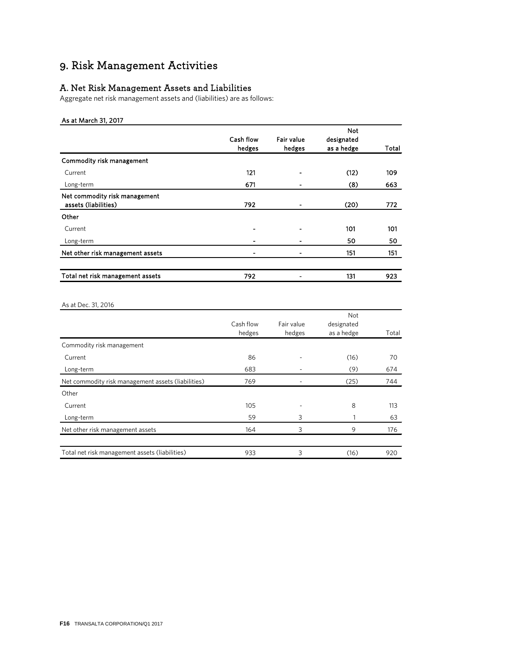# 9. Risk Management Activities

### A. Net Risk Management Assets and Liabilities

Aggregate net risk management assets and (liabilities) are as follows:

### As at March 31, 2017

|                                  |           |            | <b>Not</b> |       |
|----------------------------------|-----------|------------|------------|-------|
|                                  | Cash flow | Fair value | designated |       |
|                                  | hedges    | hedges     | as a hedge | Total |
| Commodity risk management        |           |            |            |       |
| Current                          | 121       |            | (12)       | 109   |
| Long-term                        | 671       |            | (8)        | 663   |
| Net commodity risk management    |           |            |            |       |
| assets (liabilities)             | 792       | -          | (20)       | 772   |
| Other                            |           |            |            |       |
| Current                          | -         |            | 101        | 101   |
| Long-term                        | ۰         |            | 50         | 50    |
| Net other risk management assets | -         | -          | 151        | 151   |
|                                  |           |            |            |       |
| Total net risk management assets | 792       | -          | 131        | 923   |
|                                  |           |            |            |       |

### As at Dec. 31, 2016

|                                                    |           |            | Not        |       |
|----------------------------------------------------|-----------|------------|------------|-------|
|                                                    | Cash flow | Fair value | designated |       |
|                                                    | hedges    | hedges     | as a hedge | Total |
| Commodity risk management                          |           |            |            |       |
| Current                                            | 86        |            | (16)       | 70    |
| Long-term                                          | 683       |            | (9)        | 674   |
| Net commodity risk management assets (liabilities) | 769       |            | (25)       | 744   |
| Other                                              |           |            |            |       |
| Current                                            | 105       |            | 8          | 113   |
| Long-term                                          | 59        | 3          |            | 63    |
| Net other risk management assets                   | 164       | 3          | 9          | 176   |
|                                                    |           |            |            |       |
| Total net risk management assets (liabilities)     | 933       | 3          | (16)       | 920   |
|                                                    |           |            |            |       |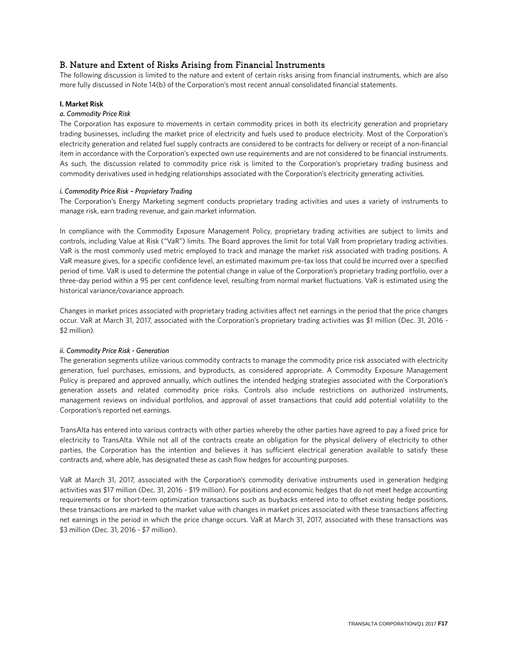### B. Nature and Extent of Risks Arising from Financial Instruments

The following discussion is limited to the nature and extent of certain risks arising from financial instruments, which are also more fully discussed in Note 14(b) of the Corporation's most recent annual consolidated financial statements.

### **I. Market Risk**

### *a. Commodity Price Risk*

The Corporation has exposure to movements in certain commodity prices in both its electricity generation and proprietary trading businesses, including the market price of electricity and fuels used to produce electricity. Most of the Corporation's electricity generation and related fuel supply contracts are considered to be contracts for delivery or receipt of a non-financial item in accordance with the Corporation's expected own use requirements and are not considered to be financial instruments. As such, the discussion related to commodity price risk is limited to the Corporation's proprietary trading business and commodity derivatives used in hedging relationships associated with the Corporation's electricity generating activities.

### *i. Commodity Price Risk – Proprietary Trading*

The Corporation's Energy Marketing segment conducts proprietary trading activities and uses a variety of instruments to manage risk, earn trading revenue, and gain market information.

In compliance with the Commodity Exposure Management Policy, proprietary trading activities are subject to limits and controls, including Value at Risk ("VaR") limits. The Board approves the limit for total VaR from proprietary trading activities. VaR is the most commonly used metric employed to track and manage the market risk associated with trading positions. A VaR measure gives, for a specific confidence level, an estimated maximum pre-tax loss that could be incurred over a specified period of time. VaR is used to determine the potential change in value of the Corporation's proprietary trading portfolio, over a three-day period within a 95 per cent confidence level, resulting from normal market fluctuations. VaR is estimated using the historical variance/covariance approach.

Changes in market prices associated with proprietary trading activities affect net earnings in the period that the price changes occur. VaR at March 31, 2017, associated with the Corporation's proprietary trading activities was \$1 million (Dec. 31, 2016 - \$2 million).

### *ii. Commodity Price Risk - Generation*

The generation segments utilize various commodity contracts to manage the commodity price risk associated with electricity generation, fuel purchases, emissions, and byproducts, as considered appropriate. A Commodity Exposure Management Policy is prepared and approved annually, which outlines the intended hedging strategies associated with the Corporation's generation assets and related commodity price risks. Controls also include restrictions on authorized instruments, management reviews on individual portfolios, and approval of asset transactions that could add potential volatility to the Corporation's reported net earnings.

TransAlta has entered into various contracts with other parties whereby the other parties have agreed to pay a fixed price for electricity to TransAlta. While not all of the contracts create an obligation for the physical delivery of electricity to other parties, the Corporation has the intention and believes it has sufficient electrical generation available to satisfy these contracts and, where able, has designated these as cash flow hedges for accounting purposes.

VaR at March 31, 2017, associated with the Corporation's commodity derivative instruments used in generation hedging activities was \$17 million (Dec. 31, 2016 - \$19 million). For positions and economic hedges that do not meet hedge accounting requirements or for short-term optimization transactions such as buybacks entered into to offset existing hedge positions, these transactions are marked to the market value with changes in market prices associated with these transactions affecting net earnings in the period in which the price change occurs. VaR at March 31, 2017, associated with these transactions was \$3 million (Dec. 31, 2016 - \$7 million).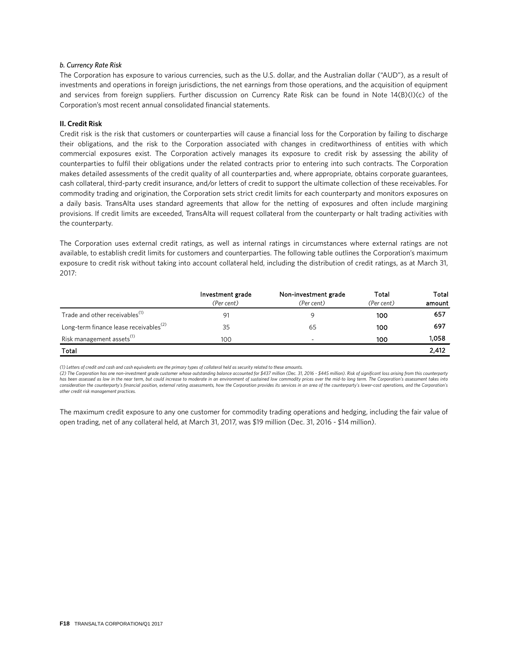#### *b. Currency Rate Risk*

The Corporation has exposure to various currencies, such as the U.S. dollar, and the Australian dollar ("AUD"), as a result of investments and operations in foreign jurisdictions, the net earnings from those operations, and the acquisition of equipment and services from foreign suppliers. Further discussion on Currency Rate Risk can be found in Note 14(B)(I)(c) of the Corporation's most recent annual consolidated financial statements.

#### **II. Credit Risk**

Credit risk is the risk that customers or counterparties will cause a financial loss for the Corporation by failing to discharge their obligations, and the risk to the Corporation associated with changes in creditworthiness of entities with which commercial exposures exist. The Corporation actively manages its exposure to credit risk by assessing the ability of counterparties to fulfil their obligations under the related contracts prior to entering into such contracts. The Corporation makes detailed assessments of the credit quality of all counterparties and, where appropriate, obtains corporate guarantees, cash collateral, third-party credit insurance, and/or letters of credit to support the ultimate collection of these receivables. For commodity trading and origination, the Corporation sets strict credit limits for each counterparty and monitors exposures on a daily basis. TransAlta uses standard agreements that allow for the netting of exposures and often include margining provisions. If credit limits are exceeded, TransAlta will request collateral from the counterparty or halt trading activities with the counterparty.

The Corporation uses external credit ratings, as well as internal ratings in circumstances where external ratings are not available, to establish credit limits for customers and counterparties. The following table outlines the Corporation's maximum exposure to credit risk without taking into account collateral held, including the distribution of credit ratings, as at March 31, 2017:

|                                                    | Investment grade<br>(Per cent) | Non-investment grade<br>(Per cent) | Total      | Total  |
|----------------------------------------------------|--------------------------------|------------------------------------|------------|--------|
|                                                    |                                |                                    | (Per cent) | amount |
| Trade and other receivables <sup>(1)</sup>         | 91                             | q                                  | 100        | 657    |
| Long-term finance lease receivables <sup>(2)</sup> | 35                             | 65                                 | 100        | 697    |
| Risk management assets <sup>(1)</sup>              | 100                            | $\sim$                             | 100        | 1,058  |
| Total                                              |                                |                                    |            | 2,412  |

*(1) Letters of credit and cash and cash equivalents are the primary types of collateral held as security related to these amounts.* 

(2) The Corporation has one non-investment grade customer whose outstanding balance accounted for \$437 million (Dec. 31, 2016 - \$445 million). Risk of significant loss arising from this counterparty<br>has been assessed as lo *consideration the counterparty's financial position, external rating assessments, how the Corporation provides its services in an area of the counterparty's lower-cost operations, and the Corporation's other credit risk management practices.*

The maximum credit exposure to any one customer for commodity trading operations and hedging, including the fair value of open trading, net of any collateral held, at March 31, 2017, was \$19 million (Dec. 31, 2016 - \$14 million).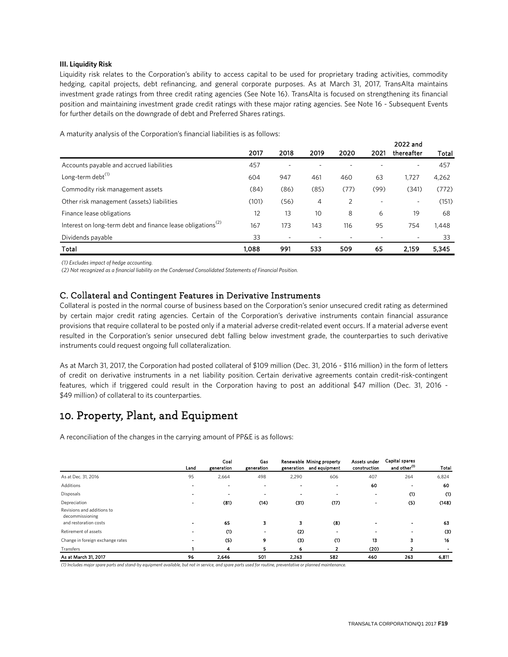### **III. Liquidity Risk**

Liquidity risk relates to the Corporation's ability to access capital to be used for proprietary trading activities, commodity hedging, capital projects, debt refinancing, and general corporate purposes. As at March 31, 2017, TransAlta maintains investment grade ratings from three credit rating agencies (See Note 16). TransAlta is focused on strengthening its financial position and maintaining investment grade credit ratings with these major rating agencies. See Note 16 - Subsequent Events for further details on the downgrade of debt and Preferred Shares ratings.

A maturity analysis of the Corporation's financial liabilities is as follows:

|                                                                         | 2017  | 2018                     | 2019 | 2020 | 2021 | 2022 and<br>thereafter |       |
|-------------------------------------------------------------------------|-------|--------------------------|------|------|------|------------------------|-------|
|                                                                         |       |                          |      |      |      |                        | Total |
| Accounts payable and accrued liabilities                                | 457   | $\overline{\phantom{a}}$ |      |      |      | ۰                      | 457   |
| Long-term debt <sup>(1)</sup>                                           | 604   | 947                      | 461  | 460  | 63   | 1.727                  | 4,262 |
| Commodity risk management assets                                        | (84)  | (86)                     | (85) | (77) | (99) | (341)                  | (772) |
| Other risk management (assets) liabilities                              | (101) | (56)                     | 4    | 2    |      | ۰.                     | (151) |
| Finance lease obligations                                               | 12    | 13                       | 10   | 8    | 6    | 19                     | 68    |
| Interest on long-term debt and finance lease obligations <sup>(2)</sup> | 167   | 173                      | 143  | 116  | 95   | 754                    | 1,448 |
| Dividends payable                                                       | 33    |                          |      |      |      |                        | 33    |
| Total                                                                   | 1.088 | 991                      | 533  | 509  | 65   | 2.159                  | 5,345 |

*(1) Excludes impact of hedge accounting.*

*(2) Not recognized as a financial liability on the Condensed Consolidated Statements of Financial Position.*

### C. Collateral and Contingent Features in Derivative Instruments

Collateral is posted in the normal course of business based on the Corporation's senior unsecured credit rating as determined by certain major credit rating agencies. Certain of the Corporation's derivative instruments contain financial assurance provisions that require collateral to be posted only if a material adverse credit-related event occurs. If a material adverse event resulted in the Corporation's senior unsecured debt falling below investment grade, the counterparties to such derivative instruments could request ongoing full collateralization.

As at March 31, 2017, the Corporation had posted collateral of \$109 million (Dec. 31, 2016 - \$116 million) in the form of letters of credit on derivative instruments in a net liability position. Certain derivative agreements contain credit-risk-contingent features, which if triggered could result in the Corporation having to post an additional \$47 million (Dec. 31, 2016 - \$49 million) of collateral to its counterparties.

### 10. Property, Plant, and Equipment

A reconciliation of the changes in the carrying amount of PP&E is as follows:

|                                                                        | Land                     | Coal<br>generation       | Gas<br>generation        |       | Renewable Mining property<br>generation and equipment | Assets under<br>construction | <b>Capital spares</b><br>and other <sup>(1)</sup> | Total |
|------------------------------------------------------------------------|--------------------------|--------------------------|--------------------------|-------|-------------------------------------------------------|------------------------------|---------------------------------------------------|-------|
| As at Dec. 31, 2016                                                    | 95                       | 2,664                    | 498                      | 2,290 | 606                                                   | 407                          | 264                                               | 6,824 |
| Additions                                                              | $\overline{\phantom{a}}$ | $\blacksquare$           | $\blacksquare$           |       | $\blacksquare$                                        | 60                           | $\blacksquare$                                    | 60    |
| Disposals                                                              |                          | $\overline{\phantom{a}}$ | -                        |       | -                                                     | $\overline{\phantom{a}}$     | (1)                                               | (1)   |
| Depreciation                                                           | $\overline{\phantom{a}}$ | (81)                     | (14)                     | (31)  | (17)                                                  |                              | (5)                                               | (148) |
| Revisions and additions to<br>decommissioning<br>and restoration costs | $\overline{\phantom{a}}$ | 65                       | 3                        | з     | (8)                                                   |                              |                                                   | 63    |
| Retirement of assets                                                   | $\overline{\phantom{0}}$ | (1)                      | $\overline{\phantom{0}}$ | (2)   |                                                       | -                            |                                                   | (3)   |
| Change in foreign exchange rates                                       | $\overline{\phantom{a}}$ | (5)                      | 9                        | (3)   | (1)                                                   | 13                           | з                                                 | 16    |
| Transfers                                                              |                          | 4                        | 5.                       | 6     | 2                                                     | (20)                         |                                                   |       |
| As at March 31, 2017                                                   | 96                       | 2.646                    | 501                      | 2,263 | 582                                                   | 460                          | 263                                               | 6,811 |

*(1) Includes major spare parts and stand-by equipment available, but not in service, and spare parts used for routine, preventative or planned maintenance.*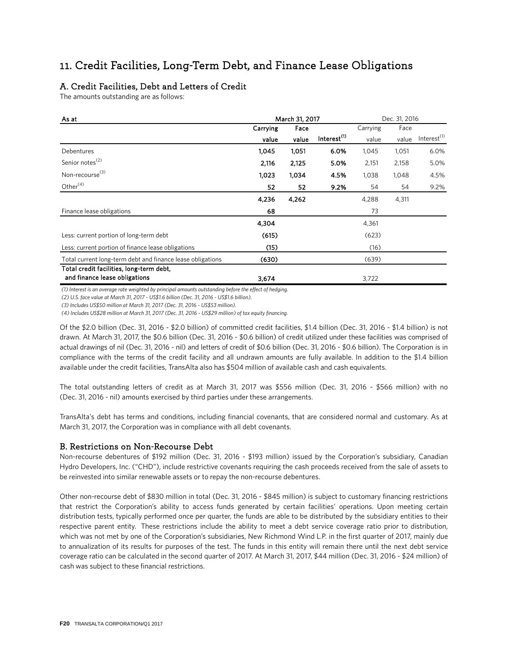### 11. Credit Facilities, Long-Term Debt, and Finance Lease Obligations

### A. Credit Facilities, Debt and Letters of Credit

The amounts outstanding are as follows:

| As at                                                      |          | March 31, 2017 |                         | Dec. 31, 2016 |       |                         |
|------------------------------------------------------------|----------|----------------|-------------------------|---------------|-------|-------------------------|
|                                                            | Carrying | Face           |                         | Carrying      | Face  |                         |
|                                                            | value    | value          | Interest <sup>(1)</sup> | value         | value | Interest <sup>(1)</sup> |
| Debentures                                                 | 1,045    | 1,051          | 6.0%                    | 1,045         | 1,051 | 6.0%                    |
| Senior notes <sup>(2)</sup>                                | 2,116    | 2,125          | 5.0%                    | 2,151         | 2,158 | 5.0%                    |
| Non-recourse <sup>(3)</sup>                                | 1,023    | 1,034          | 4.5%                    | 1,038         | 1,048 | 4.5%                    |
| Other $(4)$                                                | 52       | 52             | 9.2%                    | 54            | 54    | 9.2%                    |
|                                                            | 4,236    | 4,262          |                         | 4,288         | 4,311 |                         |
| Finance lease obligations                                  | 68       |                |                         | 73            |       |                         |
|                                                            | 4,304    |                |                         | 4,361         |       |                         |
| Less: current portion of long-term debt                    | (615)    |                |                         | (623)         |       |                         |
| Less: current portion of finance lease obligations         | (15)     |                |                         | (16)          |       |                         |
| Total current long-term debt and finance lease obligations | (630)    |                |                         | (639)         |       |                         |
| Total credit facilities, long-term debt,                   |          |                |                         |               |       |                         |
| and finance lease obligations                              | 3,674    |                |                         | 3,722         |       |                         |

*(1) Interest is an average rate weighted by principal amounts outstanding before the effect of hedging.* 

*(2) U.S. face value at March 31, 2017 - US\$1.6 billion (Dec. 31, 2016 - US\$1.6 billion).*

*(3) Includes US\$50 million at March 31, 2017 (Dec. 31, 2016 - US\$53 million).* 

*(4) Includes US\$28 million at March 31, 2017 (Dec. 31, 2016 - US\$29 million) of tax equity financing.*

Of the \$2.0 billion (Dec. 31, 2016 - \$2.0 billion) of committed credit facilities, \$1.4 billion (Dec. 31, 2016 - \$1.4 billion) is not drawn. At March 31, 2017, the \$0.6 billion (Dec. 31, 2016 - \$0.6 billion) of credit utilized under these facilities was comprised of actual drawings of nil (Dec. 31, 2016 - nil) and letters of credit of \$0.6 billion (Dec. 31, 2016 - \$0.6 billion). The Corporation is in compliance with the terms of the credit facility and all undrawn amounts are fully available. In addition to the \$1.4 billion available under the credit facilities, TransAlta also has \$504 million of available cash and cash equivalents.

The total outstanding letters of credit as at March 31, 2017 was \$556 million (Dec. 31, 2016 - \$566 million) with no (Dec. 31, 2016 - nil) amounts exercised by third parties under these arrangements.

TransAlta's debt has terms and conditions, including financial covenants, that are considered normal and customary. As at March 31, 2017, the Corporation was in compliance with all debt covenants.

### B. Restrictions on Non-Recourse Debt

Non-recourse debentures of \$192 million (Dec. 31, 2016 - \$193 million) issued by the Corporation's subsidiary, Canadian Hydro Developers, Inc. ("CHD"), include restrictive covenants requiring the cash proceeds received from the sale of assets to be reinvested into similar renewable assets or to repay the non-recourse debentures.

Other non-recourse debt of \$830 million in total (Dec. 31, 2016 - \$845 million) is subject to customary financing restrictions that restrict the Corporation's ability to access funds generated by certain facilities' operations. Upon meeting certain distribution tests, typically performed once per quarter, the funds are able to be distributed by the subsidiary entities to their respective parent entity. These restrictions include the ability to meet a debt service coverage ratio prior to distribution, which was not met by one of the Corporation's subsidiaries, New Richmond Wind L.P. in the first quarter of 2017, mainly due to annualization of its results for purposes of the test. The funds in this entity will remain there until the next debt service coverage ratio can be calculated in the second quarter of 2017. At March 31, 2017, \$44 million (Dec. 31, 2016 - \$24 million) of cash was subject to these financial restrictions.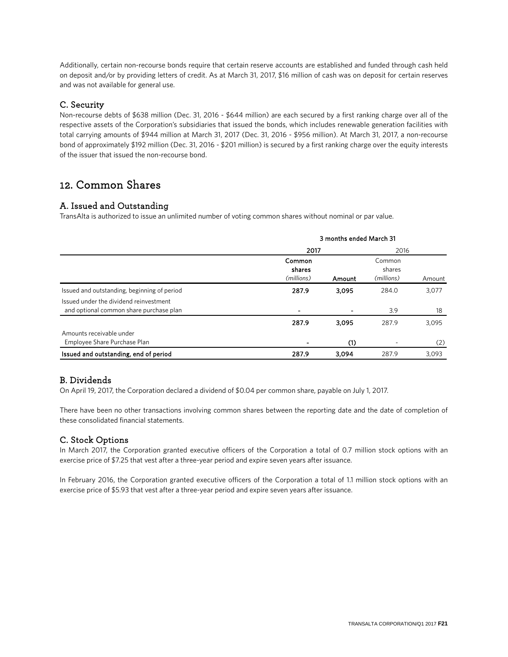Additionally, certain non-recourse bonds require that certain reserve accounts are established and funded through cash held on deposit and/or by providing letters of credit. As at March 31, 2017, \$16 million of cash was on deposit for certain reserves and was not available for general use.

### C. Security

Non-recourse debts of \$638 million (Dec. 31, 2016 - \$644 million) are each secured by a first ranking charge over all of the respective assets of the Corporation's subsidiaries that issued the bonds, which includes renewable generation facilities with total carrying amounts of \$944 million at March 31, 2017 (Dec. 31, 2016 - \$956 million). At March 31, 2017, a non-recourse bond of approximately \$192 million (Dec. 31, 2016 - \$201 million) is secured by a first ranking charge over the equity interests of the issuer that issued the non-recourse bond.

### 12. Common Shares

### A. Issued and Outstanding

TransAlta is authorized to issue an unlimited number of voting common shares without nominal or par value.

|                                                                                   | 3 months ended March 31        |        |                                |        |  |  |  |
|-----------------------------------------------------------------------------------|--------------------------------|--------|--------------------------------|--------|--|--|--|
|                                                                                   | 2017                           |        | 2016                           |        |  |  |  |
|                                                                                   | Common<br>shares<br>(millions) | Amount | Common<br>shares<br>(millions) | Amount |  |  |  |
| Issued and outstanding, beginning of period                                       | 287.9                          | 3,095  | 284.0                          | 3,077  |  |  |  |
| Issued under the dividend reinvestment<br>and optional common share purchase plan | ٠                              |        | 3.9                            | 18     |  |  |  |
|                                                                                   | 287.9                          | 3,095  | 287.9                          | 3,095  |  |  |  |
| Amounts receivable under<br>Employee Share Purchase Plan                          |                                | (1)    |                                | (2)    |  |  |  |
| Issued and outstanding, end of period                                             | 287.9                          | 3,094  | 287.9                          | 3,093  |  |  |  |

### B. Dividends

On April 19, 2017, the Corporation declared a dividend of \$0.04 per common share, payable on July 1, 2017.

There have been no other transactions involving common shares between the reporting date and the date of completion of these consolidated financial statements.

### C. Stock Options

In March 2017, the Corporation granted executive officers of the Corporation a total of 0.7 million stock options with an exercise price of \$7.25 that vest after a three-year period and expire seven years after issuance.

In February 2016, the Corporation granted executive officers of the Corporation a total of 1.1 million stock options with an exercise price of \$5.93 that vest after a three-year period and expire seven years after issuance.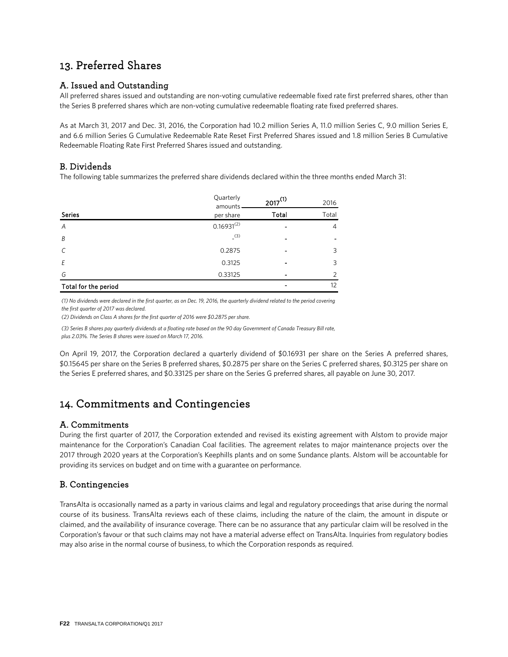### 13. Preferred Shares

### A. Issued and Outstanding

All preferred shares issued and outstanding are non-voting cumulative redeemable fixed rate first preferred shares, other than the Series B preferred shares which are non-voting cumulative redeemable floating rate fixed preferred shares.

As at March 31, 2017 and Dec. 31, 2016, the Corporation had 10.2 million Series A, 11.0 million Series C, 9.0 million Series E, and 6.6 million Series G Cumulative Redeemable Rate Reset First Preferred Shares issued and 1.8 million Series B Cumulative Redeemable Floating Rate First Preferred Shares issued and outstanding.

### B. Dividends

The following table summarizes the preferred share dividends declared within the three months ended March 31:

|                      | Quarterly<br>amounts | $2017^{(1)}$ | 2016  |
|----------------------|----------------------|--------------|-------|
| <b>Series</b>        | per share            | Total        | Total |
| A                    | $0.16931^{(2)}$      |              | 4     |
| B                    | (3)                  | -            | -     |
| $\mathcal{C}$        | 0.2875               |              | 3     |
| E                    | 0.3125               |              | 3     |
| G                    | 0.33125              |              | ∍     |
| Total for the period |                      |              | 12    |

*(1) No dividends were declared in the first quarter, as on Dec. 19, 2016, the quarterly dividend related to the period covering the first quarter of 2017 was declared.*

*(2) Dividends on Class A shares for the first quarter of 2016 were \$0.2875 per share.*

*(3) Series B shares pay quarterly dividends at a floating rate based on the 90 day Government of Canada Treasury Bill rate, plus 2.03%. The Series B shares were issued on March 17, 2016.*

On April 19, 2017, the Corporation declared a quarterly dividend of \$0.16931 per share on the Series A preferred shares, \$0.15645 per share on the Series B preferred shares, \$0.2875 per share on the Series C preferred shares, \$0.3125 per share on the Series E preferred shares, and \$0.33125 per share on the Series G preferred shares, all payable on June 30, 2017.

### 14. Commitments and Contingencies

### A. Commitments

During the first quarter of 2017, the Corporation extended and revised its existing agreement with Alstom to provide major maintenance for the Corporation's Canadian Coal facilities. The agreement relates to major maintenance projects over the 2017 through 2020 years at the Corporation's Keephills plants and on some Sundance plants. Alstom will be accountable for providing its services on budget and on time with a guarantee on performance.

### B. Contingencies

TransAlta is occasionally named as a party in various claims and legal and regulatory proceedings that arise during the normal course of its business. TransAlta reviews each of these claims, including the nature of the claim, the amount in dispute or claimed, and the availability of insurance coverage. There can be no assurance that any particular claim will be resolved in the Corporation's favour or that such claims may not have a material adverse effect on TransAlta. Inquiries from regulatory bodies may also arise in the normal course of business, to which the Corporation responds as required.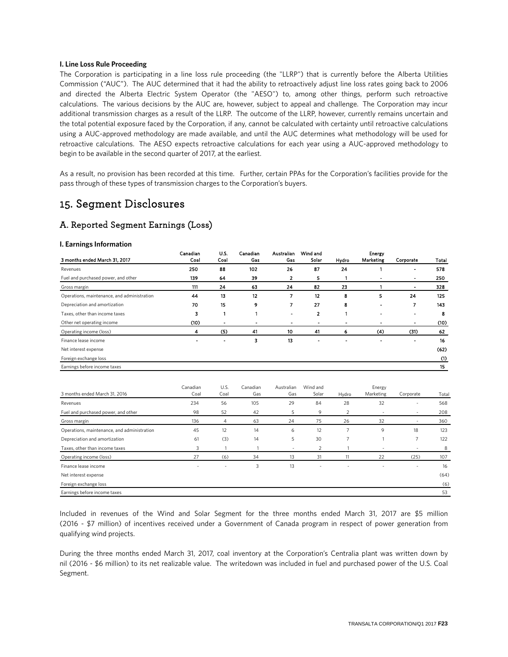#### **I. Line Loss Rule Proceeding**

The Corporation is participating in a line loss rule proceeding (the "LLRP") that is currently before the Alberta Utilities Commission ("AUC"). The AUC determined that it had the ability to retroactively adjust line loss rates going back to 2006 and directed the Alberta Electric System Operator (the "AESO") to, among other things, perform such retroactive calculations. The various decisions by the AUC are, however, subject to appeal and challenge. The Corporation may incur additional transmission charges as a result of the LLRP. The outcome of the LLRP, however, currently remains uncertain and the total potential exposure faced by the Corporation, if any, cannot be calculated with certainty until retroactive calculations using a AUC-approved methodology are made available, and until the AUC determines what methodology will be used for retroactive calculations. The AESO expects retroactive calculations for each year using a AUC-approved methodology to begin to be available in the second quarter of 2017, at the earliest.

As a result, no provision has been recorded at this time. Further, certain PPAs for the Corporation's facilities provide for the pass through of these types of transmission charges to the Corporation's buyers.

### 15. Segment Disclosures

### A. Reported Segment Earnings (Loss)

#### **I. Earnings Information**

| 3 months ended March 31, 2017               | Canadian<br>Coal | U.S.<br>Coal | Canadian<br>Cas | Australian<br>Gas        | Wind and<br>Solar | Hydro | Energy<br><b>Marketing</b> | Corporate      | Total |
|---------------------------------------------|------------------|--------------|-----------------|--------------------------|-------------------|-------|----------------------------|----------------|-------|
| Revenues                                    | 250              | 88           | 102             | 26                       | 87                | 24    |                            |                | 578   |
| Fuel and purchased power, and other         | 139              | 64           | 39              | 2                        | 5.                |       |                            | $\blacksquare$ | 250   |
| Gross margin                                | 111              | 24           | 63              | 24                       | 82                | 23    |                            | ٠              | 328   |
| Operations, maintenance, and administration | 44               | 13           | 12              | 7                        | 12                | 8     | 5                          | 24             | 125   |
| Depreciation and amortization               | 70               | 15           | 9               | 7                        | 27                | 8     |                            | 7              | 143   |
| Taxes, other than income taxes              | 3                |              |                 |                          | 2                 |       |                            | $\blacksquare$ | 8     |
| Other net operating income                  | (10)             |              |                 | $\overline{\phantom{a}}$ | ۰                 |       |                            | ٠              | (10)  |
| Operating income (loss)                     | 4                | (5)          | 41              | 10                       | 41                | 6     | (4)                        | (31)           | 62    |
| Finance lease income                        | ۰                |              | 3               | 13                       |                   |       |                            |                | 16    |
| Net interest expense                        |                  |              |                 |                          |                   |       |                            |                | (62)  |
| Foreign exchange loss                       |                  |              |                 |                          |                   |       |                            |                | (1)   |
| Earnings before income taxes                |                  |              |                 |                          |                   |       |                            |                | 15    |

|                                             | Canadian | U.S.<br>Coal | Canadian<br>Gas | Australian<br>Gas        | Wind and<br>Solar | Hydro | Energy<br>Marketing | Corporate                |       |
|---------------------------------------------|----------|--------------|-----------------|--------------------------|-------------------|-------|---------------------|--------------------------|-------|
| 3 months ended March 31, 2016               | Coal     |              |                 |                          |                   |       |                     |                          | Total |
| Revenues                                    | 234      | 56           | 105             | 29                       | 84                | 28    | 32                  | $\overline{\phantom{a}}$ | 568   |
| Fuel and purchased power, and other         | 98       | 52           | 42              | 5                        | 9                 | 2     | $\sim$              | $\sim$                   | 208   |
| Gross margin                                | 136      | 4            | 63              | 24                       | 75                | 26    | 32                  | $\overline{\phantom{a}}$ | 360   |
| Operations, maintenance, and administration | 45       | 12           | 14              | 6                        | 12                | 7     | 9                   | 18                       | 123   |
| Depreciation and amortization               | 61       | (3)          | 14              | 5                        | 30                | 7     |                     | 7                        | 122   |
| Taxes, other than income taxes              | 3        |              |                 | $\overline{\phantom{a}}$ | 2                 |       | -                   | $\overline{\phantom{a}}$ | 8     |
| Operating income (loss)                     | 27       | (6)          | 34              | 13                       | 31                |       | 22                  | (25)                     | 107   |
| Finance lease income                        | -        |              | 3               | 13                       |                   |       |                     | $\overline{\phantom{a}}$ | 16    |
| Net interest expense                        |          |              |                 |                          |                   |       |                     |                          | (64)  |
| Foreign exchange loss                       |          |              |                 |                          |                   |       |                     |                          | (6)   |
| Earnings before income taxes                |          |              |                 |                          |                   |       |                     |                          | 53    |

Included in revenues of the Wind and Solar Segment for the three months ended March 31, 2017 are \$5 million (2016 - \$7 million) of incentives received under a Government of Canada program in respect of power generation from qualifying wind projects.

During the three months ended March 31, 2017, coal inventory at the Corporation's Centralia plant was written down by nil (2016 - \$6 million) to its net realizable value. The writedown was included in fuel and purchased power of the U.S. Coal Segment.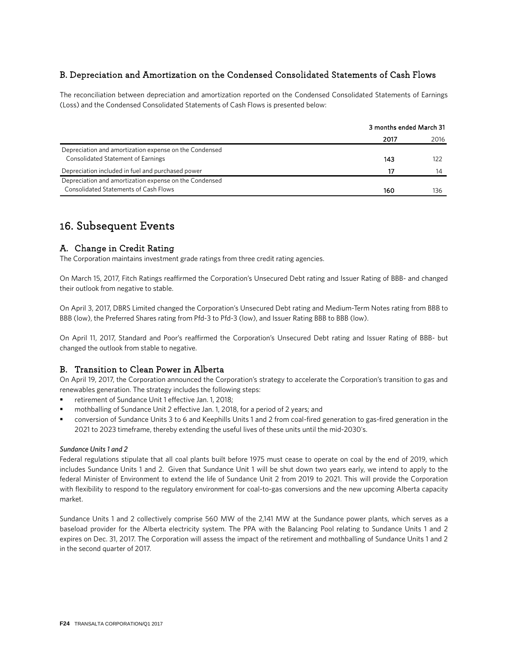### B. Depreciation and Amortization on the Condensed Consolidated Statements of Cash Flows

The reconciliation between depreciation and amortization reported on the Condensed Consolidated Statements of Earnings (Loss) and the Condensed Consolidated Statements of Cash Flows is presented below:

|                                                        | 3 months ended March 31 |      |  |
|--------------------------------------------------------|-------------------------|------|--|
|                                                        | 2017                    | 2016 |  |
| Depreciation and amortization expense on the Condensed |                         |      |  |
| <b>Consolidated Statement of Earnings</b>              | 143                     |      |  |
| Depreciation included in fuel and purchased power      | 17                      | 14   |  |
| Depreciation and amortization expense on the Condensed |                         |      |  |
| <b>Consolidated Statements of Cash Flows</b>           | 160                     | 136  |  |

### 16. Subsequent Events

### A. Change in Credit Rating

The Corporation maintains investment grade ratings from three credit rating agencies.

On March 15, 2017, Fitch Ratings reaffirmed the Corporation's Unsecured Debt rating and Issuer Rating of BBB- and changed their outlook from negative to stable.

On April 3, 2017, DBRS Limited changed the Corporation's Unsecured Debt rating and Medium-Term Notes rating from BBB to BBB (low), the Preferred Shares rating from Pfd-3 to Pfd-3 (low), and Issuer Rating BBB to BBB (low).

On April 11, 2017, Standard and Poor's reaffirmed the Corporation's Unsecured Debt rating and Issuer Rating of BBB- but changed the outlook from stable to negative.

### B. Transition to Clean Power in Alberta

On April 19, 2017, the Corporation announced the Corporation's strategy to accelerate the Corporation's transition to gas and renewables generation. The strategy includes the following steps:

- retirement of Sundance Unit 1 effective Jan. 1, 2018;
- mothballing of Sundance Unit 2 effective Jan. 1, 2018, for a period of 2 years; and
- conversion of Sundance Units 3 to 6 and Keephills Units 1 and 2 from coal-fired generation to gas-fired generation in the 2021 to 2023 timeframe, thereby extending the useful lives of these units until the mid-2030's.

### *Sundance Units 1 and 2*

Federal regulations stipulate that all coal plants built before 1975 must cease to operate on coal by the end of 2019, which includes Sundance Units 1 and 2. Given that Sundance Unit 1 will be shut down two years early, we intend to apply to the federal Minister of Environment to extend the life of Sundance Unit 2 from 2019 to 2021. This will provide the Corporation with flexibility to respond to the regulatory environment for coal-to-gas conversions and the new upcoming Alberta capacity market.

Sundance Units 1 and 2 collectively comprise 560 MW of the 2,141 MW at the Sundance power plants, which serves as a baseload provider for the Alberta electricity system. The PPA with the Balancing Pool relating to Sundance Units 1 and 2 expires on Dec. 31, 2017. The Corporation will assess the impact of the retirement and mothballing of Sundance Units 1 and 2 in the second quarter of 2017.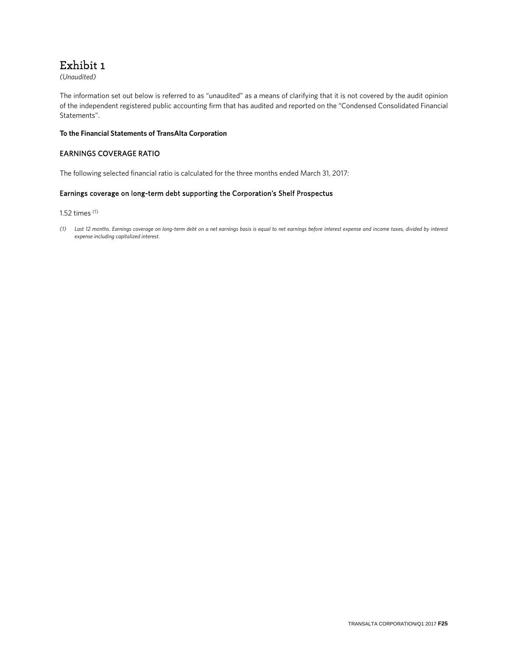### Exhibit 1

*(Unaudited)*

The information set out below is referred to as "unaudited" as a means of clarifying that it is not covered by the audit opinion of the independent registered public accounting firm that has audited and reported on the "Condensed Consolidated Financial Statements".

### **To the Financial Statements of TransAlta Corporation**

### EARNINGS COVERAGE RATIO

The following selected financial ratio is calculated for the three months ended March 31, 2017:

### Earnings coverage on long-term debt supporting the Corporation's Shelf Prospectus

1.52 times (1)

*(1) Last 12 months. Earnings coverage on long-term debt on a net earnings basis is equal to net earnings before interest expense and income taxes, divided by interest expense including capitalized interest.*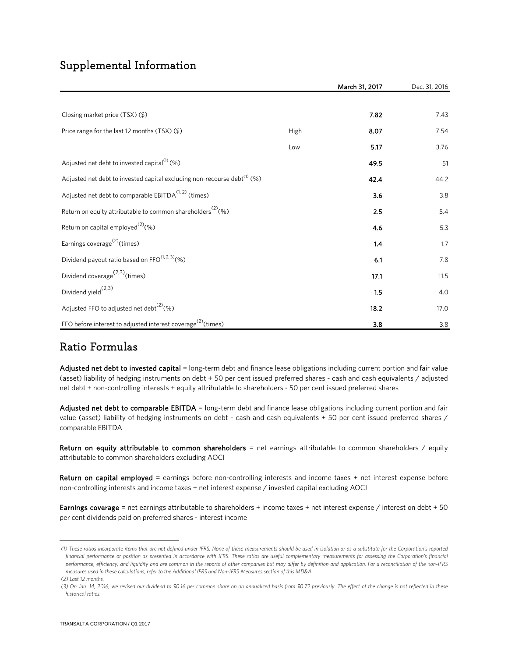### Supplemental Information

|                                                                                      |      | March 31, 2017 | Dec. 31, 2016 |
|--------------------------------------------------------------------------------------|------|----------------|---------------|
|                                                                                      |      |                |               |
| Closing market price (TSX) (\$)                                                      |      | 7.82           | 7.43          |
| Price range for the last 12 months (TSX) (\$)                                        | High | 8.07           | 7.54          |
|                                                                                      | Low  | 5.17           | 3.76          |
| Adjusted net debt to invested capital $^{(1)}$ (%)                                   |      | 49.5           | 51            |
| Adjusted net debt to invested capital excluding non-recourse debt <sup>(1)</sup> (%) |      | 42.4           | 44.2          |
| Adjusted net debt to comparable EBITDA <sup>(1, 2)</sup> (times)                     |      | 3.6            | 3.8           |
| Return on equity attributable to common shareholders <sup>(2)</sup> (%)              |      | 2.5            | 5.4           |
| Return on capital employed <sup>(2)</sup> (%)                                        |      | 4.6            | 5.3           |
| Earnings coverage <sup>(2)</sup> (times)                                             |      | 1.4            | 1.7           |
| Dividend payout ratio based on FFO $(1, 2, 3)$ (%)                                   |      | 6.1            | 7.8           |
| Dividend coverage <sup><math>(2,3)</math></sup> (times)                              |      | 17.1           | 11.5          |
| Dividend yield <sup>(2,3)</sup>                                                      |      | 1.5            | 4.0           |
| Adjusted FFO to adjusted net debt <sup>(2)</sup> (%)                                 |      | 18.2           | 17.0          |
| FFO before interest to adjusted interest coverage <sup>(2)</sup> (times)             |      | 3.8            | 3.8           |

### Ratio Formulas

Adjusted net debt to invested capital = long-term debt and finance lease obligations including current portion and fair value (asset) liability of hedging instruments on debt + 50 per cent issued preferred shares - cash and cash equivalents / adjusted net debt + non-controlling interests + equity attributable to shareholders - 50 per cent issued preferred shares

Adjusted net debt to comparable EBITDA = long-term debt and finance lease obligations including current portion and fair value (asset) liability of hedging instruments on debt - cash and cash equivalents + 50 per cent issued preferred shares / comparable EBITDA

Return on equity attributable to common shareholders = net earnings attributable to common shareholders / equity attributable to common shareholders excluding AOCI

Return on capital employed = earnings before non-controlling interests and income taxes + net interest expense before non-controlling interests and income taxes + net interest expense / invested capital excluding AOCI

Earnings coverage = net earnings attributable to shareholders + income taxes + net interest expense / interest on debt + 50 per cent dividends paid on preferred shares - interest income

<span id="page-54-0"></span> *<sup>(1)</sup> These ratios incorporate items that are not defined under IFRS. None of these measurements should be used in isolation or as a substitute for the Corporation's reported*  financial performance or position as presented in accordance with IFRS. These ratios are useful complementary measurements for assessing the Corporation's financial *performance, efficiency, and liquidity and are common in the reports of other companies but may differ by definition and application. For a reconciliation of the non-IFRS measures used in these calculations, refer to the Additional IFRS and Non-IFRS Measures section of this MD&A. (2) Last 12 months.*

<span id="page-54-1"></span> *<sup>(3)</sup> On Jan. 14, 2016, we revised our dividend to \$0.16 per common share on an annualized basis from \$0.72 previously. The effect of the change is not reflected in these historical ratios.*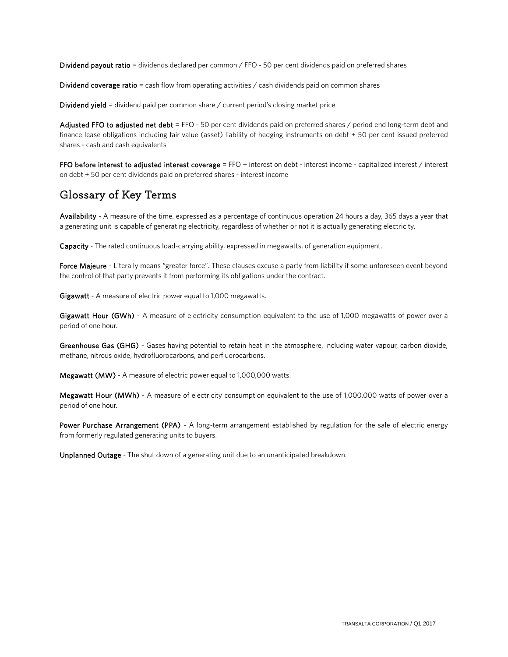Dividend payout ratio = dividends declared per common / FFO - 50 per cent dividends paid on preferred shares

Dividend coverage ratio = cash flow from operating activities  $\ell$  cash dividends paid on common shares

Dividend yield = dividend paid per common share / current period's closing market price

Adjusted FFO to adjusted net debt = FFO - 50 per cent dividends paid on preferred shares / period end long-term debt and finance lease obligations including fair value (asset) liability of hedging instruments on debt + 50 per cent issued preferred shares - cash and cash equivalents

FFO before interest to adjusted interest coverage = FFO + interest on debt - interest income - capitalized interest / interest on debt + 50 per cent dividends paid on preferred shares - interest income

### Glossary of Key Terms

Availability - A measure of the time, expressed as a percentage of continuous operation 24 hours a day, 365 days a year that a generating unit is capable of generating electricity, regardless of whether or not it is actually generating electricity.

Capacity - The rated continuous load-carrying ability, expressed in megawatts, of generation equipment.

Force Majeure - Literally means "greater force". These clauses excuse a party from liability if some unforeseen event beyond the control of that party prevents it from performing its obligations under the contract.

Gigawatt - A measure of electric power equal to 1,000 megawatts.

Gigawatt Hour (GWh) - A measure of electricity consumption equivalent to the use of 1,000 megawatts of power over a period of one hour.

Greenhouse Gas (GHG) - Gases having potential to retain heat in the atmosphere, including water vapour, carbon dioxide, methane, nitrous oxide, hydrofluorocarbons, and perfluorocarbons.

Megawatt (MW) - A measure of electric power equal to 1,000,000 watts.

Megawatt Hour (MWh) - A measure of electricity consumption equivalent to the use of 1,000,000 watts of power over a period of one hour.

Power Purchase Arrangement (PPA) - A long-term arrangement established by regulation for the sale of electric energy from formerly regulated generating units to buyers.

Unplanned Outage - The shut down of a generating unit due to an unanticipated breakdown.